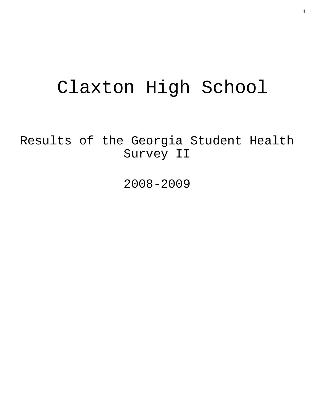# Claxton High School

Results of the Georgia Student Health Survey II

2008-2009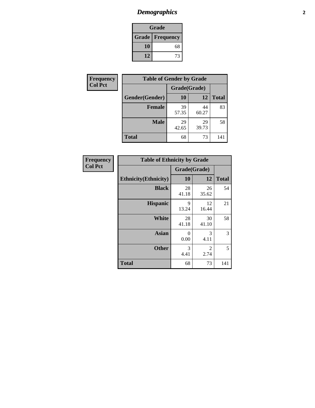# *Demographics* **2**

| Grade                  |    |  |  |
|------------------------|----|--|--|
| <b>Grade Frequency</b> |    |  |  |
| 10                     | 68 |  |  |
| 12                     | 73 |  |  |

| Frequency      | <b>Table of Gender by Grade</b> |              |             |              |  |
|----------------|---------------------------------|--------------|-------------|--------------|--|
| <b>Col Pct</b> |                                 | Grade(Grade) |             |              |  |
|                | Gender(Gender)                  | 10           | 12          | <b>Total</b> |  |
|                | <b>Female</b>                   | 39<br>57.35  | 44<br>60.27 | 83           |  |
|                | <b>Male</b>                     | 29<br>42.65  | 29<br>39.73 | 58           |  |
|                | <b>Total</b>                    | 68           | 73          | 141          |  |

| <b>Frequency</b> |  |
|------------------|--|
| <b>Col Pct</b>   |  |

| <b>Table of Ethnicity by Grade</b> |              |             |              |  |  |  |
|------------------------------------|--------------|-------------|--------------|--|--|--|
|                                    | Grade(Grade) |             |              |  |  |  |
| <b>Ethnicity</b> (Ethnicity)       | 10           | 12          | <b>Total</b> |  |  |  |
| <b>Black</b>                       | 28<br>41.18  | 26<br>35.62 | 54           |  |  |  |
| <b>Hispanic</b>                    | 9<br>13.24   | 12<br>16.44 | 21           |  |  |  |
| White                              | 28<br>41.18  | 30<br>41.10 | 58           |  |  |  |
| <b>Asian</b>                       | 0<br>0.00    | 3<br>4.11   | 3            |  |  |  |
| <b>Other</b>                       | 3<br>4.41    | 2<br>2.74   | 5            |  |  |  |
| <b>Total</b>                       | 68           | 73          | 141          |  |  |  |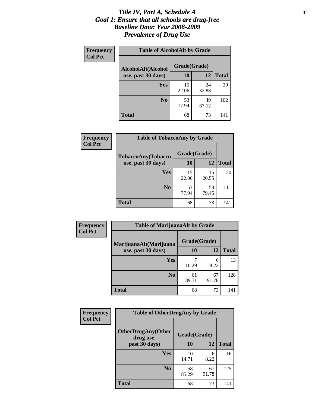#### *Title IV, Part A, Schedule A* **3** *Goal 1: Ensure that all schools are drug-free Baseline Data: Year 2008-2009 Prevalence of Drug Use*

| Frequency<br><b>Col Pct</b> | <b>Table of AlcoholAlt by Grade</b> |              |             |              |  |  |
|-----------------------------|-------------------------------------|--------------|-------------|--------------|--|--|
|                             | AlcoholAlt(Alcohol                  | Grade(Grade) |             |              |  |  |
|                             | use, past 30 days)                  | 10           | 12          | <b>Total</b> |  |  |
|                             | Yes                                 | 15<br>22.06  | 24<br>32.88 | 39           |  |  |
|                             | N <sub>0</sub>                      | 53<br>77.94  | 49<br>67.12 | 102          |  |  |
|                             | <b>Total</b>                        | 68           | 73          | 141          |  |  |

| Frequency<br><b>Col Pct</b> | <b>Table of TobaccoAny by Grade</b> |              |             |              |  |
|-----------------------------|-------------------------------------|--------------|-------------|--------------|--|
|                             | <b>TobaccoAny(Tobacco</b>           | Grade(Grade) |             |              |  |
|                             | use, past 30 days)                  | 10           | 12          | <b>Total</b> |  |
|                             | Yes                                 | 15<br>22.06  | 15<br>20.55 | 30           |  |
|                             | N <sub>0</sub>                      | 53<br>77.94  | 58<br>79.45 | 111          |  |
|                             | <b>Total</b>                        | 68           | 73          | 141          |  |

| Frequency<br><b>Col Pct</b> | <b>Table of MarijuanaAlt by Grade</b> |              |             |              |  |
|-----------------------------|---------------------------------------|--------------|-------------|--------------|--|
|                             | MarijuanaAlt(Marijuana                | Grade(Grade) |             |              |  |
|                             | use, past 30 days)                    | 10           | 12          | <b>Total</b> |  |
|                             | Yes                                   | 10.29        | 6<br>8.22   | 13           |  |
|                             | N <sub>0</sub>                        | 61<br>89.71  | 67<br>91.78 | 128          |  |
|                             | <b>Total</b>                          | 68           | 73          | 141          |  |

| Frequency      | <b>Table of OtherDrugAny by Grade</b>                  |             |             |              |  |
|----------------|--------------------------------------------------------|-------------|-------------|--------------|--|
| <b>Col Pct</b> | <b>OtherDrugAny(Other</b><br>Grade(Grade)<br>drug use, |             |             |              |  |
|                | past 30 days)                                          | 10          | 12          | <b>Total</b> |  |
|                | <b>Yes</b>                                             | 10<br>14.71 | 6<br>8.22   | 16           |  |
|                | N <sub>0</sub>                                         | 58<br>85.29 | 67<br>91.78 | 125          |  |
|                | <b>Total</b>                                           | 68          | 73          | 141          |  |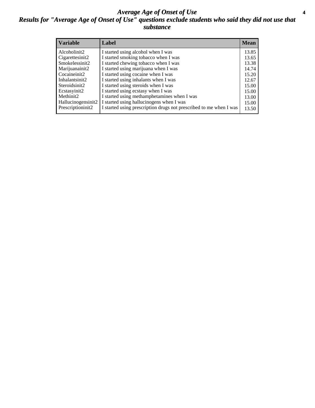#### *Average Age of Onset of Use* **4** *Results for "Average Age of Onset of Use" questions exclude students who said they did not use that substance*

| <b>Variable</b>       | Label                                                              | <b>Mean</b> |
|-----------------------|--------------------------------------------------------------------|-------------|
| Alcoholinit2          | I started using alcohol when I was                                 | 13.85       |
| Cigarettesinit2       | I started smoking tobacco when I was                               | 13.65       |
| Smokelessinit2        | I started chewing tobacco when I was                               | 13.38       |
| Marijuanainit2        | I started using marijuana when I was                               | 14.74       |
| Cocaineinit2          | I started using cocaine when I was                                 | 15.20       |
| Inhalantsinit2        | I started using inhalants when I was                               | 12.67       |
| Steroidsinit2         | I started using steroids when I was                                | 15.00       |
| Ecstasyinit2          | I started using ecstasy when I was                                 | 15.00       |
| Methinit <sub>2</sub> | I started using methamphetamines when I was                        | 13.00       |
| Hallucinogensinit2    | I started using hallucinogens when I was                           | 15.00       |
| Prescriptioninit2     | I started using prescription drugs not prescribed to me when I was | 13.50       |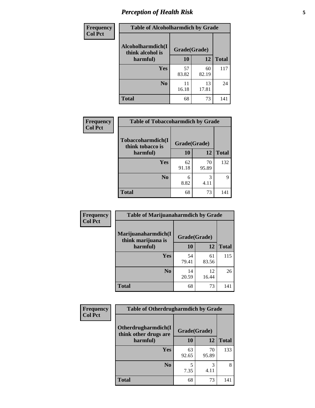# *Perception of Health Risk* **5**

| <b>Frequency</b> | <b>Table of Alcoholharmdich by Grade</b> |              |             |              |  |
|------------------|------------------------------------------|--------------|-------------|--------------|--|
| <b>Col Pct</b>   | Alcoholharmdich(I<br>think alcohol is    | Grade(Grade) |             |              |  |
|                  | harmful)                                 | 10           | 12          | <b>Total</b> |  |
|                  | <b>Yes</b>                               | 57<br>83.82  | 60<br>82.19 | 117          |  |
|                  | N <sub>0</sub>                           | 11<br>16.18  | 13<br>17.81 | 24           |  |
|                  | <b>Total</b>                             | 68           | 73          | 141          |  |

| Frequency      | <b>Table of Tobaccoharmdich by Grade</b> |              |             |              |  |
|----------------|------------------------------------------|--------------|-------------|--------------|--|
| <b>Col Pct</b> | Tobaccoharmdich(I<br>think tobacco is    | Grade(Grade) |             |              |  |
|                | harmful)                                 | 10           | 12          | <b>Total</b> |  |
|                | <b>Yes</b>                               | 62<br>91.18  | 70<br>95.89 | 132          |  |
|                | N <sub>0</sub>                           | 6<br>8.82    | 3<br>4.11   | Q            |  |
|                | Total                                    | 68           | 73          | 141          |  |

| Frequency      | <b>Table of Marijuanaharmdich by Grade</b>                |             |             |              |  |  |
|----------------|-----------------------------------------------------------|-------------|-------------|--------------|--|--|
| <b>Col Pct</b> | Marijuanaharmdich(I<br>Grade(Grade)<br>think marijuana is |             |             |              |  |  |
|                | harmful)                                                  | 10          | 12          | <b>Total</b> |  |  |
|                | Yes                                                       | 54<br>79.41 | 61<br>83.56 | 115          |  |  |
|                | N <sub>0</sub>                                            | 14<br>20.59 | 12<br>16.44 | 26           |  |  |
|                | <b>Total</b>                                              | 68          | 73          | 141          |  |  |

| <b>Frequency</b> | <b>Table of Otherdrugharmdich by Grade</b><br>Otherdrugharmdich(I<br>Grade(Grade)<br>think other drugs are |             |             |              |  |
|------------------|------------------------------------------------------------------------------------------------------------|-------------|-------------|--------------|--|
| <b>Col Pct</b>   |                                                                                                            |             |             |              |  |
|                  | harmful)                                                                                                   | <b>10</b>   | 12          | <b>Total</b> |  |
|                  | <b>Yes</b>                                                                                                 | 63<br>92.65 | 70<br>95.89 | 133          |  |
|                  | N <sub>0</sub>                                                                                             | 7.35        | 3<br>4.11   | 8            |  |
|                  | <b>Total</b>                                                                                               | 68          | 73          | 141          |  |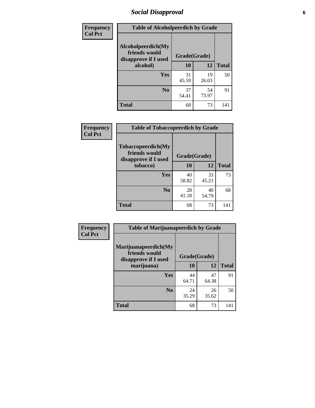### *Social Disapproval* **6**

| <b>Frequency</b> | <b>Table of Alcoholpeerdich by Grade</b>                    |              |             |              |
|------------------|-------------------------------------------------------------|--------------|-------------|--------------|
| <b>Col Pct</b>   | Alcoholpeerdich(My<br>friends would<br>disapprove if I used | Grade(Grade) |             |              |
|                  | alcohol)                                                    | 10           | 12          | <b>Total</b> |
|                  | <b>Yes</b>                                                  | 31<br>45.59  | 19<br>26.03 | 50           |
|                  | N <sub>0</sub>                                              | 37<br>54.41  | 54<br>73.97 | 91           |
|                  | <b>Total</b>                                                | 68           | 73          | 141          |

| <b>Frequency</b> |
|------------------|
| <b>Col Pct</b>   |

| <b>Table of Tobaccopeerdich by Grade</b>                    |              |             |              |  |
|-------------------------------------------------------------|--------------|-------------|--------------|--|
| Tobaccopeerdich(My<br>friends would<br>disapprove if I used | Grade(Grade) |             |              |  |
| tobacco)                                                    | 10           | 12          | <b>Total</b> |  |
| Yes                                                         | 40<br>58.82  | 33<br>45.21 | 73           |  |
| N <sub>0</sub>                                              | 28<br>41.18  | 40<br>54.79 | 68           |  |
| <b>Total</b>                                                | 68           | 73          | 141          |  |

| Frequency      | <b>Table of Marijuanapeerdich by Grade</b>                    |              |             |              |  |  |
|----------------|---------------------------------------------------------------|--------------|-------------|--------------|--|--|
| <b>Col Pct</b> | Marijuanapeerdich(My<br>friends would<br>disapprove if I used | Grade(Grade) |             |              |  |  |
|                | marijuana)                                                    | 10           | 12          | <b>Total</b> |  |  |
|                | <b>Yes</b>                                                    | 44<br>64.71  | 47<br>64.38 | 91           |  |  |
|                | N <sub>0</sub>                                                | 24<br>35.29  | 26<br>35.62 | 50           |  |  |
|                | <b>Total</b>                                                  | 68           | 73          | 141          |  |  |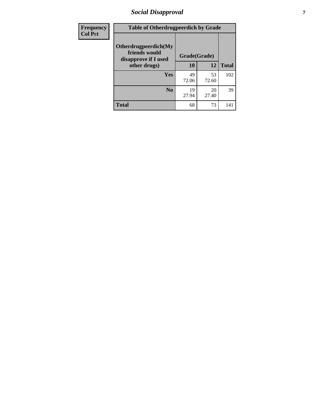# *Social Disapproval* **7**

| Frequency      | <b>Table of Otherdrugpeerdich by Grade</b>                    |              |             |              |  |
|----------------|---------------------------------------------------------------|--------------|-------------|--------------|--|
| <b>Col Pct</b> | Otherdrugpeerdich(My<br>friends would<br>disapprove if I used | Grade(Grade) |             |              |  |
|                | other drugs)                                                  | 10           | 12          | <b>Total</b> |  |
|                | Yes                                                           | 49<br>72.06  | 53<br>72.60 | 102          |  |
|                | N <sub>0</sub>                                                | 19<br>27.94  | 20<br>27.40 | 39           |  |
|                | <b>Total</b>                                                  | 68           | 73          | 141          |  |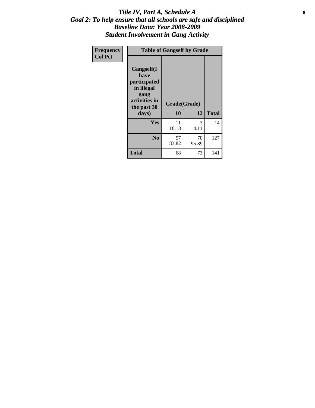#### Title IV, Part A, Schedule A **8** *Goal 2: To help ensure that all schools are safe and disciplined Baseline Data: Year 2008-2009 Student Involvement in Gang Activity*

| Frequency      | <b>Table of Gangself by Grade</b>                                                                 |                    |             |              |
|----------------|---------------------------------------------------------------------------------------------------|--------------------|-------------|--------------|
| <b>Col Pct</b> | Gangself(I<br>have<br>participated<br>in illegal<br>gang<br>activities in<br>the past 30<br>days) | Grade(Grade)<br>10 | 12          | <b>Total</b> |
|                | Yes                                                                                               | 11<br>16.18        | 3<br>4.11   | 14           |
|                | N <sub>0</sub>                                                                                    | 57<br>83.82        | 70<br>95.89 | 127          |
|                | <b>Total</b>                                                                                      | 68                 | 73          | 141          |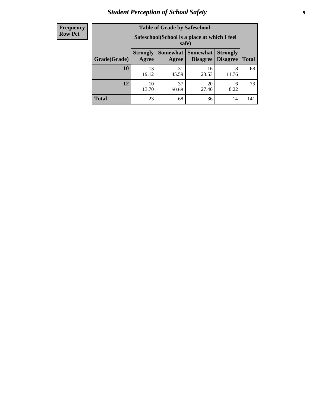# *Student Perception of School Safety* **9**

| <b>Frequency</b><br>Row Pct |
|-----------------------------|
|                             |

| <b>Table of Grade by Safeschool</b> |                          |                                                        |                                 |                                    |              |  |
|-------------------------------------|--------------------------|--------------------------------------------------------|---------------------------------|------------------------------------|--------------|--|
|                                     |                          | Safeschool (School is a place at which I feel<br>safe) |                                 |                                    |              |  |
| Grade(Grade)                        | <b>Strongly</b><br>Agree | Agree                                                  | Somewhat   Somewhat<br>Disagree | <b>Strongly</b><br><b>Disagree</b> | <b>Total</b> |  |
| 10                                  | 13<br>19.12              | 31<br>45.59                                            | 16<br>23.53                     | 8<br>11.76                         | 68           |  |
| 12                                  | 10<br>13.70              | 37<br>50.68                                            | 20<br>27.40                     | 6<br>8.22                          | 73           |  |
| <b>Total</b>                        | 23                       | 68                                                     | 36                              | 14                                 | 141          |  |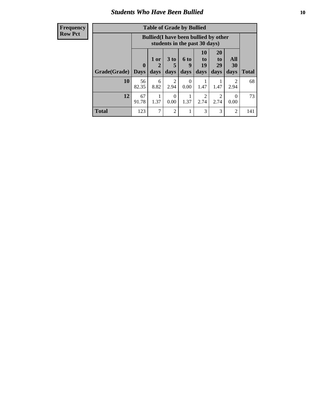### *Students Who Have Been Bullied* **10**

#### **Frequency Row Pct**

| <b>Table of Grade by Bullied</b> |                  |                                                                               |                              |                   |                               |                               |                        |              |
|----------------------------------|------------------|-------------------------------------------------------------------------------|------------------------------|-------------------|-------------------------------|-------------------------------|------------------------|--------------|
|                                  |                  | <b>Bullied</b> (I have been bullied by other<br>students in the past 30 days) |                              |                   |                               |                               |                        |              |
| Grade(Grade)                     | 0<br><b>Days</b> | 1 or<br>days                                                                  | 3 <sub>to</sub><br>5<br>days | 6 to<br>9<br>days | <b>10</b><br>to<br>19<br>days | <b>20</b><br>to<br>29<br>days | All<br>30<br>days      | <b>Total</b> |
| 10                               | 56<br>82.35      | 6<br>8.82                                                                     | 2<br>2.94                    | $\Omega$<br>0.00  | 1.47                          | 1.47                          | $\mathfrak{D}$<br>2.94 | 68           |
| 12                               | 67<br>91.78      | 1.37                                                                          | $\theta$<br>0.00             | 1.37              | $\mathfrak{D}$<br>2.74        | $\overline{2}$<br>2.74        | $\theta$<br>0.00       | 73           |
| <b>Total</b>                     | 123              | $\mathcal{I}$                                                                 | $\overline{2}$               |                   | 3                             | 3                             | 2                      | 141          |

 $\blacksquare$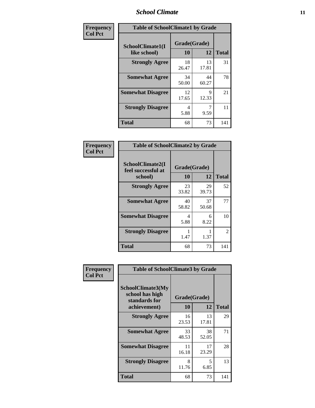#### *School Climate* **11**

| Frequency      | <b>Table of SchoolClimate1 by Grade</b> |                    |             |              |  |  |
|----------------|-----------------------------------------|--------------------|-------------|--------------|--|--|
| <b>Col Pct</b> | SchoolClimate1(I<br>like school)        | Grade(Grade)<br>10 | 12          | <b>Total</b> |  |  |
|                | <b>Strongly Agree</b>                   | 18<br>26.47        | 13<br>17.81 | 31           |  |  |
|                | <b>Somewhat Agree</b>                   | 34<br>50.00        | 44<br>60.27 | 78           |  |  |
|                | <b>Somewhat Disagree</b>                | 12<br>17.65        | 9<br>12.33  | 21           |  |  |
|                | <b>Strongly Disagree</b>                | 4<br>5.88          | 9.59        | 11           |  |  |
|                | <b>Total</b>                            | 68                 | 73          | 141          |  |  |

| Frequency      | <b>Table of SchoolClimate2 by Grade</b>           |                    |             |              |  |
|----------------|---------------------------------------------------|--------------------|-------------|--------------|--|
| <b>Col Pct</b> | SchoolClimate2(I<br>feel successful at<br>school) | Grade(Grade)<br>10 | 12          | <b>Total</b> |  |
|                | <b>Strongly Agree</b>                             | 23<br>33.82        | 29<br>39.73 | 52           |  |
|                | <b>Somewhat Agree</b>                             | 40<br>58.82        | 37<br>50.68 | 77           |  |
|                | <b>Somewhat Disagree</b>                          | 4<br>5.88          | 6<br>8.22   | 10           |  |
|                | <b>Strongly Disagree</b>                          | 1.47               | 1.37        | 2            |  |
|                | Total                                             | 68                 | 73          | 141          |  |

| Frequency      | <b>Table of SchoolClimate3 by Grade</b>                                      |                    |             |              |  |
|----------------|------------------------------------------------------------------------------|--------------------|-------------|--------------|--|
| <b>Col Pct</b> | <b>SchoolClimate3(My</b><br>school has high<br>standards for<br>achievement) | Grade(Grade)<br>10 | 12          | <b>Total</b> |  |
|                | <b>Strongly Agree</b>                                                        | 16<br>23.53        | 13<br>17.81 | 29           |  |
|                | <b>Somewhat Agree</b>                                                        | 33<br>48.53        | 38<br>52.05 | 71           |  |
|                | <b>Somewhat Disagree</b>                                                     | 11<br>16.18        | 17<br>23.29 | 28           |  |
|                | <b>Strongly Disagree</b>                                                     | 8<br>11.76         | 5<br>6.85   | 13           |  |
|                | Total                                                                        | 68                 | 73          | 141          |  |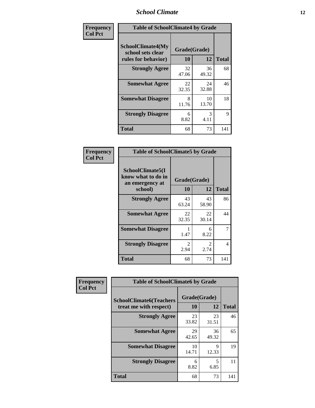#### *School Climate* **12**

| Frequency      | <b>Table of SchoolClimate4 by Grade</b>                              |                    |             |              |
|----------------|----------------------------------------------------------------------|--------------------|-------------|--------------|
| <b>Col Pct</b> | <b>SchoolClimate4(My</b><br>school sets clear<br>rules for behavior) | Grade(Grade)<br>10 | 12          | <b>Total</b> |
|                | <b>Strongly Agree</b>                                                | 32<br>47.06        | 36<br>49.32 | 68           |
|                | <b>Somewhat Agree</b>                                                | 22<br>32.35        | 24<br>32.88 | 46           |
|                | <b>Somewhat Disagree</b>                                             | 8<br>11.76         | 10<br>13.70 | 18           |
|                | <b>Strongly Disagree</b>                                             | 6<br>8.82          | 3<br>4.11   | 9            |
|                | Total                                                                | 68                 | 73          | 141          |

| <b>Table of SchoolClimate5 by Grade</b>                              |                    |              |     |  |
|----------------------------------------------------------------------|--------------------|--------------|-----|--|
| SchoolClimate5(I<br>know what to do in<br>an emergency at<br>school) | Grade(Grade)<br>10 | <b>Total</b> |     |  |
| <b>Strongly Agree</b>                                                | 43<br>63.24        | 43<br>58.90  | 86  |  |
| <b>Somewhat Agree</b>                                                | 22<br>32.35        | 22<br>30.14  | 44  |  |
| <b>Somewhat Disagree</b>                                             | 1<br>1.47          | 6<br>8.22    | 7   |  |
| <b>Strongly Disagree</b>                                             | 2<br>2.94          | 2<br>2.74    | 4   |  |
| Total                                                                | 68                 | 73           | 141 |  |

| Frequency      | <b>Table of SchoolClimate6 by Grade</b>                  |                    |             |              |
|----------------|----------------------------------------------------------|--------------------|-------------|--------------|
| <b>Col Pct</b> | <b>SchoolClimate6(Teachers</b><br>treat me with respect) | Grade(Grade)<br>10 | 12          | <b>Total</b> |
|                | <b>Strongly Agree</b>                                    | 23<br>33.82        | 23<br>31.51 | 46           |
|                | <b>Somewhat Agree</b>                                    | 29<br>42.65        | 36<br>49.32 | 65           |
|                | <b>Somewhat Disagree</b>                                 | 10<br>14.71        | 9<br>12.33  | 19           |
|                | <b>Strongly Disagree</b>                                 | 6<br>8.82          | 5<br>6.85   | 11           |
|                | <b>Total</b>                                             | 68                 | 73          | 141          |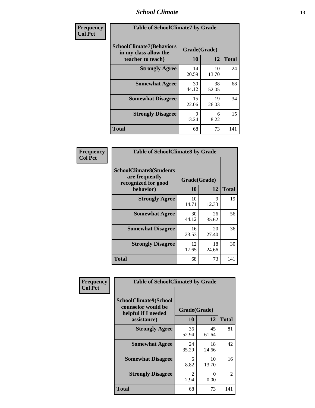#### *School Climate* **13**

| Frequency      | <b>Table of SchoolClimate7 by Grade</b>                                       |                           |             |              |
|----------------|-------------------------------------------------------------------------------|---------------------------|-------------|--------------|
| <b>Col Pct</b> | <b>SchoolClimate7(Behaviors</b><br>in my class allow the<br>teacher to teach) | Grade(Grade)<br><b>10</b> | 12          | <b>Total</b> |
|                | <b>Strongly Agree</b>                                                         | 14<br>20.59               | 10<br>13.70 | 24           |
|                | <b>Somewhat Agree</b>                                                         | 30<br>44.12               | 38<br>52.05 | 68           |
|                | <b>Somewhat Disagree</b>                                                      | 15<br>22.06               | 19<br>26.03 | 34           |
|                | <b>Strongly Disagree</b>                                                      | $\mathbf Q$<br>13.24      | 6<br>8.22   | 15           |
|                | <b>Total</b>                                                                  | 68                        | 73          | 141          |

| Frequency      | <b>Table of SchoolClimate8 by Grade</b>                                              |                    |             |              |
|----------------|--------------------------------------------------------------------------------------|--------------------|-------------|--------------|
| <b>Col Pct</b> | <b>SchoolClimate8(Students</b><br>are frequently<br>recognized for good<br>behavior) | Grade(Grade)<br>10 | 12          | <b>Total</b> |
|                | <b>Strongly Agree</b>                                                                | 10<br>14.71        | 9<br>12.33  | 19           |
|                | <b>Somewhat Agree</b>                                                                | 30<br>44.12        | 26<br>35.62 | 56           |
|                | <b>Somewhat Disagree</b>                                                             | 16<br>23.53        | 20<br>27.40 | 36           |
|                | <b>Strongly Disagree</b>                                                             | 12<br>17.65        | 18<br>24.66 | 30           |
|                | <b>Total</b>                                                                         | 68                 | 73          | 141          |

| Frequency      | <b>Table of SchoolClimate9 by Grade</b>                                           |                        |             |              |
|----------------|-----------------------------------------------------------------------------------|------------------------|-------------|--------------|
| <b>Col Pct</b> | SchoolClimate9(School<br>counselor would be<br>helpful if I needed<br>assistance) | Grade(Grade)<br>10     | 12          | <b>Total</b> |
|                | <b>Strongly Agree</b>                                                             | 36<br>52.94            | 45<br>61.64 | 81           |
|                | <b>Somewhat Agree</b>                                                             | 24<br>35.29            | 18<br>24.66 | 42           |
|                | <b>Somewhat Disagree</b>                                                          | 6<br>8.82              | 10<br>13.70 | 16           |
|                | <b>Strongly Disagree</b>                                                          | $\mathfrak{D}$<br>2.94 | 0<br>0.00   | 2            |
|                | Total                                                                             | 68                     | 73          | 141          |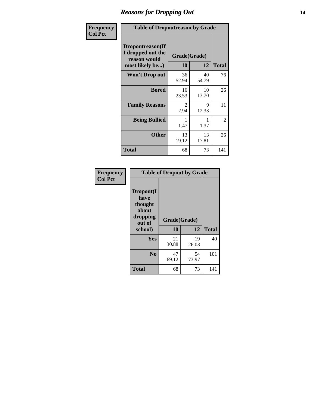### *Reasons for Dropping Out* **14**

| Frequency      | <b>Table of Dropoutreason by Grade</b>                                   |                        |             |              |
|----------------|--------------------------------------------------------------------------|------------------------|-------------|--------------|
| <b>Col Pct</b> | Dropoutreason(If<br>I dropped out the<br>reason would<br>most likely be) | Grade(Grade)<br>10     | 12          | <b>Total</b> |
|                | <b>Won't Drop out</b>                                                    | 36<br>52.94            | 40<br>54.79 | 76           |
|                | <b>Bored</b>                                                             | 16<br>23.53            | 10<br>13.70 | 26           |
|                | <b>Family Reasons</b>                                                    | $\mathfrak{D}$<br>2.94 | 9<br>12.33  | 11           |
|                | <b>Being Bullied</b>                                                     | 1.47                   | 1.37        | 2            |
|                | <b>Other</b>                                                             | 13<br>19.12            | 13<br>17.81 | 26           |
|                | <b>Total</b>                                                             | 68                     | 73          | 141          |

| Frequency<br><b>Col Pct</b> | <b>Table of Dropout by Grade</b>                                       |                    |             |              |  |
|-----------------------------|------------------------------------------------------------------------|--------------------|-------------|--------------|--|
|                             | Dropout(I<br>have<br>thought<br>about<br>dropping<br>out of<br>school) | Grade(Grade)<br>10 | 12          | <b>Total</b> |  |
|                             |                                                                        |                    |             |              |  |
|                             | Yes                                                                    | 21<br>30.88        | 19<br>26.03 | 40           |  |
|                             | N <sub>0</sub>                                                         | 47<br>69.12        | 54<br>73.97 | 101          |  |
|                             | <b>Total</b>                                                           | 68                 | 73          | 141          |  |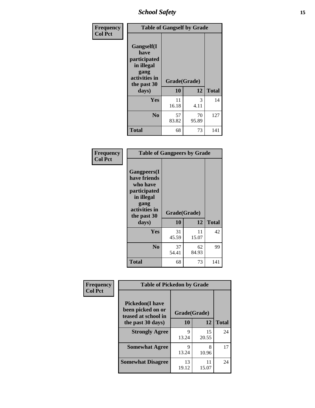*School Safety* **15**

| Frequency      |                                                                                                   | <b>Table of Gangself by Grade</b> |                       |              |
|----------------|---------------------------------------------------------------------------------------------------|-----------------------------------|-----------------------|--------------|
| <b>Col Pct</b> | Gangself(I<br>have<br>participated<br>in illegal<br>gang<br>activities in<br>the past 30<br>days) | Grade(Grade)<br>10                | 12                    | <b>Total</b> |
|                | Yes                                                                                               | 11<br>16.18                       | $\mathcal{R}$<br>4.11 | 14           |
|                | N <sub>0</sub>                                                                                    | 57<br>83.82                       | 70<br>95.89           | 127          |
|                | <b>Total</b>                                                                                      | 68                                | 73                    | 141          |

| Frequency<br><b>Col Pct</b> | <b>Table of Gangpeers by Grade</b>                                                                                             |                    |             |              |
|-----------------------------|--------------------------------------------------------------------------------------------------------------------------------|--------------------|-------------|--------------|
|                             | <b>Gangpeers</b> (I<br>have friends<br>who have<br>participated<br>in illegal<br>gang<br>activities in<br>the past 30<br>days) | Grade(Grade)<br>10 | 12          | <b>Total</b> |
|                             | Yes                                                                                                                            | 31<br>45.59        | 11<br>15.07 | 42           |
|                             | N <sub>0</sub>                                                                                                                 | 37<br>54.41        | 62<br>84.93 | 99           |
|                             | <b>Total</b>                                                                                                                   | 68                 | 73          | 141          |

| Frequency      | <b>Table of Pickedon by Grade</b>                                   |              |             |              |
|----------------|---------------------------------------------------------------------|--------------|-------------|--------------|
| <b>Col Pct</b> | <b>Pickedon</b> (I have<br>been picked on or<br>teased at school in | Grade(Grade) |             |              |
|                | the past 30 days)                                                   | 10           | 12          | <b>Total</b> |
|                | <b>Strongly Agree</b>                                               | 9<br>13.24   | 15<br>20.55 | 24           |
|                | <b>Somewhat Agree</b>                                               | 9<br>13.24   | 8<br>10.96  | 17           |
|                | <b>Somewhat Disagree</b>                                            | 13<br>19.12  | 11<br>15.07 | 24           |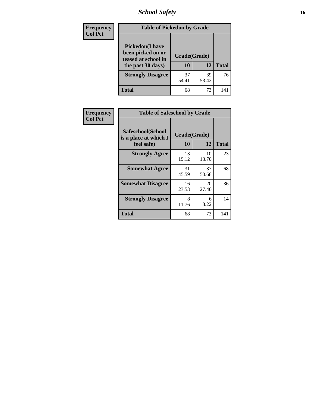*School Safety* **16**

| <b>Frequency</b> | <b>Table of Pickedon by Grade</b>                                                        |                    |             |              |  |  |  |  |  |  |
|------------------|------------------------------------------------------------------------------------------|--------------------|-------------|--------------|--|--|--|--|--|--|
| <b>Col Pct</b>   | <b>Pickedon</b> (I have<br>been picked on or<br>teased at school in<br>the past 30 days) | Grade(Grade)<br>10 | 12          | <b>Total</b> |  |  |  |  |  |  |
|                  | <b>Strongly Disagree</b>                                                                 | 37<br>54.41        | 39<br>53.42 | 76           |  |  |  |  |  |  |
|                  | <b>Total</b>                                                                             | 68                 | 73          | 141          |  |  |  |  |  |  |

| Frequency      |                                                          | <b>Table of Safeschool by Grade</b> |             |              |  |  |  |  |  |
|----------------|----------------------------------------------------------|-------------------------------------|-------------|--------------|--|--|--|--|--|
| <b>Col Pct</b> | Safeschool(School<br>is a place at which I<br>feel safe) | Grade(Grade)<br><b>10</b>           | 12          | <b>Total</b> |  |  |  |  |  |
|                | <b>Strongly Agree</b>                                    | 13<br>19.12                         | 10<br>13.70 | 23           |  |  |  |  |  |
|                | <b>Somewhat Agree</b>                                    | 31<br>45.59                         | 37<br>50.68 | 68           |  |  |  |  |  |
|                | <b>Somewhat Disagree</b>                                 | 16<br>23.53                         | 20<br>27.40 | 36           |  |  |  |  |  |
|                | <b>Strongly Disagree</b>                                 | 8<br>11.76                          | 6<br>8.22   | 14           |  |  |  |  |  |
|                | <b>Total</b>                                             | 68                                  | 73          | 141          |  |  |  |  |  |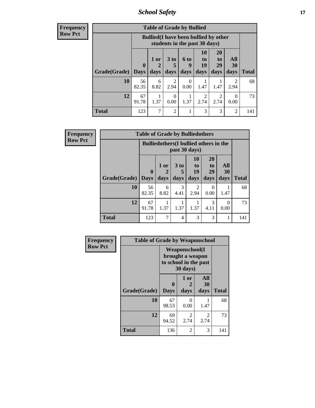*School Safety* **17**

| Frequency      |
|----------------|
| <b>Row Pct</b> |

| V | <b>Table of Grade by Bullied</b> |                         |                                                                               |                        |                   |                        |                        |                   |              |  |  |
|---|----------------------------------|-------------------------|-------------------------------------------------------------------------------|------------------------|-------------------|------------------------|------------------------|-------------------|--------------|--|--|
|   |                                  |                         | <b>Bullied</b> (I have been bullied by other<br>students in the past 30 days) |                        |                   |                        |                        |                   |              |  |  |
|   | Grade(Grade)                     | $\bf{0}$<br><b>Days</b> | 1 or<br>$\overline{2}$<br>days                                                | 3 to<br>days           | 6 to<br>9<br>days | 10<br>to<br>19<br>days | 20<br>to<br>29<br>days | All<br>30<br>days | <b>Total</b> |  |  |
|   | 10                               | 56<br>82.35             | 6<br>8.82                                                                     | $\mathfrak{D}$<br>2.94 | 0<br>0.00         | 1.47                   | 1.47                   | 2<br>2.94         | 68           |  |  |
|   | 12                               | 67<br>91.78             | 1.37                                                                          | ∩<br>0.00              | 1.37              | 2<br>2.74              | $\mathfrak{D}$<br>2.74 | 0<br>0.00         | 73           |  |  |
|   | <b>Total</b>                     | 123                     | 7                                                                             | $\mathfrak{D}$         |                   | 3                      | 3                      | 2                 | 141          |  |  |

| Frequency      |                     | <b>Table of Grade by Bulliedothers</b> |              |                                                                |                        |                               |                   |              |  |  |  |
|----------------|---------------------|----------------------------------------|--------------|----------------------------------------------------------------|------------------------|-------------------------------|-------------------|--------------|--|--|--|
| <b>Row Pct</b> |                     |                                        |              | <b>Bulliedothers</b> (I bullied others in the<br>past 30 days) |                        |                               |                   |              |  |  |  |
|                | Grade(Grade)   Days | $\mathbf{0}$                           | 1 or<br>days | 3 to<br>days                                                   | 10<br>to<br>19<br>days | <b>20</b><br>to<br>29<br>days | All<br>30<br>days | <b>Total</b> |  |  |  |
|                | 10                  | 56<br>82.35                            | 6<br>8.82    | 3<br>4.41                                                      | $\mathfrak{D}$<br>2.94 | $\Omega$<br>0.00              | 1.47              | 68           |  |  |  |
|                | 12                  | 67<br>91.78                            | 1.37         | 1.37                                                           | 1.37                   | 3<br>4.11                     | 0<br>0.00         | 73           |  |  |  |
|                | <b>Total</b>        | 123                                    | 7            | 4                                                              | 3                      | 3                             | 1                 | 141          |  |  |  |

| Frequency      | <b>Table of Grade by Weaponschool</b> |                                                                                 |                   |                   |              |  |  |  |  |  |
|----------------|---------------------------------------|---------------------------------------------------------------------------------|-------------------|-------------------|--------------|--|--|--|--|--|
| <b>Row Pct</b> |                                       | <b>Weaponschool</b> (I<br>brought a weapon<br>to school in the past<br>30 days) |                   |                   |              |  |  |  |  |  |
|                | Grade(Grade)                          | 0<br><b>Days</b>                                                                | 1 or<br>2<br>days | All<br>30<br>days | <b>Total</b> |  |  |  |  |  |
|                | 10                                    | 67<br>98.53                                                                     | 0<br>0.00         | 1.47              | 68           |  |  |  |  |  |
|                | 12                                    | 69<br>94.52                                                                     | 2<br>2.74         | 2<br>2.74         | 73           |  |  |  |  |  |
|                | <b>Total</b>                          | 136                                                                             | $\overline{2}$    | 3                 | 141          |  |  |  |  |  |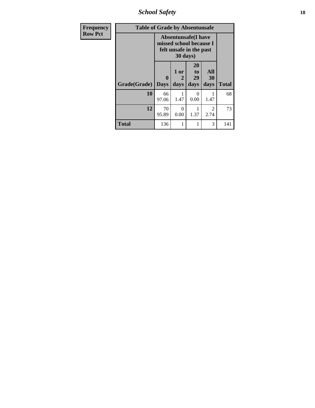*School Safety* **18**

| <b>Frequency</b> | <b>Table of Grade by Absentunsafe</b> |                                                                                   |                   |                        |                        |              |  |  |  |
|------------------|---------------------------------------|-----------------------------------------------------------------------------------|-------------------|------------------------|------------------------|--------------|--|--|--|
| <b>Row Pct</b>   |                                       | <b>Absentunsafe</b> (I have<br>missed school because I<br>felt unsafe in the past |                   |                        |                        |              |  |  |  |
|                  | Grade(Grade)                          | 0<br><b>Days</b>                                                                  | 1 or<br>2<br>days | 20<br>to<br>29<br>days | All<br>30<br>days      | <b>Total</b> |  |  |  |
|                  | 10                                    | 66<br>97.06                                                                       | 1.47              | $\Omega$<br>0.00       | 1.47                   | 68           |  |  |  |
|                  | 12                                    | 70<br>95.89                                                                       | 0<br>0.00         | 1<br>1.37              | $\mathfrak{D}$<br>2.74 | 73           |  |  |  |
|                  | <b>Total</b>                          | 136                                                                               |                   | 1                      | 3                      | 141          |  |  |  |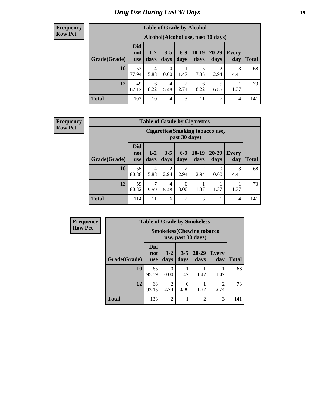#### **Frequency Row Pct**

| <b>Table of Grade by Alcohol</b> |                                 |                                     |                 |                        |                 |                        |              |              |  |  |
|----------------------------------|---------------------------------|-------------------------------------|-----------------|------------------------|-----------------|------------------------|--------------|--------------|--|--|
|                                  |                                 | Alcohol (Alcohol use, past 30 days) |                 |                        |                 |                        |              |              |  |  |
| Grade(Grade)                     | <b>Did</b><br>not<br><b>use</b> | $1 - 2$<br>days                     | $3 - 5$<br>days | $6 - 9$<br>days        | $10-19$<br>days | $20 - 29$<br>days      | Every<br>day | <b>Total</b> |  |  |
| 10                               | 53<br>77.94                     | 4<br>5.88                           | 0<br>0.00       | 1.47                   | 5<br>7.35       | $\overline{2}$<br>2.94 | 3<br>4.41    | 68           |  |  |
| 12                               | 49<br>67.12                     | 6<br>8.22                           | 4<br>5.48       | $\overline{2}$<br>2.74 | 6<br>8.22       | 5<br>6.85              | 1.37         | 73           |  |  |
| <b>Total</b>                     | 102                             | 10                                  | 4               | 3                      | 11              | 7                      | 4            | 141          |  |  |

#### **Frequency Row Pct**

| <b>Table of Grade by Cigarettes</b> |                                 |                                                   |                 |                  |                 |               |                     |              |  |  |
|-------------------------------------|---------------------------------|---------------------------------------------------|-----------------|------------------|-----------------|---------------|---------------------|--------------|--|--|
|                                     |                                 | Cigarettes (Smoking tobacco use,<br>past 30 days) |                 |                  |                 |               |                     |              |  |  |
| Grade(Grade)                        | <b>Did</b><br>not<br><b>use</b> | $1 - 2$<br>days                                   | $3 - 5$<br>days | $6-9$<br>days    | $10-19$<br>days | 20-29<br>days | <b>Every</b><br>day | <b>Total</b> |  |  |
| 10                                  | 55<br>80.88                     | 4<br>5.88                                         | 2<br>2.94       | 2<br>2.94        | 2<br>2.94       | 0<br>0.00     | 3<br>4.41           | 68           |  |  |
| 12                                  | 59<br>80.82                     | 7<br>9.59                                         | 4<br>5.48       | $\Omega$<br>0.00 | 1.37            | 1.37          | 1.37                | 73           |  |  |
| <b>Total</b>                        | 114                             | 11                                                | 6               | $\overline{2}$   | 3               |               | $\overline{4}$      | 141          |  |  |

| Frequency      | <b>Table of Grade by Smokeless</b> |                          |                                                         |                  |                   |                        |              |  |
|----------------|------------------------------------|--------------------------|---------------------------------------------------------|------------------|-------------------|------------------------|--------------|--|
| <b>Row Pct</b> |                                    |                          | <b>Smokeless</b> (Chewing tobacco<br>use, past 30 days) |                  |                   |                        |              |  |
|                | Grade(Grade)                       | Did<br>not<br><b>use</b> | $1 - 2$<br>days                                         | $3-5$<br>days    | $20 - 29$<br>days | <b>Every</b><br>day    | <b>Total</b> |  |
|                | <b>10</b>                          | 65<br>95.59              | $\theta$<br>0.00                                        | 1.47             | 1.47              | 1.47                   | 68           |  |
|                | 12                                 | 68<br>93.15              | 2<br>2.74                                               | $\Omega$<br>0.00 | 1.37              | $\mathfrak{D}$<br>2.74 | 73           |  |
|                | <b>Total</b>                       | 133                      | $\overline{2}$                                          |                  | $\mathfrak{D}$    | 3                      | 141          |  |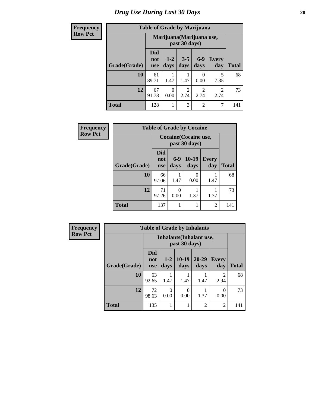| <b>Frequency</b> | <b>Table of Grade by Marijuana</b> |                          |                                            |                        |                           |                        |              |  |  |
|------------------|------------------------------------|--------------------------|--------------------------------------------|------------------------|---------------------------|------------------------|--------------|--|--|
| <b>Row Pct</b>   |                                    |                          | Marijuana (Marijuana use,<br>past 30 days) |                        |                           |                        |              |  |  |
|                  | Grade(Grade)                       | Did<br>not<br><b>use</b> | $1-2$<br>days                              | $3 - 5$<br>days        | $6-9$<br>days             | <b>Every</b><br>day    | <b>Total</b> |  |  |
|                  | <b>10</b>                          | 61<br>89.71              | 1.47                                       | 1.47                   | $\mathbf{\Omega}$<br>0.00 | 5<br>7.35              | 68           |  |  |
|                  | 12                                 | 67<br>91.78              | 0<br>0.00                                  | $\overline{2}$<br>2.74 | $\mathfrak{D}$<br>2.74    | $\overline{2}$<br>2.74 | 73           |  |  |
|                  | <b>Total</b>                       | 128                      | 1                                          | 3                      | $\overline{c}$            | 7                      | 141          |  |  |

| Frequency      | <b>Table of Grade by Cocaine</b> |                          |                                        |                  |                     |              |  |  |  |
|----------------|----------------------------------|--------------------------|----------------------------------------|------------------|---------------------|--------------|--|--|--|
| <b>Row Pct</b> |                                  |                          | Cocaine (Cocaine use,<br>past 30 days) |                  |                     |              |  |  |  |
|                | Grade(Grade)                     | <b>Did</b><br>not<br>use | $6 - 9$<br>days                        | $10-19$<br>days  | <b>Every</b><br>day | <b>Total</b> |  |  |  |
|                | 10                               | 66<br>97.06              | 1.47                                   | $\Omega$<br>0.00 | 1.47                | 68           |  |  |  |
|                | 12                               | 71<br>97.26              | 0.00                                   | 1.37             | 1.37                | 73           |  |  |  |
|                | <b>Total</b>                     | 137                      |                                        |                  | $\overline{2}$      | 141          |  |  |  |

| Frequency      | <b>Table of Grade by Inhalants</b> |                                 |                  |                  |                   |                        |              |
|----------------|------------------------------------|---------------------------------|------------------|------------------|-------------------|------------------------|--------------|
| <b>Row Pct</b> |                                    | Inhalants (Inhalant use,        |                  |                  |                   |                        |              |
|                | Grade(Grade)                       | <b>Did</b><br>not<br><b>use</b> | $1-2$<br>days    | $10-19$<br>days  | $20 - 29$<br>days | <b>Every</b><br>day    | <b>Total</b> |
|                | 10                                 | 63<br>92.65                     | 1.47             | 1.47             | 1.47              | $\mathfrak{D}$<br>2.94 | 68           |
|                | 12                                 | 72<br>98.63                     | $\theta$<br>0.00 | $\Omega$<br>0.00 | 1.37              | 0.00                   | 73           |
|                | <b>Total</b>                       | 135                             | 1                |                  | $\mathfrak{D}$    | $\mathfrak{D}$         | 141          |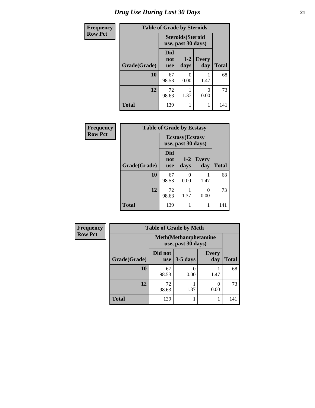| <b>Frequency</b> | <b>Table of Grade by Steroids</b> |                                                |                 |                     |              |
|------------------|-----------------------------------|------------------------------------------------|-----------------|---------------------|--------------|
| <b>Row Pct</b>   |                                   | <b>Steroids</b> (Steroid<br>use, past 30 days) |                 |                     |              |
|                  | Grade(Grade)                      | <b>Did</b><br>not<br><b>use</b>                | $1 - 2$<br>days | <b>Every</b><br>day | <b>Total</b> |
|                  | 10                                | 67<br>98.53                                    | 0<br>0.00       | 1.47                | 68           |
|                  | 12                                | 72<br>98.63                                    | 1.37            | 0<br>0.00           | 73           |
|                  | <b>Total</b>                      | 139                                            |                 | 1                   | 141          |

| Frequency      | <b>Table of Grade by Ecstasy</b> |                                 |                                               |                     |              |  |  |
|----------------|----------------------------------|---------------------------------|-----------------------------------------------|---------------------|--------------|--|--|
| <b>Row Pct</b> |                                  |                                 | <b>Ecstasy</b> (Ecstasy<br>use, past 30 days) |                     |              |  |  |
|                | Grade(Grade)                     | <b>Did</b><br>not<br><b>use</b> | $1 - 2$<br>days                               | <b>Every</b><br>day | <b>Total</b> |  |  |
|                | 10                               | 67<br>98.53                     | 0<br>0.00                                     | 1.47                | 68           |  |  |
|                | 12                               | 72<br>98.63                     | 1.37                                          | 0<br>0.00           | 73           |  |  |
|                | <b>Total</b>                     | 139                             |                                               |                     | 141          |  |  |

| Frequency      |              | <b>Table of Grade by Meth</b>                      |            |                     |              |  |
|----------------|--------------|----------------------------------------------------|------------|---------------------|--------------|--|
| <b>Row Pct</b> |              | <b>Meth</b> (Methamphetamine<br>use, past 30 days) |            |                     |              |  |
|                | Grade(Grade) | Did not<br><b>use</b>                              | $3-5$ days | <b>Every</b><br>day | <b>Total</b> |  |
|                | 10           | 67<br>98.53                                        | 0.00       | 1.47                | 68           |  |
|                | 12           | 72<br>98.63                                        | 1.37       | 0.00                | 73           |  |
|                | <b>Total</b> | 139                                                |            |                     | 141          |  |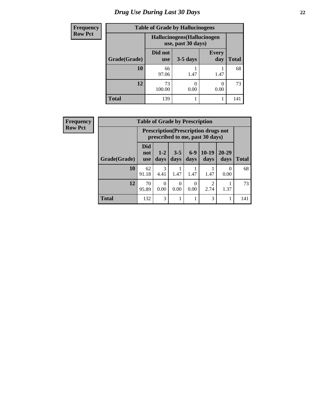| <b>Frequency</b> | <b>Table of Grade by Hallucinogens</b> |                                                   |            |                     |              |  |
|------------------|----------------------------------------|---------------------------------------------------|------------|---------------------|--------------|--|
| <b>Row Pct</b>   |                                        | Hallucinogens (Hallucinogen<br>use, past 30 days) |            |                     |              |  |
|                  | Grade(Grade)                           | Did not<br><b>use</b>                             | $3-5$ days | <b>Every</b><br>day | <b>Total</b> |  |
|                  | 10                                     | 66<br>97.06                                       | 1.47       | 1.47                | 68           |  |
|                  | 12                                     | 73<br>100.00                                      | 0.00       | 0.00                | 73           |  |
|                  | <b>Total</b>                           | 139                                               |            |                     | 141          |  |

| <b>Frequency</b> | <b>Table of Grade by Prescription</b> |                          |                  |                  |               |                                                                                |                   |              |
|------------------|---------------------------------------|--------------------------|------------------|------------------|---------------|--------------------------------------------------------------------------------|-------------------|--------------|
| <b>Row Pct</b>   |                                       |                          |                  |                  |               | <b>Prescription</b> (Prescription drugs not<br>prescribed to me, past 30 days) |                   |              |
|                  | Grade(Grade)                          | Did<br>not<br><b>use</b> | $1 - 2$<br>days  | $3 - 5$<br>days  | $6-9$<br>days | $10-19$<br>days                                                                | $20 - 29$<br>days | <b>Total</b> |
|                  | 10                                    | 62<br>91.18              | 3<br>4.41        | 1.47             | 1.47          | 1.47                                                                           | $\Omega$<br>0.00  | 68           |
|                  | 12                                    | 70<br>95.89              | $\Omega$<br>0.00 | $\Omega$<br>0.00 | 0<br>0.00     | $\mathcal{D}$<br>2.74                                                          | 1.37              | 73           |
|                  | <b>Total</b>                          | 132                      | 3                |                  |               | 3                                                                              | 1                 | 141          |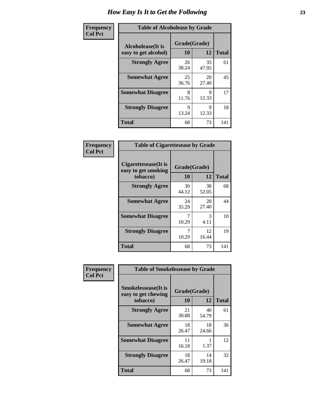| Frequency      | <b>Table of Alcoholease by Grade</b>              |                          |             |              |  |  |
|----------------|---------------------------------------------------|--------------------------|-------------|--------------|--|--|
| <b>Col Pct</b> | <b>Alcoholease</b> (It is<br>easy to get alcohol) | Grade(Grade)<br>10<br>12 |             | <b>Total</b> |  |  |
|                | <b>Strongly Agree</b>                             | 26<br>38.24              | 35<br>47.95 | 61           |  |  |
|                | <b>Somewhat Agree</b>                             | 25<br>36.76              | 20<br>27.40 | 45           |  |  |
|                | <b>Somewhat Disagree</b>                          | 8<br>11.76               | 9<br>12.33  | 17           |  |  |
|                | <b>Strongly Disagree</b>                          | 9<br>13.24               | 9<br>12.33  | 18           |  |  |
|                | <b>Total</b>                                      | 68                       | 73          | 141          |  |  |

| Frequency      | <b>Table of Cigarettesease by Grade</b>                  |                    |             |              |  |
|----------------|----------------------------------------------------------|--------------------|-------------|--------------|--|
| <b>Col Pct</b> | Cigarettesease (It is<br>easy to get smoking<br>tobacco) | Grade(Grade)<br>10 | 12          | <b>Total</b> |  |
|                | <b>Strongly Agree</b>                                    | 30<br>44.12        | 38<br>52.05 | 68           |  |
|                | <b>Somewhat Agree</b>                                    | 24<br>35.29        | 20<br>27.40 | 44           |  |
|                | <b>Somewhat Disagree</b>                                 | 7<br>10.29         | 3<br>4.11   | 10           |  |
|                | <b>Strongly Disagree</b>                                 | 7<br>10.29         | 12<br>16.44 | 19           |  |
|                | Total                                                    | 68                 | 73          | 141          |  |

| Frequency      | <b>Table of Smokelessease by Grade</b>                                                            |             |             |              |  |  |
|----------------|---------------------------------------------------------------------------------------------------|-------------|-------------|--------------|--|--|
| <b>Col Pct</b> | <b>Smokelessease</b> (It is<br>Grade(Grade)<br>easy to get chewing<br>12<br><b>10</b><br>tobacco) |             |             | <b>Total</b> |  |  |
|                | <b>Strongly Agree</b>                                                                             | 21<br>30.88 | 40<br>54.79 | 61           |  |  |
|                | <b>Somewhat Agree</b>                                                                             | 18<br>26.47 | 18<br>24.66 | 36           |  |  |
|                | <b>Somewhat Disagree</b>                                                                          | 11<br>16.18 | 1.37        | 12           |  |  |
|                | <b>Strongly Disagree</b>                                                                          | 18<br>26.47 | 14<br>19.18 | 32           |  |  |
|                | <b>Total</b>                                                                                      | 68          | 73          | 141          |  |  |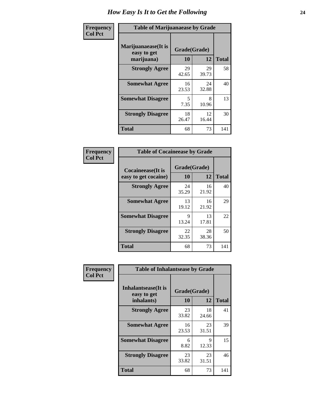| Frequency      | <b>Table of Marijuanaease by Grade</b>           |                    |             |              |  |  |
|----------------|--------------------------------------------------|--------------------|-------------|--------------|--|--|
| <b>Col Pct</b> | Marijuanaease(It is<br>easy to get<br>marijuana) | Grade(Grade)<br>10 | 12          | <b>Total</b> |  |  |
|                | <b>Strongly Agree</b>                            | 29<br>42.65        | 29<br>39.73 | 58           |  |  |
|                | <b>Somewhat Agree</b>                            | 16<br>23.53        | 24<br>32.88 | 40           |  |  |
|                | <b>Somewhat Disagree</b>                         | 5<br>7.35          | 8<br>10.96  | 13           |  |  |
|                | <b>Strongly Disagree</b>                         | 18<br>26.47        | 12<br>16.44 | 30           |  |  |
|                | <b>Total</b>                                     | 68                 | 73          | 141          |  |  |

| <b>Table of Cocaineease by Grade</b> |              |             |              |  |  |  |
|--------------------------------------|--------------|-------------|--------------|--|--|--|
| <b>Cocaineease</b> (It is            | Grade(Grade) |             |              |  |  |  |
| easy to get cocaine)                 | 10           | 12          | <b>Total</b> |  |  |  |
| <b>Strongly Agree</b>                | 24<br>35.29  | 16<br>21.92 | 40           |  |  |  |
| <b>Somewhat Agree</b>                | 13<br>19.12  | 16<br>21.92 | 29           |  |  |  |
| <b>Somewhat Disagree</b>             | 9<br>13.24   | 13<br>17.81 | 22           |  |  |  |
| <b>Strongly Disagree</b>             | 22<br>32.35  | 28<br>38.36 | 50           |  |  |  |
| <b>Total</b>                         | 68           | 73          | 141          |  |  |  |

| Frequency      | <b>Table of Inhalantsease by Grade</b>                                                |             |             |              |  |
|----------------|---------------------------------------------------------------------------------------|-------------|-------------|--------------|--|
| <b>Col Pct</b> | <b>Inhalantsease</b> (It is<br>Grade(Grade)<br>easy to get<br><b>10</b><br>inhalants) |             | 12          | <b>Total</b> |  |
|                | <b>Strongly Agree</b>                                                                 | 23<br>33.82 | 18<br>24.66 | 41           |  |
|                | <b>Somewhat Agree</b>                                                                 | 16<br>23.53 | 23<br>31.51 | 39           |  |
|                | <b>Somewhat Disagree</b>                                                              | 6<br>8.82   | 9<br>12.33  | 15           |  |
|                | <b>Strongly Disagree</b>                                                              | 23<br>33.82 | 23<br>31.51 | 46           |  |
|                | <b>Total</b>                                                                          | 68          | 73          | 141          |  |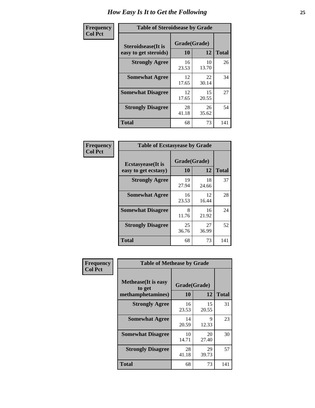| Frequency      | <b>Table of Steroidsease by Grade</b>               |                    |              |     |  |
|----------------|-----------------------------------------------------|--------------------|--------------|-----|--|
| <b>Col Pct</b> | <b>Steroidsease</b> (It is<br>easy to get steroids) | Grade(Grade)<br>10 | <b>Total</b> |     |  |
|                | <b>Strongly Agree</b>                               | 16<br>23.53        | 10<br>13.70  | 26  |  |
|                | <b>Somewhat Agree</b>                               | 12<br>17.65        | 22<br>30.14  | 34  |  |
|                | <b>Somewhat Disagree</b>                            | 12<br>17.65        | 15<br>20.55  | 27  |  |
|                | <b>Strongly Disagree</b>                            | 28<br>41.18        | 26<br>35.62  | 54  |  |
|                | <b>Total</b>                                        | 68                 | 73           | 141 |  |

| Frequency      | <b>Table of Ecstasyease by Grade</b>              |                           |              |     |  |  |  |  |  |
|----------------|---------------------------------------------------|---------------------------|--------------|-----|--|--|--|--|--|
| <b>Col Pct</b> | <b>Ecstasyease</b> (It is<br>easy to get ecstasy) | Grade(Grade)<br><b>10</b> | <b>Total</b> |     |  |  |  |  |  |
|                | <b>Strongly Agree</b>                             | 19<br>27.94               | 18<br>24.66  | 37  |  |  |  |  |  |
|                | <b>Somewhat Agree</b>                             | 16<br>23.53               | 12<br>16.44  | 28  |  |  |  |  |  |
|                | <b>Somewhat Disagree</b>                          | 8<br>11.76                | 16<br>21.92  | 24  |  |  |  |  |  |
|                | <b>Strongly Disagree</b>                          | 25<br>36.76               | 27<br>36.99  | 52  |  |  |  |  |  |
|                | <b>Total</b>                                      | 68                        | 73           | 141 |  |  |  |  |  |

| Frequency      | <b>Table of Methease by Grade</b>                          |                    |             |              |
|----------------|------------------------------------------------------------|--------------------|-------------|--------------|
| <b>Col Pct</b> | <b>Methease</b> (It is easy<br>to get<br>methamphetamines) | Grade(Grade)<br>10 | 12          | <b>Total</b> |
|                | <b>Strongly Agree</b>                                      | 16<br>23.53        | 15<br>20.55 | 31           |
|                | <b>Somewhat Agree</b>                                      | 14<br>20.59        | 9<br>12.33  | 23           |
|                | <b>Somewhat Disagree</b>                                   | 10<br>14.71        | 20<br>27.40 | 30           |
|                | <b>Strongly Disagree</b>                                   | 28<br>41.18        | 29<br>39.73 | 57           |
|                | <b>Total</b>                                               | 68                 | 73          | 141          |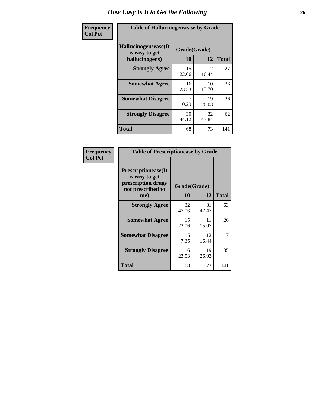| <b>Frequency</b> | <b>Table of Hallucinogensease by Grade</b>               |                    |              |     |  |  |  |  |  |
|------------------|----------------------------------------------------------|--------------------|--------------|-----|--|--|--|--|--|
| <b>Col Pct</b>   | Hallucinogensease(It<br>is easy to get<br>hallucinogens) | Grade(Grade)<br>10 | <b>Total</b> |     |  |  |  |  |  |
|                  | <b>Strongly Agree</b>                                    | 15<br>22.06        | 12<br>16.44  | 27  |  |  |  |  |  |
|                  | <b>Somewhat Agree</b>                                    | 16<br>23.53        | 10<br>13.70  | 26  |  |  |  |  |  |
|                  | <b>Somewhat Disagree</b>                                 | 10.29              | 19<br>26.03  | 26  |  |  |  |  |  |
|                  | <b>Strongly Disagree</b>                                 | 30<br>44.12        | 32<br>43.84  | 62  |  |  |  |  |  |
|                  | <b>Total</b>                                             | 68                 | 73           | 141 |  |  |  |  |  |

| Frequency<br>  Col Pct |
|------------------------|
|                        |

| <b>Table of Prescriptionease by Grade</b>                                                       |                    |             |              |  |  |  |  |  |  |
|-------------------------------------------------------------------------------------------------|--------------------|-------------|--------------|--|--|--|--|--|--|
| <b>Prescriptionease</b> (It<br>is easy to get<br>prescription drugs<br>not prescribed to<br>me) | Grade(Grade)<br>10 | 12          | <b>Total</b> |  |  |  |  |  |  |
| <b>Strongly Agree</b>                                                                           | 32<br>47.06        | 31<br>42.47 | 63           |  |  |  |  |  |  |
| <b>Somewhat Agree</b>                                                                           | 15<br>22.06        | 11<br>15.07 | 26           |  |  |  |  |  |  |
| <b>Somewhat Disagree</b>                                                                        | 5<br>7.35          | 12<br>16.44 | 17           |  |  |  |  |  |  |
| <b>Strongly Disagree</b>                                                                        | 16<br>23.53        | 19<br>26.03 | 35           |  |  |  |  |  |  |
| <b>Total</b>                                                                                    | 68                 | 73          | 141          |  |  |  |  |  |  |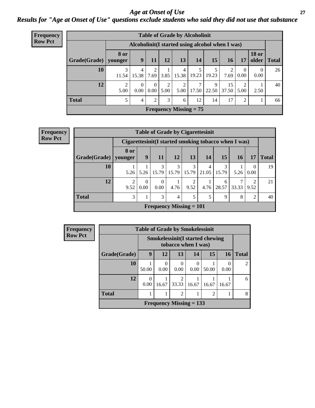#### *Age at Onset of Use* **27** *Results for "Age at Onset of Use" questions exclude students who said they did not use that substance*

| Frequency      | <b>Table of Grade by Alcoholinit</b>             |           |                  |                  |                        |                        |                          |            |             |           |                       |       |
|----------------|--------------------------------------------------|-----------|------------------|------------------|------------------------|------------------------|--------------------------|------------|-------------|-----------|-----------------------|-------|
| <b>Row Pct</b> | Alcoholinit (I started using alcohol when I was) |           |                  |                  |                        |                        |                          |            |             |           |                       |       |
|                | $Grade(Grade)$ younger                           | 8 or      | 9                | 11               | 12                     | 13                     | 14                       | 15         | 16          | 17        | <b>18 or</b><br>older | Total |
|                | 10                                               | 11.54     | 4<br>15.38       | 2<br>7.69        | 3.85                   | 4<br>15.38             | 19.23                    | 19.23      | 7.69        | 0.00      | $\theta$<br>0.00      | 26    |
|                | 12                                               | 2<br>5.00 | $\theta$<br>0.00 | $\theta$<br>0.00 | $\overline{2}$<br>5.00 | $\mathfrak{D}$<br>5.00 | ⇁<br>17.50               | 9<br>22.50 | 15<br>37.50 | ∍<br>5.00 | 2.50                  | 40    |
|                | <b>Total</b>                                     |           | 4                | 2                | 3                      | 6                      | 12                       | 14         | 17          | 2         |                       | 66    |
|                |                                                  |           |                  |                  |                        |                        | Frequency Missing $= 75$ |            |             |           |                       |       |

| <b>Table of Grade by Cigarettesinit</b>               |      |           |                                |            |       |            |             |       |           |              |  |
|-------------------------------------------------------|------|-----------|--------------------------------|------------|-------|------------|-------------|-------|-----------|--------------|--|
| Cigarettesinit (I started smoking tobacco when I was) |      |           |                                |            |       |            |             |       |           |              |  |
| Grade(Grade)   younger                                | 8 or | 9         | <b>11</b>                      | <b>12</b>  | 13    | 14         | 15          | 16    | 17        | <b>Total</b> |  |
| 10                                                    | 5.26 | 5.26      | 3<br>15.79                     | 3<br>15.79 | 15.79 | 4<br>21.05 | 3<br>15.79  | 5.26  | 0<br>0.00 | 19           |  |
| 12                                                    | 9.52 | 0<br>0.00 | 0<br>0.00                      | 4.76       | 9.52  | 4.76       | 6<br>28.57  | 33.33 | ∍<br>9.52 | 21           |  |
| <b>Total</b>                                          | 3    | 1         | 3                              | 4          | 5     | 5          | $\mathbf Q$ | 8     | 2         | 40           |  |
|                                                       |      |           | <b>Frequency Missing = 101</b> |            |       |            |             |       |           |              |  |

**Frequency Row Pct**

| Frequency      |              | <b>Table of Grade by Smokelessinit</b> |           |                           |                  |                                        |           |                |  |
|----------------|--------------|----------------------------------------|-----------|---------------------------|------------------|----------------------------------------|-----------|----------------|--|
| <b>Row Pct</b> |              |                                        |           | tobacco when I was)       |                  | <b>Smokelessinit(I started chewing</b> |           |                |  |
|                | Grade(Grade) | 9                                      | 12        | 13                        | 14               | 15                                     | <b>16</b> | <b>Total</b>   |  |
|                | 10           | 50.00                                  | 0<br>0.00 | $\theta$<br>0.00          | $\Omega$<br>0.00 | 50.00                                  | 0.00      | $\overline{2}$ |  |
|                | 12           | 0<br>0.00                              | 16.67     | 2<br>33.33                | 16.67            | 16.67                                  | 16.67     | 6              |  |
|                | <b>Total</b> |                                        |           | $\overline{2}$            |                  | $\mathfrak{D}$                         |           | 8              |  |
|                |              |                                        |           | Frequency Missing $= 133$ |                  |                                        |           |                |  |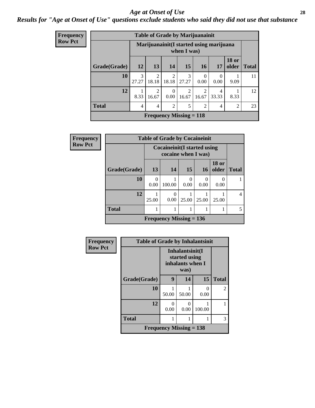#### *Age at Onset of Use* **28**

### *Results for "Age at Onset of Use" questions exclude students who said they did not use that substance*

| Frequency      | <b>Table of Grade by Marijuanainit</b> |                        |                         |                         |                                                        |                  |                         |                       |              |  |  |
|----------------|----------------------------------------|------------------------|-------------------------|-------------------------|--------------------------------------------------------|------------------|-------------------------|-----------------------|--------------|--|--|
| <b>Row Pct</b> |                                        |                        |                         |                         | Marijuanainit(I started using marijuana<br>when I was) |                  |                         |                       |              |  |  |
|                | Grade(Grade)                           | 12                     | 13                      | 14                      | 15                                                     | <b>16</b>        | 17                      | <b>18 or</b><br>older | <b>Total</b> |  |  |
|                | 10                                     | $\mathcal{R}$<br>27.27 | $\overline{2}$<br>18.18 | $\overline{2}$<br>18.18 | $\mathcal{R}$<br>27.27                                 | $\Omega$<br>0.00 | $\Omega$<br>0.00        | 9.09                  | 11           |  |  |
|                | 12                                     | 8.33                   | $\mathfrak{D}$<br>16.67 | $\Omega$<br>0.00        | 2<br>16.67                                             | 2<br>16.67       | $\overline{4}$<br>33.33 | 8.33                  | 12           |  |  |
|                | <b>Total</b>                           | 4                      | 4                       | $\overline{2}$          | 5                                                      | $\overline{2}$   | $\overline{4}$          | $\overline{2}$        | 23           |  |  |
|                |                                        |                        |                         |                         | <b>Frequency Missing = 118</b>                         |                  |                         |                       |              |  |  |

| Frequency      |              | <b>Table of Grade by Cocaineinit</b> |                                     |                 |           |                       |              |  |  |  |  |
|----------------|--------------|--------------------------------------|-------------------------------------|-----------------|-----------|-----------------------|--------------|--|--|--|--|
| <b>Row Pct</b> |              |                                      | <b>Cocaineinit</b> (I started using |                 |           |                       |              |  |  |  |  |
|                | Grade(Grade) | 13                                   | 14                                  | 15 <sup>1</sup> | 16        | <b>18 or</b><br>older | <b>Total</b> |  |  |  |  |
|                | 10           | $\Omega$<br>0.00                     | 100.00                              | 0<br>0.00       | 0<br>0.00 | 0.00                  |              |  |  |  |  |
|                | 12           | 25.00                                | 0<br>0.00                           | 25.00           | 25.00     | 25.00                 | 4            |  |  |  |  |
|                | <b>Total</b> |                                      |                                     |                 |           |                       | 5.           |  |  |  |  |
|                |              |                                      | Frequency Missing $= 136$           |                 |           |                       |              |  |  |  |  |

| Frequency      | <b>Table of Grade by Inhalantsinit</b> |                                                      |                           |        |                |  |  |
|----------------|----------------------------------------|------------------------------------------------------|---------------------------|--------|----------------|--|--|
| <b>Row Pct</b> |                                        | Inhalantsinit(I<br>started using<br>inhalants when I |                           |        |                |  |  |
|                | Grade(Grade)                           | 9                                                    | 14                        | 15     | <b>Total</b>   |  |  |
|                | 10                                     | 50.00                                                | 50.00                     | 0.00   | $\overline{c}$ |  |  |
|                | 12                                     | 0<br>0.00                                            | $\mathbf{\Omega}$<br>0.00 | 100.00 |                |  |  |
|                | <b>Total</b>                           |                                                      |                           |        | 3              |  |  |
|                |                                        | <b>Frequency Missing = 138</b>                       |                           |        |                |  |  |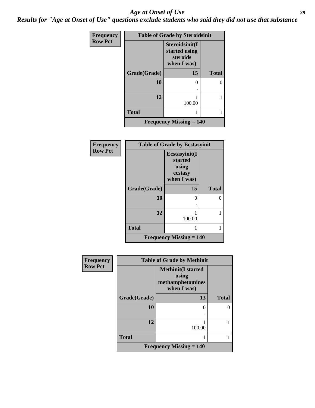#### *Age at Onset of Use* **29**

*Results for "Age at Onset of Use" questions exclude students who said they did not use that substance*

| Frequency      |              | <b>Table of Grade by Steroidsinit</b>                      |              |  |  |
|----------------|--------------|------------------------------------------------------------|--------------|--|--|
| <b>Row Pct</b> |              | Steroidsinit(I<br>started using<br>steroids<br>when I was) |              |  |  |
|                | Grade(Grade) | 15                                                         | <b>Total</b> |  |  |
|                | 10           | 0                                                          |              |  |  |
|                | 12           | 100.00                                                     |              |  |  |
|                | <b>Total</b> |                                                            |              |  |  |
|                |              | <b>Frequency Missing <math>= 140</math></b>                |              |  |  |

| Frequency      |              | <b>Table of Grade by Ecstasyinit</b>                        |              |  |  |
|----------------|--------------|-------------------------------------------------------------|--------------|--|--|
| <b>Row Pct</b> |              | Ecstasyinit(I<br>started<br>using<br>ecstasy<br>when I was) |              |  |  |
|                | Grade(Grade) | 15                                                          | <b>Total</b> |  |  |
|                | 10           | 0                                                           | 0            |  |  |
|                | 12           | 100.00                                                      |              |  |  |
|                | <b>Total</b> | 1                                                           | 1            |  |  |
|                |              | <b>Frequency Missing <math>= 140</math></b>                 |              |  |  |

| Frequency      | <b>Table of Grade by Methinit</b> |                                                                       |              |  |
|----------------|-----------------------------------|-----------------------------------------------------------------------|--------------|--|
| <b>Row Pct</b> |                                   | <b>Methinit(I started</b><br>using<br>methamphetamines<br>when I was) |              |  |
|                | Grade(Grade)                      | 13                                                                    | <b>Total</b> |  |
|                | 10                                | 0                                                                     |              |  |
|                | 12                                | 100.00                                                                |              |  |
|                | <b>Total</b>                      |                                                                       |              |  |
|                |                                   | <b>Frequency Missing = 140</b>                                        |              |  |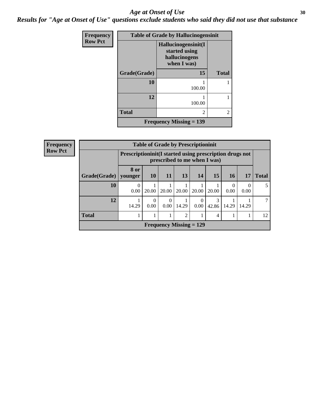#### Age at Onset of Use **30**

*Results for "Age at Onset of Use" questions exclude students who said they did not use that substance*

| Frequency      | <b>Table of Grade by Hallucinogensinit</b> |                                                                      |                |  |  |
|----------------|--------------------------------------------|----------------------------------------------------------------------|----------------|--|--|
| <b>Row Pct</b> |                                            | Hallucinogensinit(I<br>started using<br>hallucinogens<br>when I was) |                |  |  |
|                | Grade(Grade)                               | 15                                                                   | <b>Total</b>   |  |  |
|                | 10                                         | 100.00                                                               |                |  |  |
|                | 12                                         | 100.00                                                               |                |  |  |
|                | <b>Total</b>                               | 2                                                                    | $\overline{c}$ |  |  |
|                |                                            | Frequency Missing $= 139$                                            |                |  |  |

| <b>Frequency</b> |              | <b>Table of Grade by Prescriptioninit</b> |                                                                                            |                           |                |                  |            |                  |           |              |
|------------------|--------------|-------------------------------------------|--------------------------------------------------------------------------------------------|---------------------------|----------------|------------------|------------|------------------|-----------|--------------|
| <b>Row Pct</b>   |              |                                           | Prescription in it (I started using prescription drugs not<br>prescribed to me when I was) |                           |                |                  |            |                  |           |              |
|                  | Grade(Grade) | 8 or<br>  younger                         | <b>10</b>                                                                                  | 11                        | 13             | <b>14</b>        | 15         | 16               | 17        | <b>Total</b> |
|                  | 10           | $\Omega$<br>0.00                          | 20.00                                                                                      | 20.00                     | 20.00          | 20.00            | 20.00      | $\Omega$<br>0.00 | 0<br>0.00 |              |
|                  | 12           | 14.29                                     | $\Omega$<br>0.00                                                                           | 0<br>0.00                 | 14.29          | $\Omega$<br>0.00 | 3<br>42.86 | 14.29            | 14.29     |              |
|                  | <b>Total</b> |                                           |                                                                                            |                           | $\overline{2}$ |                  | 4          |                  |           | 12           |
|                  |              |                                           |                                                                                            | Frequency Missing $= 129$ |                |                  |            |                  |           |              |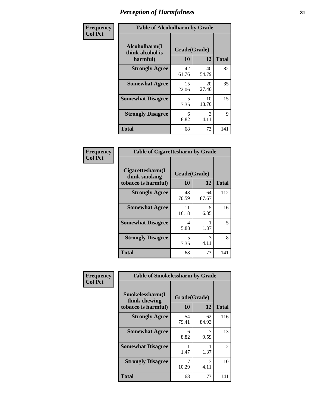| Frequency      | <b>Table of Alcoholharm by Grade</b>          |                    |             |              |
|----------------|-----------------------------------------------|--------------------|-------------|--------------|
| <b>Col Pct</b> | Alcoholharm(I<br>think alcohol is<br>harmful) | Grade(Grade)<br>10 | 12          | <b>Total</b> |
|                | <b>Strongly Agree</b>                         | 42<br>61.76        | 40<br>54.79 | 82           |
|                | <b>Somewhat Agree</b>                         | 15<br>22.06        | 20<br>27.40 | 35           |
|                | <b>Somewhat Disagree</b>                      | 5<br>7.35          | 10<br>13.70 | 15           |
|                | <b>Strongly Disagree</b>                      | 6<br>8.82          | 3<br>4.11   | 9            |
|                | <b>Total</b>                                  | 68                 | 73          | 141          |

| <b>Table of Cigarettesharm by Grade</b>                  |                    |             |              |  |
|----------------------------------------------------------|--------------------|-------------|--------------|--|
| Cigarettesharm(I<br>think smoking<br>tobacco is harmful) | Grade(Grade)<br>10 | 12          | <b>Total</b> |  |
| <b>Strongly Agree</b>                                    | 48<br>70.59        | 64<br>87.67 | 112          |  |
| <b>Somewhat Agree</b>                                    | 11<br>16.18        | 5<br>6.85   | 16           |  |
| <b>Somewhat Disagree</b>                                 | 4<br>5.88          | 1.37        | 5            |  |
| <b>Strongly Disagree</b>                                 | 5<br>7.35          | 3<br>4.11   | 8            |  |
| <b>Total</b>                                             | 68                 | 73          | 141          |  |

| Frequency      | <b>Table of Smokelessharm by Grade</b>                  |                    |             |              |
|----------------|---------------------------------------------------------|--------------------|-------------|--------------|
| <b>Col Pct</b> | Smokelessharm(I<br>think chewing<br>tobacco is harmful) | Grade(Grade)<br>10 | 12          | <b>Total</b> |
|                | <b>Strongly Agree</b>                                   | 54<br>79.41        | 62<br>84.93 | 116          |
|                | <b>Somewhat Agree</b>                                   | 6<br>8.82          | 9.59        | 13           |
|                | <b>Somewhat Disagree</b>                                | 1.47               | 1.37        | 2            |
|                | <b>Strongly Disagree</b>                                | 10.29              | 3<br>4.11   | 10           |
|                | <b>Total</b>                                            | 68                 | 73          | 141          |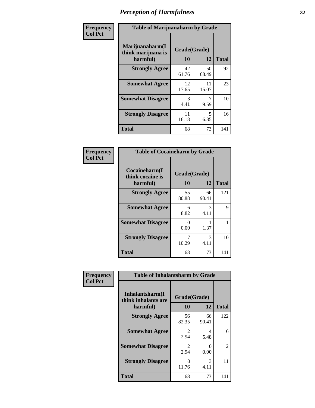| Frequency      | <b>Table of Marijuanaharm by Grade</b>            |                    |             |              |
|----------------|---------------------------------------------------|--------------------|-------------|--------------|
| <b>Col Pct</b> | Marijuanaharm(I<br>think marijuana is<br>harmful) | Grade(Grade)<br>10 | 12          | <b>Total</b> |
|                | <b>Strongly Agree</b>                             | 42<br>61.76        | 50<br>68.49 | 92           |
|                | <b>Somewhat Agree</b>                             | 12<br>17.65        | 11<br>15.07 | 23           |
|                | <b>Somewhat Disagree</b>                          | 3<br>4.41          | 9.59        | 10           |
|                | <b>Strongly Disagree</b>                          | 11<br>16.18        | 5<br>6.85   | 16           |
|                | <b>Total</b>                                      | 68                 | 73          | 141          |

| <b>Table of Cocaineharm by Grade</b>          |                    |             |              |  |  |
|-----------------------------------------------|--------------------|-------------|--------------|--|--|
| Cocaineharm(I<br>think cocaine is<br>harmful) | Grade(Grade)<br>10 | 12          | <b>Total</b> |  |  |
| <b>Strongly Agree</b>                         | 55<br>80.88        | 66<br>90.41 | 121          |  |  |
| <b>Somewhat Agree</b>                         | 6<br>8.82          | 3<br>4.11   | 9            |  |  |
| <b>Somewhat Disagree</b>                      | $\Omega$<br>0.00   | 1.37        | 1            |  |  |
| <b>Strongly Disagree</b>                      | 7<br>10.29         | 3<br>4.11   | 10           |  |  |
| <b>Total</b>                                  | 68                 | 73          | 141          |  |  |

| Frequency      | <b>Table of Inhalantsharm by Grade</b>  |                        |             |              |  |
|----------------|-----------------------------------------|------------------------|-------------|--------------|--|
| <b>Col Pct</b> | Inhalantsharm(I)<br>think inhalants are | Grade(Grade)           |             |              |  |
|                | harmful)                                | 10                     | 12          | <b>Total</b> |  |
|                | <b>Strongly Agree</b>                   | 56<br>82.35            | 66<br>90.41 | 122          |  |
|                | <b>Somewhat Agree</b>                   | $\mathfrak{D}$<br>2.94 | 4<br>5.48   | 6            |  |
|                | <b>Somewhat Disagree</b>                | $\mathfrak{D}$<br>2.94 | 0<br>0.00   | 2            |  |
|                | <b>Strongly Disagree</b>                | 8<br>11.76             | 3<br>4.11   | 11           |  |
|                | <b>Total</b>                            | 68                     | 73          | 141          |  |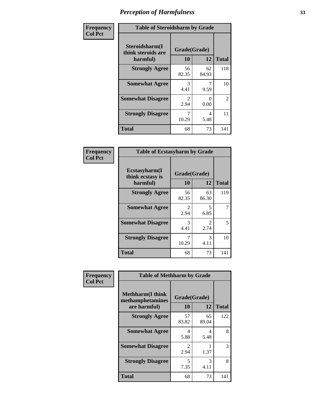| Frequency      | <b>Table of Steroidsharm by Grade</b>            |                                     |             |                |
|----------------|--------------------------------------------------|-------------------------------------|-------------|----------------|
| <b>Col Pct</b> | Steroidsharm(I<br>think steroids are<br>harmful) | Grade(Grade)<br>10                  | 12          | <b>Total</b>   |
|                | <b>Strongly Agree</b>                            | 56<br>82.35                         | 62<br>84.93 | 118            |
|                | <b>Somewhat Agree</b>                            | 3<br>4.41                           | 9.59        | 10             |
|                | <b>Somewhat Disagree</b>                         | $\mathcal{D}_{\mathcal{L}}$<br>2.94 | 0<br>0.00   | $\mathfrak{D}$ |
|                | <b>Strongly Disagree</b>                         | 10.29                               | 4<br>5.48   | 11             |
|                | <b>Total</b>                                     | 68                                  | 73          | 141            |

| <b>Table of Ecstasyharm by Grade</b>          |                    |                        |     |  |  |
|-----------------------------------------------|--------------------|------------------------|-----|--|--|
| Ecstasyharm(I<br>think ecstasy is<br>harmful) | Grade(Grade)<br>10 | <b>Total</b>           |     |  |  |
| <b>Strongly Agree</b>                         | 56<br>82.35        | 63<br>86.30            | 119 |  |  |
| <b>Somewhat Agree</b>                         | 2<br>2.94          | 5<br>6.85              | 7   |  |  |
| <b>Somewhat Disagree</b>                      | 3<br>4.41          | $\mathfrak{D}$<br>2.74 | 5   |  |  |
| <b>Strongly Disagree</b>                      | 7<br>10.29         | 3<br>4.11              | 10  |  |  |
| <b>Total</b>                                  | 68                 | 73                     | 141 |  |  |

| Frequency      | <b>Table of Methharm by Grade</b>                            |                           |             |              |
|----------------|--------------------------------------------------------------|---------------------------|-------------|--------------|
| <b>Col Pct</b> | <b>Methharm</b> (I think<br>methamphetamines<br>are harmful) | Grade(Grade)<br><b>10</b> | 12          | <b>Total</b> |
|                | <b>Strongly Agree</b>                                        | 57<br>83.82               | 65<br>89.04 | 122          |
|                | <b>Somewhat Agree</b>                                        | 4<br>5.88                 | 4<br>5.48   | 8            |
|                | <b>Somewhat Disagree</b>                                     | $\mathfrak{D}$<br>2.94    | 1.37        | 3            |
|                | <b>Strongly Disagree</b>                                     | 5<br>7.35                 | 3<br>4.11   | 8            |
|                | <b>Total</b>                                                 | 68                        | 73          | 141          |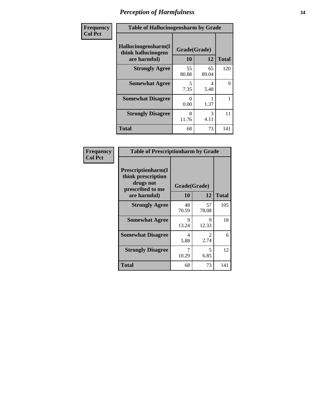| Frequency      | <b>Table of Hallucinogensharm by Grade</b>                 |                    |             |              |
|----------------|------------------------------------------------------------|--------------------|-------------|--------------|
| <b>Col Pct</b> | Hallucinogensharm(I<br>think hallucinogens<br>are harmful) | Grade(Grade)<br>10 | 12          | <b>Total</b> |
|                | <b>Strongly Agree</b>                                      | 55<br>80.88        | 65<br>89.04 | 120          |
|                | <b>Somewhat Agree</b>                                      | 5<br>7.35          | 4<br>5.48   | 9            |
|                | <b>Somewhat Disagree</b>                                   | 0<br>0.00          | 1.37        | 1            |
|                | <b>Strongly Disagree</b>                                   | 8<br>11.76         | 3<br>4.11   | 11           |
|                | <b>Total</b>                                               | 68                 | 73          | 141          |

| <b>Table of Prescriptionharm by Grade</b>                                                 |                    |                                     |              |  |
|-------------------------------------------------------------------------------------------|--------------------|-------------------------------------|--------------|--|
| Prescriptionharm(I<br>think prescription<br>drugs not<br>prescribed to me<br>are harmful) | Grade(Grade)<br>10 | 12                                  | <b>Total</b> |  |
| <b>Strongly Agree</b>                                                                     | 48<br>70.59        | 57<br>78.08                         | 105          |  |
| <b>Somewhat Agree</b>                                                                     | 9<br>13.24         | 9<br>12.33                          | 18           |  |
| <b>Somewhat Disagree</b>                                                                  | 4<br>5.88          | $\mathcal{D}_{\mathcal{L}}$<br>2.74 | 6            |  |
| <b>Strongly Disagree</b>                                                                  | 7<br>10.29         | 5<br>6.85                           | 12           |  |
| <b>Total</b>                                                                              | 68                 | 73                                  | 141          |  |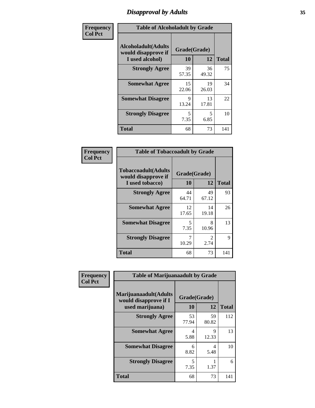### *Disapproval by Adults* **35**

| Frequency      | <b>Table of Alcoholadult by Grade</b>                                 |                    |             |              |
|----------------|-----------------------------------------------------------------------|--------------------|-------------|--------------|
| <b>Col Pct</b> | <b>Alcoholadult</b> (Adults<br>would disapprove if<br>I used alcohol) | Grade(Grade)<br>10 | 12          | <b>Total</b> |
|                | <b>Strongly Agree</b>                                                 | 39<br>57.35        | 36<br>49.32 | 75           |
|                | <b>Somewhat Agree</b>                                                 | 15<br>22.06        | 19<br>26.03 | 34           |
|                | <b>Somewhat Disagree</b>                                              | 9<br>13.24         | 13<br>17.81 | 22           |
|                | <b>Strongly Disagree</b>                                              | 5<br>7.35          | 5<br>6.85   | 10           |
|                | <b>Total</b>                                                          | 68                 | 73          | 141          |

| <b>Table of Tobaccoadult by Grade</b>                         |                    |                       |              |  |
|---------------------------------------------------------------|--------------------|-----------------------|--------------|--|
| Tobaccoadult(Adults<br>would disapprove if<br>I used tobacco) | Grade(Grade)<br>10 | 12                    | <b>Total</b> |  |
| <b>Strongly Agree</b>                                         | 44<br>64.71        | 49<br>67.12           | 93           |  |
| <b>Somewhat Agree</b>                                         | 12<br>17.65        | 14<br>19.18           | 26           |  |
| <b>Somewhat Disagree</b>                                      | 5<br>7.35          | 8<br>10.96            | 13           |  |
| <b>Strongly Disagree</b>                                      | 7<br>10.29         | $\mathcal{L}$<br>2.74 | 9            |  |
| <b>Total</b>                                                  | 68                 | 73                    | 141          |  |

| Frequency      | <b>Table of Marijuanaadult by Grade</b>                           |                    |             |              |
|----------------|-------------------------------------------------------------------|--------------------|-------------|--------------|
| <b>Col Pct</b> | Marijuanaadult(Adults<br>would disapprove if I<br>used marijuana) | Grade(Grade)<br>10 | 12          | <b>Total</b> |
|                | <b>Strongly Agree</b>                                             | 53<br>77.94        | 59<br>80.82 | 112          |
|                | <b>Somewhat Agree</b>                                             | 4<br>5.88          | 9<br>12.33  | 13           |
|                | <b>Somewhat Disagree</b>                                          | 6<br>8.82          | 4<br>5.48   | 10           |
|                | <b>Strongly Disagree</b>                                          | 5<br>7.35          | 1.37        | 6            |
|                | <b>Total</b>                                                      | 68                 | 73          | 141          |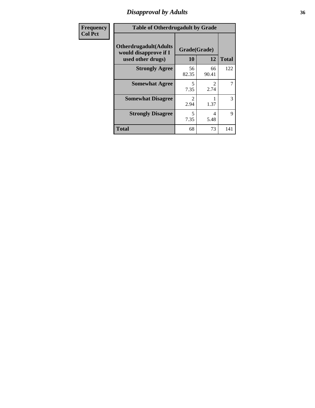### *Disapproval by Adults* **36**

| <b>Frequency</b> | <b>Table of Otherdrugadult by Grade</b>                                     |                    |                               |              |
|------------------|-----------------------------------------------------------------------------|--------------------|-------------------------------|--------------|
| <b>Col Pct</b>   | <b>Otherdrugadult</b> (Adults<br>would disapprove if I<br>used other drugs) | Grade(Grade)<br>10 | 12                            | <b>Total</b> |
|                  | <b>Strongly Agree</b>                                                       | 56<br>82.35        | 66<br>90.41                   | 122          |
|                  | <b>Somewhat Agree</b>                                                       | 5<br>7.35          | $\mathcal{D}_{\cdot}$<br>2.74 | 7            |
|                  | <b>Somewhat Disagree</b>                                                    | 2.94               | 1.37                          | 3            |
|                  | <b>Strongly Disagree</b>                                                    | 5<br>7.35          | 4<br>5.48                     | 9            |
|                  | <b>Total</b>                                                                | 68                 | 73                            | 141          |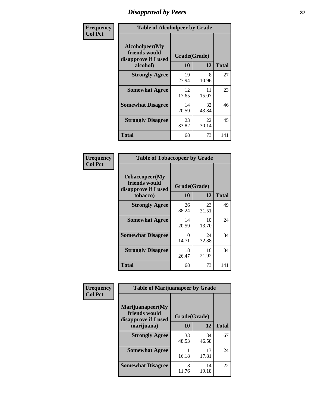# *Disapproval by Peers* **37**

| Frequency      | <b>Table of Alcoholpeer by Grade</b>                    |              |             |              |  |
|----------------|---------------------------------------------------------|--------------|-------------|--------------|--|
| <b>Col Pct</b> | Alcoholpeer(My<br>friends would<br>disapprove if I used | Grade(Grade) |             |              |  |
|                | alcohol)                                                | 10           | 12          | <b>Total</b> |  |
|                | <b>Strongly Agree</b>                                   | 19<br>27.94  | 8<br>10.96  | 27           |  |
|                | <b>Somewhat Agree</b>                                   | 12<br>17.65  | 11<br>15.07 | 23           |  |
|                | <b>Somewhat Disagree</b>                                | 14<br>20.59  | 32<br>43.84 | 46           |  |
|                | <b>Strongly Disagree</b>                                | 23<br>33.82  | 22<br>30.14 | 45           |  |
|                | Total                                                   | 68           | 73          | 141          |  |

| Frequency      | <b>Table of Tobaccopeer by Grade</b>                                |                    |             |              |
|----------------|---------------------------------------------------------------------|--------------------|-------------|--------------|
| <b>Col Pct</b> | Tobaccopeer(My<br>friends would<br>disapprove if I used<br>tobacco) | Grade(Grade)<br>10 | 12          | <b>Total</b> |
|                | <b>Strongly Agree</b>                                               | 26<br>38.24        | 23<br>31.51 | 49           |
|                | <b>Somewhat Agree</b>                                               | 14<br>20.59        | 10<br>13.70 | 24           |
|                | <b>Somewhat Disagree</b>                                            | 10<br>14.71        | 24<br>32.88 | 34           |
|                | <b>Strongly Disagree</b>                                            | 18<br>26.47        | 16<br>21.92 | 34           |
|                | <b>Total</b>                                                        | 68                 | 73          | 141          |

| Frequency      | <b>Table of Marijuanapeer by Grade</b>                    |              |             |              |
|----------------|-----------------------------------------------------------|--------------|-------------|--------------|
| <b>Col Pct</b> | Marijuanapeer(My<br>friends would<br>disapprove if I used | Grade(Grade) |             |              |
|                | marijuana)                                                | 10           | 12          | <b>Total</b> |
|                | <b>Strongly Agree</b>                                     | 33<br>48.53  | 34<br>46.58 | 67           |
|                | <b>Somewhat Agree</b>                                     | 11<br>16.18  | 13<br>17.81 | 24           |
|                | <b>Somewhat Disagree</b>                                  | 8<br>11.76   | 14<br>19.18 | 22           |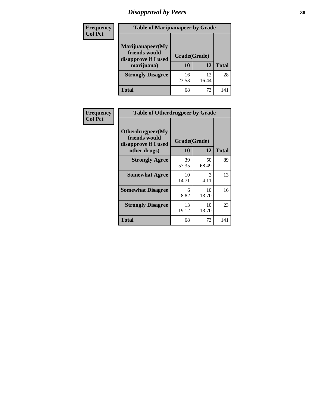# *Disapproval by Peers* **38**

| <b>Frequency</b> | <b>Table of Marijuanapeer by Grade</b>                                  |                    |              |              |
|------------------|-------------------------------------------------------------------------|--------------------|--------------|--------------|
| <b>Col Pct</b>   | Marijuanapeer(My<br>friends would<br>disapprove if I used<br>marijuana) | Grade(Grade)<br>10 | 12           | <b>Total</b> |
|                  | <b>Strongly Disagree</b>                                                | 16<br>23.53        | 12.<br>16.44 | 28           |
|                  | <b>Total</b>                                                            | 68                 | 73           | 141          |

| Frequency      | <b>Table of Otherdrugpeer by Grade</b>                                    |                           |             |              |
|----------------|---------------------------------------------------------------------------|---------------------------|-------------|--------------|
| <b>Col Pct</b> | Otherdrugpeer(My<br>friends would<br>disapprove if I used<br>other drugs) | Grade(Grade)<br><b>10</b> | 12          | <b>Total</b> |
|                | <b>Strongly Agree</b>                                                     | 39<br>57.35               | 50<br>68.49 | 89           |
|                | <b>Somewhat Agree</b>                                                     | 10<br>14.71               | 3<br>4.11   | 13           |
|                | <b>Somewhat Disagree</b>                                                  | 6<br>8.82                 | 10<br>13.70 | 16           |
|                | <b>Strongly Disagree</b>                                                  | 13<br>19.12               | 10<br>13.70 | 23           |
|                | <b>Total</b>                                                              | 68                        | 73          | 141          |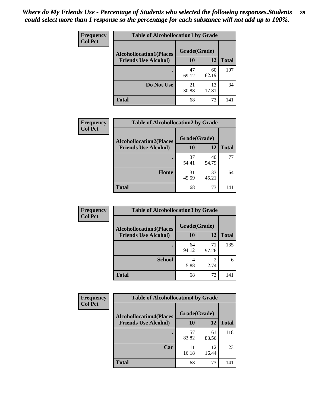| Frequency<br><b>Col Pct</b> | <b>Table of Alcohollocation1 by Grade</b> |              |             |              |
|-----------------------------|-------------------------------------------|--------------|-------------|--------------|
|                             | <b>Alcohollocation1(Places</b>            | Grade(Grade) |             |              |
|                             | <b>Friends Use Alcohol)</b>               | 10           | 12          | <b>Total</b> |
|                             |                                           | 47<br>69.12  | 60<br>82.19 | 107          |
|                             | Do Not Use                                | 21<br>30.88  | 13<br>17.81 | 34           |
|                             | <b>Total</b>                              | 68           | 73          | 141          |

| Frequency      | <b>Table of Alcohollocation2 by Grade</b>                     |                    |             |              |
|----------------|---------------------------------------------------------------|--------------------|-------------|--------------|
| <b>Col Pct</b> | <b>Alcohollocation2(Places</b><br><b>Friends Use Alcohol)</b> | Grade(Grade)<br>10 | 12          | <b>Total</b> |
|                |                                                               |                    |             |              |
|                |                                                               | 37<br>54.41        | 40<br>54.79 | 77           |
|                | Home                                                          | 31<br>45.59        | 33<br>45.21 | 64           |
|                | <b>Total</b>                                                  | 68                 | 73          | 141          |

| Frequency<br><b>Col Pct</b> | <b>Table of Alcohollocation 3 by Grade</b>                    |                    |             |              |
|-----------------------------|---------------------------------------------------------------|--------------------|-------------|--------------|
|                             | <b>Alcohollocation3(Places</b><br><b>Friends Use Alcohol)</b> | Grade(Grade)<br>10 | 12          | <b>Total</b> |
|                             |                                                               | 64<br>94.12        | 71<br>97.26 | 135          |
|                             | <b>School</b>                                                 | 4<br>5.88          | 2<br>2.74   | 6            |
|                             | <b>Total</b>                                                  | 68                 | 73          | 141          |

| <b>Frequency</b> | <b>Table of Alcohollocation4 by Grade</b> |              |             |              |  |
|------------------|-------------------------------------------|--------------|-------------|--------------|--|
| <b>Col Pct</b>   | <b>Alcohollocation4(Places</b>            | Grade(Grade) |             |              |  |
|                  | <b>Friends Use Alcohol)</b>               | 10           | 12          | <b>Total</b> |  |
|                  |                                           | 57<br>83.82  | 61<br>83.56 | 118          |  |
|                  | Car                                       | 16.18        | 12<br>16.44 | 23           |  |
|                  | <b>Total</b>                              | 68           | 73          | 141          |  |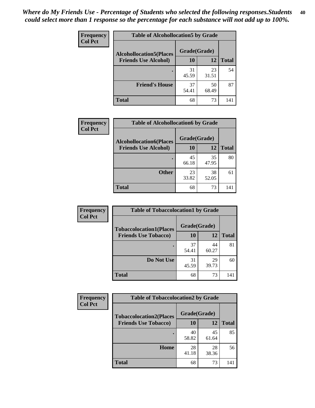| Frequency<br><b>Col Pct</b> | <b>Table of Alcohollocation5 by Grade</b> |              |             |              |
|-----------------------------|-------------------------------------------|--------------|-------------|--------------|
|                             | <b>Alcohollocation5(Places</b>            | Grade(Grade) |             |              |
|                             | <b>Friends Use Alcohol)</b>               | 10           | 12          | <b>Total</b> |
|                             |                                           | 31<br>45.59  | 23<br>31.51 | 54           |
|                             | <b>Friend's House</b>                     | 37<br>54.41  | 50<br>68.49 | 87           |
|                             | <b>Total</b>                              | 68           | 73          | 141          |

| <b>Frequency</b> | <b>Table of Alcohollocation6 by Grade</b> |              |             |              |
|------------------|-------------------------------------------|--------------|-------------|--------------|
| <b>Col Pct</b>   | <b>Alcohollocation6(Places</b>            | Grade(Grade) |             |              |
|                  | <b>Friends Use Alcohol)</b>               | 10           | 12          | <b>Total</b> |
|                  |                                           | 45<br>66.18  | 35<br>47.95 | 80           |
|                  | <b>Other</b>                              | 23<br>33.82  | 38<br>52.05 | 61           |
|                  | <b>Total</b>                              | 68           | 73          | 141          |

| Frequency      | <b>Table of Tobaccolocation1 by Grade</b> |              |             |              |
|----------------|-------------------------------------------|--------------|-------------|--------------|
| <b>Col Pct</b> | <b>Tobaccolocation1(Places</b>            | Grade(Grade) |             |              |
|                | <b>Friends Use Tobacco)</b>               | <b>10</b>    | 12          | <b>Total</b> |
|                |                                           | 37<br>54.41  | 44<br>60.27 | 81           |
|                | Do Not Use                                | 31<br>45.59  | 29<br>39.73 | 60           |
|                | <b>Total</b>                              | 68           | 73          | 141          |

| <b>Frequency</b> | <b>Table of Tobaccolocation2 by Grade</b> |              |             |              |  |
|------------------|-------------------------------------------|--------------|-------------|--------------|--|
| <b>Col Pct</b>   | <b>Tobaccolocation2(Places</b>            | Grade(Grade) |             |              |  |
|                  | <b>Friends Use Tobacco)</b>               | 10           | 12          | <b>Total</b> |  |
|                  |                                           | 40<br>58.82  | 45<br>61.64 | 85           |  |
|                  | Home                                      | 28<br>41.18  | 28<br>38.36 | 56           |  |
|                  | <b>Total</b>                              | 68           | 73          | 141          |  |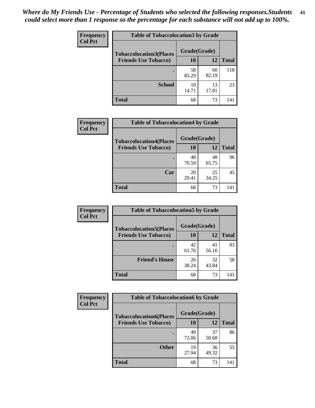| Frequency      | <b>Table of Tobaccolocation 3 by Grade</b> |              |             |              |
|----------------|--------------------------------------------|--------------|-------------|--------------|
| <b>Col Pct</b> | <b>Tobaccolocation3(Places</b>             | Grade(Grade) |             |              |
|                | <b>Friends Use Tobacco)</b>                | 10           | <b>12</b>   | <b>Total</b> |
|                | ٠                                          | 58<br>85.29  | 60<br>82.19 | 118          |
|                | <b>School</b>                              | 10<br>14.71  | 13<br>17.81 | 23           |
|                | <b>Total</b>                               | 68           | 73          | 141          |

| Frequency      | <b>Table of Tobaccolocation4 by Grade</b> |              |             |              |
|----------------|-------------------------------------------|--------------|-------------|--------------|
| <b>Col Pct</b> | <b>Tobaccolocation4(Places</b>            | Grade(Grade) |             |              |
|                | <b>Friends Use Tobacco)</b>               | 10           | 12          | <b>Total</b> |
|                |                                           | 48<br>70.59  | 48<br>65.75 | 96           |
|                | Car                                       | 20<br>29.41  | 25<br>34.25 | 45           |
|                | <b>Total</b>                              | 68           | 73          | 141          |

| Frequency      | <b>Table of Tobaccolocation5 by Grade</b> |              |             |              |
|----------------|-------------------------------------------|--------------|-------------|--------------|
| <b>Col Pct</b> | <b>Tobaccolocation5(Places</b>            | Grade(Grade) |             |              |
|                | <b>Friends Use Tobacco)</b>               | 10           | 12          | <b>Total</b> |
|                |                                           | 42<br>61.76  | 41<br>56.16 | 83           |
|                | <b>Friend's House</b>                     | 26<br>38.24  | 32<br>43.84 | 58           |
|                | <b>Total</b>                              | 68           | 73          | 141          |

| <b>Frequency</b> | <b>Table of Tobaccolocation6 by Grade</b> |              |             |              |  |
|------------------|-------------------------------------------|--------------|-------------|--------------|--|
| <b>Col Pct</b>   | <b>Tobaccolocation6(Places</b>            | Grade(Grade) |             |              |  |
|                  | <b>Friends Use Tobacco)</b>               | 10           | 12          | <b>Total</b> |  |
|                  |                                           | 49<br>72.06  | 37<br>50.68 | 86           |  |
|                  | <b>Other</b>                              | 19<br>27.94  | 36<br>49.32 | 55           |  |
|                  | <b>Total</b>                              | 68           | 73          | 141          |  |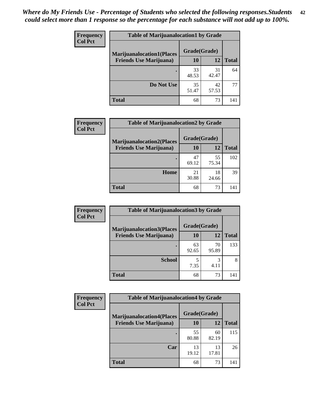| <b>Frequency</b> | <b>Table of Marijuanalocation1 by Grade</b> |              |             |              |
|------------------|---------------------------------------------|--------------|-------------|--------------|
| <b>Col Pct</b>   | <b>Marijuanalocation1(Places</b>            | Grade(Grade) |             |              |
|                  | <b>Friends Use Marijuana</b> )              | 10           | 12          | <b>Total</b> |
|                  |                                             | 33<br>48.53  | 31<br>42.47 | 64           |
|                  | Do Not Use                                  | 35<br>51.47  | 42<br>57.53 | 77           |
|                  | <b>Total</b>                                | 68           | 73          | 141          |

| <b>Frequency</b> | <b>Table of Marijuanalocation2 by Grade</b>                        |                    |             |              |
|------------------|--------------------------------------------------------------------|--------------------|-------------|--------------|
| <b>Col Pct</b>   | <b>Marijuanalocation2(Places</b><br><b>Friends Use Marijuana</b> ) | Grade(Grade)<br>10 | 12          | <b>Total</b> |
|                  |                                                                    | 47<br>69.12        | 55<br>75.34 | 102          |
|                  | <b>Home</b>                                                        | 21<br>30.88        | 18<br>24.66 | 39           |
|                  | <b>Total</b>                                                       | 68                 | 73          | 141          |

| Frequency<br><b>Col Pct</b> | <b>Table of Marijuanalocation3 by Grade</b> |              |             |              |
|-----------------------------|---------------------------------------------|--------------|-------------|--------------|
|                             | <b>Marijuanalocation3</b> (Places           | Grade(Grade) |             |              |
|                             | <b>Friends Use Marijuana</b> )              | <b>10</b>    | 12          | <b>Total</b> |
|                             |                                             | 63<br>92.65  | 70<br>95.89 | 133          |
|                             | <b>School</b>                               | 7.35         | 3<br>4.11   | 8            |
|                             | <b>Total</b>                                | 68           | 73          | 141          |

| <b>Frequency</b> | <b>Table of Marijuanalocation4 by Grade</b> |              |             |              |  |
|------------------|---------------------------------------------|--------------|-------------|--------------|--|
| <b>Col Pct</b>   | <b>Marijuanalocation4(Places</b>            | Grade(Grade) |             |              |  |
|                  | <b>Friends Use Marijuana</b> )              | <b>10</b>    | 12          | <b>Total</b> |  |
|                  |                                             | 55<br>80.88  | 60<br>82.19 | 115          |  |
|                  | Car                                         | 13<br>19.12  | 13<br>17.81 | 26           |  |
|                  | <b>Total</b>                                | 68           | 73          | 141          |  |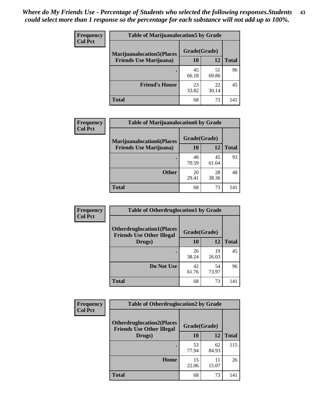| <b>Frequency</b> | <b>Table of Marijuanalocation5 by Grade</b> |              |             |              |
|------------------|---------------------------------------------|--------------|-------------|--------------|
| <b>Col Pct</b>   | <b>Marijuanalocation5</b> (Places           | Grade(Grade) |             |              |
|                  | <b>Friends Use Marijuana</b> )              | 10           | 12          | <b>Total</b> |
|                  |                                             | 45<br>66.18  | 51<br>69.86 | 96           |
|                  | <b>Friend's House</b>                       | 23<br>33.82  | 22<br>30.14 | 45           |
|                  | <b>Total</b>                                | 68           | 73          | 141          |

| <b>Frequency</b> | <b>Table of Marijuanalocation6 by Grade</b>                        |                    |             |              |
|------------------|--------------------------------------------------------------------|--------------------|-------------|--------------|
| <b>Col Pct</b>   | <b>Marijuanalocation6(Places</b><br><b>Friends Use Marijuana</b> ) | Grade(Grade)<br>10 | 12          | <b>Total</b> |
|                  |                                                                    | 48<br>70.59        | 45<br>61.64 | 93           |
|                  | <b>Other</b>                                                       | 20<br>29.41        | 28<br>38.36 | 48           |
|                  | <b>Total</b>                                                       | 68                 | 73          | 141          |

| <b>Frequency</b> | <b>Table of Otherdruglocation1 by Grade</b>                          |              |             |              |
|------------------|----------------------------------------------------------------------|--------------|-------------|--------------|
| <b>Col Pct</b>   | <b>Otherdruglocation1(Places</b><br><b>Friends Use Other Illegal</b> | Grade(Grade) |             |              |
|                  | Drugs)                                                               | 10           | 12          | <b>Total</b> |
|                  |                                                                      | 26<br>38.24  | 19<br>26.03 | 45           |
|                  | Do Not Use                                                           | 42<br>61.76  | 54<br>73.97 | 96           |
|                  | <b>Total</b>                                                         | 68           | 73          | 141          |

| Frequency      | <b>Table of Otherdruglocation2 by Grade</b>                          |              |             |              |
|----------------|----------------------------------------------------------------------|--------------|-------------|--------------|
| <b>Col Pct</b> | <b>Otherdruglocation2(Places</b><br><b>Friends Use Other Illegal</b> | Grade(Grade) |             |              |
|                | Drugs)                                                               | 10           | 12          | <b>Total</b> |
|                |                                                                      | 53<br>77.94  | 62<br>84.93 | 115          |
|                | Home                                                                 | 15<br>22.06  | 11<br>15.07 | 26           |
|                | <b>Total</b>                                                         | 68           | 73          | 141          |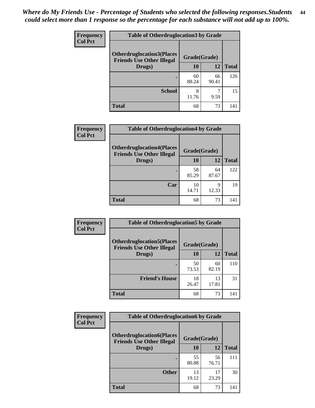| <b>Frequency</b> | <b>Table of Otherdruglocation3 by Grade</b>                          |              |             |              |  |
|------------------|----------------------------------------------------------------------|--------------|-------------|--------------|--|
| <b>Col Pct</b>   | <b>Otherdruglocation3(Places</b><br><b>Friends Use Other Illegal</b> | Grade(Grade) |             |              |  |
|                  | Drugs)                                                               | 10           | 12          | <b>Total</b> |  |
|                  |                                                                      | 60<br>88.24  | 66<br>90.41 | 126          |  |
|                  | <b>School</b>                                                        | 8<br>11.76   | 9.59        | 15           |  |
|                  | <b>Total</b>                                                         | 68           | 73          | 141          |  |

| <b>Frequency</b> | <b>Table of Otherdruglocation4 by Grade</b>                          |              |             |              |
|------------------|----------------------------------------------------------------------|--------------|-------------|--------------|
| <b>Col Pct</b>   | <b>Otherdruglocation4(Places</b><br><b>Friends Use Other Illegal</b> | Grade(Grade) |             |              |
|                  | Drugs)                                                               | 10           | 12          | <b>Total</b> |
|                  |                                                                      | 58<br>85.29  | 64<br>87.67 | 122          |
|                  | Car                                                                  | 10<br>14.71  | q<br>12.33  | 19           |
|                  | <b>Total</b>                                                         | 68           | 73          | 141          |

| Frequency      | <b>Table of Otherdruglocation5 by Grade</b>                          |              |             |              |
|----------------|----------------------------------------------------------------------|--------------|-------------|--------------|
| <b>Col Pct</b> | <b>Otherdruglocation5(Places</b><br><b>Friends Use Other Illegal</b> | Grade(Grade) |             |              |
|                | Drugs)                                                               | 10           | 12          | <b>Total</b> |
|                |                                                                      | 50<br>73.53  | 60<br>82.19 | 110          |
|                | <b>Friend's House</b>                                                | 18<br>26.47  | 13<br>17.81 | 31           |
|                | <b>Total</b>                                                         | 68           | 73          | 141          |

| <b>Frequency</b> | <b>Table of Otherdruglocation6 by Grade</b>                          |              |             |              |
|------------------|----------------------------------------------------------------------|--------------|-------------|--------------|
| <b>Col Pct</b>   | <b>Otherdruglocation6(Places</b><br><b>Friends Use Other Illegal</b> | Grade(Grade) |             |              |
|                  | Drugs)                                                               | 10           | 12          | <b>Total</b> |
|                  |                                                                      | 55<br>80.88  | 56<br>76.71 | 111          |
|                  | <b>Other</b>                                                         | 13<br>19.12  | 17<br>23.29 | 30           |
|                  | <b>Total</b>                                                         | 68           | 73          | 141          |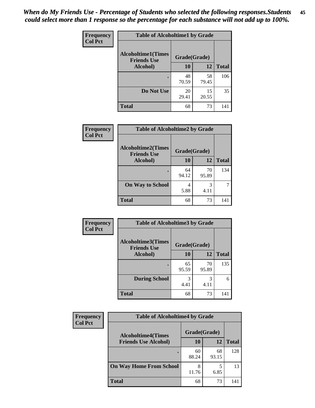| Frequency      | <b>Table of Alcoholtime1 by Grade</b>           |              |             |              |
|----------------|-------------------------------------------------|--------------|-------------|--------------|
| <b>Col Pct</b> | <b>Alcoholtime1(Times</b><br><b>Friends Use</b> | Grade(Grade) |             |              |
|                | Alcohol)                                        | <b>10</b>    | 12          | <b>Total</b> |
|                |                                                 | 48<br>70.59  | 58<br>79.45 | 106          |
|                | Do Not Use                                      | 20<br>29.41  | 15<br>20.55 | 35           |
|                | <b>Total</b>                                    | 68           | 73          | 141          |

| Frequency      | <b>Table of Alcoholtime2 by Grade</b>           |              |             |              |
|----------------|-------------------------------------------------|--------------|-------------|--------------|
| <b>Col Pct</b> | <b>Alcoholtime2(Times</b><br><b>Friends Use</b> | Grade(Grade) |             |              |
|                | <b>Alcohol</b> )                                | 10           | 12          | <b>Total</b> |
|                |                                                 | 64<br>94.12  | 70<br>95.89 | 134          |
|                | <b>On Way to School</b>                         | 4<br>5.88    | 3<br>4.11   |              |
|                | <b>Total</b>                                    | 68           | 73          | 141          |

| Frequency      | <b>Table of Alcoholtime3 by Grade</b>                           |             |             |              |
|----------------|-----------------------------------------------------------------|-------------|-------------|--------------|
| <b>Col Pct</b> | <b>Alcoholtime3(Times</b><br>Grade(Grade)<br><b>Friends Use</b> |             |             |              |
|                | Alcohol)                                                        | 10          | 12          | <b>Total</b> |
|                |                                                                 | 65<br>95.59 | 70<br>95.89 | 135          |
|                | <b>During School</b>                                            | 3<br>4.41   | 3<br>4.11   | 6            |
|                | <b>Total</b>                                                    | 68          | 73          | 141          |

| <b>Frequency</b> | <b>Table of Alcoholtime4 by Grade</b> |              |             |              |
|------------------|---------------------------------------|--------------|-------------|--------------|
| <b>Col Pct</b>   | <b>Alcoholtime4(Times</b>             | Grade(Grade) |             |              |
|                  | <b>Friends Use Alcohol)</b>           | 10           | 12          | <b>Total</b> |
|                  | ٠                                     | 60<br>88.24  | 68<br>93.15 | 128          |
|                  | <b>On Way Home From School</b>        | 8<br>11.76   | 6.85        | 13           |
|                  | <b>Total</b>                          | 68           | 73          | 141          |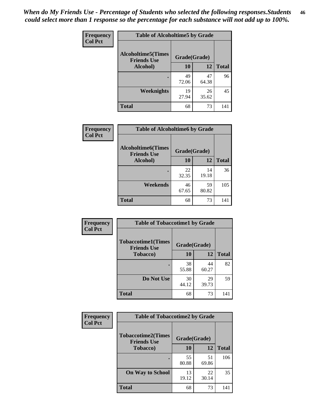*When do My Friends Use - Percentage of Students who selected the following responses.Students could select more than 1 response so the percentage for each substance will not add up to 100%.* **46**

| Frequency      | <b>Table of Alcoholtime5 by Grade</b>           |              |             |              |
|----------------|-------------------------------------------------|--------------|-------------|--------------|
| <b>Col Pct</b> | <b>Alcoholtime5(Times</b><br><b>Friends Use</b> | Grade(Grade) |             |              |
|                | Alcohol)                                        | 10           | 12          | <b>Total</b> |
|                |                                                 | 49<br>72.06  | 47<br>64.38 | 96           |
|                | Weeknights                                      | 19<br>27.94  | 26<br>35.62 | 45           |
|                | <b>Total</b>                                    | 68           | 73          | 141          |

| <b>Frequency</b> |                                                 | <b>Table of Alcoholtime6 by Grade</b> |             |              |  |  |
|------------------|-------------------------------------------------|---------------------------------------|-------------|--------------|--|--|
| <b>Col Pct</b>   | <b>Alcoholtime6(Times</b><br><b>Friends Use</b> | Grade(Grade)                          |             |              |  |  |
|                  | <b>Alcohol</b> )                                | 10                                    | 12          | <b>Total</b> |  |  |
|                  |                                                 | 22<br>32.35                           | 14<br>19.18 | 36           |  |  |
|                  | Weekends                                        | 46<br>67.65                           | 59<br>80.82 | 105          |  |  |
|                  | <b>Total</b>                                    | 68                                    | 73          | 141          |  |  |

| Frequency      | <b>Table of Tobaccotime1 by Grade</b>           |              |             |              |
|----------------|-------------------------------------------------|--------------|-------------|--------------|
| <b>Col Pct</b> | <b>Tobaccotime1(Times</b><br><b>Friends Use</b> | Grade(Grade) |             |              |
|                | <b>Tobacco</b> )                                | 10           | 12          | <b>Total</b> |
|                | ٠                                               | 38<br>55.88  | 44<br>60.27 | 82           |
|                | Do Not Use                                      | 30<br>44.12  | 29<br>39.73 | 59           |
|                | <b>Total</b>                                    | 68           | 73          | 141          |

| <b>Frequency</b> | <b>Table of Tobaccotime2 by Grade</b>           |              |             |              |
|------------------|-------------------------------------------------|--------------|-------------|--------------|
| <b>Col Pct</b>   | <b>Tobaccotime2(Times</b><br><b>Friends Use</b> | Grade(Grade) |             |              |
|                  | <b>Tobacco</b> )                                | <b>10</b>    | <b>12</b>   | <b>Total</b> |
|                  |                                                 | 55<br>80.88  | 51<br>69.86 | 106          |
|                  | <b>On Way to School</b>                         | 13<br>19.12  | 22<br>30.14 | 35           |
|                  | <b>Total</b>                                    | 68           | 73          | 141          |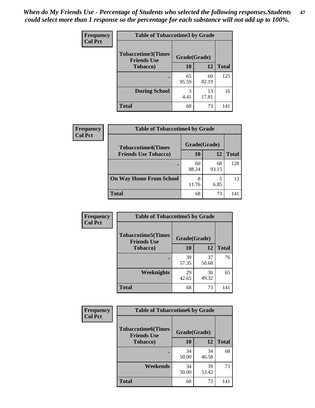*When do My Friends Use - Percentage of Students who selected the following responses.Students could select more than 1 response so the percentage for each substance will not add up to 100%.* **47**

| <b>Frequency</b> | <b>Table of Tobaccotime3 by Grade</b>           |              |             |              |  |
|------------------|-------------------------------------------------|--------------|-------------|--------------|--|
| <b>Col Pct</b>   | <b>Tobaccotime3(Times</b><br><b>Friends Use</b> | Grade(Grade) |             |              |  |
|                  | <b>Tobacco</b> )                                | 10           | 12          | <b>Total</b> |  |
|                  |                                                 | 65<br>95.59  | 60<br>82.19 | 125          |  |
|                  | <b>During School</b>                            | 3<br>4.41    | 13<br>17.81 | 16           |  |
|                  | <b>Total</b>                                    | 68           | 73          | 141          |  |

| Frequency<br><b>Col Pct</b> | <b>Table of Tobaccotime4 by Grade</b> |              |             |              |
|-----------------------------|---------------------------------------|--------------|-------------|--------------|
|                             | <b>Tobaccotime4(Times</b>             | Grade(Grade) |             |              |
|                             | <b>Friends Use Tobacco)</b>           | 10           | 12          | <b>Total</b> |
|                             |                                       | 60<br>88.24  | 68<br>93.15 | 128          |
|                             | <b>On Way Home From School</b>        | 8<br>11.76   | 6.85        | 13           |
|                             | <b>Total</b>                          | 68           | 73          | 141          |

| Frequency      | <b>Table of Tobaccotime5 by Grade</b>            |              |             |              |
|----------------|--------------------------------------------------|--------------|-------------|--------------|
| <b>Col Pct</b> | <b>Tobaccotime5</b> (Times<br><b>Friends Use</b> | Grade(Grade) |             |              |
|                | <b>Tobacco</b> )                                 | 10           | 12          | <b>Total</b> |
|                |                                                  | 39<br>57.35  | 37<br>50.68 | 76           |
|                | Weeknights                                       | 29<br>42.65  | 36<br>49.32 | 65           |
|                | <b>Total</b>                                     | 68           | 73          | 141          |

| Frequency<br><b>Col Pct</b> | <b>Table of Tobaccotime6 by Grade</b>                           |             |             |              |
|-----------------------------|-----------------------------------------------------------------|-------------|-------------|--------------|
|                             | <b>Tobaccotime6(Times</b><br>Grade(Grade)<br><b>Friends Use</b> |             |             |              |
|                             | <b>Tobacco</b> )                                                | 10          | 12          | <b>Total</b> |
|                             | ٠                                                               | 34<br>50.00 | 34<br>46.58 | 68           |
|                             | Weekends                                                        | 34<br>50.00 | 39<br>53.42 | 73           |
|                             | <b>Total</b>                                                    | 68          | 73          | 141          |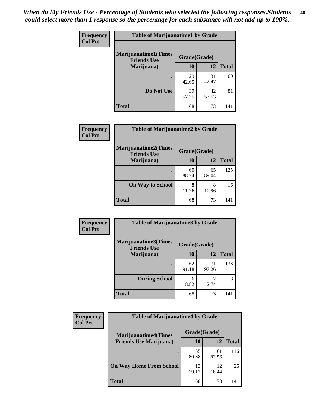| Frequency      | <b>Table of Marijuanatime1 by Grade</b>           |              |             |              |
|----------------|---------------------------------------------------|--------------|-------------|--------------|
| <b>Col Pct</b> | <b>Marijuanatime1(Times</b><br><b>Friends Use</b> | Grade(Grade) |             |              |
|                | Marijuana)                                        | 10           | 12          | <b>Total</b> |
|                |                                                   | 29<br>42.65  | 31<br>42.47 | 60           |
|                | Do Not Use                                        | 39<br>57.35  | 42<br>57.53 | 81           |
|                | <b>Total</b>                                      | 68           | 73          | 141          |

|                             | <b>Table of Marijuanatime2 by Grade</b>           |              |             |              |
|-----------------------------|---------------------------------------------------|--------------|-------------|--------------|
| Frequency<br><b>Col Pct</b> |                                                   |              |             |              |
|                             | <b>Marijuanatime2(Times</b><br><b>Friends Use</b> | Grade(Grade) |             |              |
|                             | Marijuana)                                        | 10           | 12          | <b>Total</b> |
|                             |                                                   | 60<br>88.24  | 65<br>89.04 | 125          |
|                             | <b>On Way to School</b>                           | 8<br>11.76   | 8<br>10.96  | 16           |
|                             | <b>Total</b>                                      | 68           | 73          | 141          |

| <b>Frequency</b> | <b>Table of Marijuanatime3 by Grade</b>    |              |                        |              |
|------------------|--------------------------------------------|--------------|------------------------|--------------|
| <b>Col Pct</b>   | Marijuanatime3(Times<br><b>Friends Use</b> | Grade(Grade) |                        |              |
|                  | Marijuana)                                 | 10           | 12                     | <b>Total</b> |
|                  |                                            | 62<br>91.18  | 71<br>97.26            | 133          |
|                  | <b>During School</b>                       | 6<br>8.82    | $\mathfrak{D}$<br>2.74 | 8            |
|                  | <b>Total</b>                               | 68           | 73                     | 141          |

| <b>Frequency</b> | <b>Table of Marijuanatime4 by Grade</b> |              |             |              |
|------------------|-----------------------------------------|--------------|-------------|--------------|
| <b>Col Pct</b>   | <b>Marijuanatime4(Times</b>             | Grade(Grade) |             |              |
|                  | <b>Friends Use Marijuana</b> )          | 10           | 12          | <b>Total</b> |
|                  |                                         | 55<br>80.88  | 61<br>83.56 | 116          |
|                  | <b>On Way Home From School</b>          | 13<br>19.12  | 12<br>16.44 | 25           |
|                  | <b>Total</b>                            | 68           | 73          | 141          |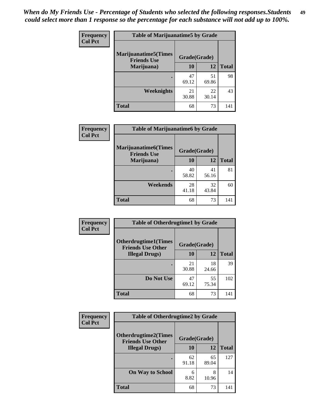| Frequency      | <b>Table of Marijuanatime5 by Grade</b>            |              |             |              |
|----------------|----------------------------------------------------|--------------|-------------|--------------|
| <b>Col Pct</b> | <b>Marijuanatime5</b> (Times<br><b>Friends Use</b> | Grade(Grade) |             |              |
|                | Marijuana)                                         | 10           | 12          | <b>Total</b> |
|                |                                                    | 47<br>69.12  | 51<br>69.86 | 98           |
|                | Weeknights                                         | 21<br>30.88  | 22<br>30.14 | 43           |
|                | <b>Total</b>                                       | 68           | 73          | 141          |

| Frequency      | <b>Table of Marijuanatime6 by Grade</b>    |              |             |              |
|----------------|--------------------------------------------|--------------|-------------|--------------|
| <b>Col Pct</b> | Marijuanatime6(Times<br><b>Friends Use</b> | Grade(Grade) |             |              |
|                | Marijuana)                                 | 10           | 12          | <b>Total</b> |
|                |                                            | 40<br>58.82  | 41<br>56.16 | 81           |
|                | Weekends                                   | 28<br>41.18  | 32<br>43.84 | 60           |
|                | <b>Total</b>                               | 68           | 73          | 141          |

| Frequency      | <b>Table of Otherdrugtime1 by Grade</b>                 |              |             |              |
|----------------|---------------------------------------------------------|--------------|-------------|--------------|
| <b>Col Pct</b> | <b>Otherdrugtime1(Times</b><br><b>Friends Use Other</b> | Grade(Grade) |             |              |
|                | <b>Illegal Drugs</b> )                                  | 10           | 12          | <b>Total</b> |
|                |                                                         | 21<br>30.88  | 18<br>24.66 | 39           |
|                | Do Not Use                                              | 47<br>69.12  | 55<br>75.34 | 102          |
|                | Total                                                   | 68           | 73          | 141          |

| <b>Frequency</b> | <b>Table of Otherdrugtime2 by Grade</b>                 |              |             |              |  |  |
|------------------|---------------------------------------------------------|--------------|-------------|--------------|--|--|
| <b>Col Pct</b>   | <b>Otherdrugtime2(Times</b><br><b>Friends Use Other</b> | Grade(Grade) |             |              |  |  |
|                  | <b>Illegal Drugs</b> )                                  | 10           | 12          | <b>Total</b> |  |  |
|                  |                                                         | 62<br>91.18  | 65<br>89.04 | 127          |  |  |
|                  | <b>On Way to School</b>                                 | 6<br>8.82    | 8<br>10.96  | 14           |  |  |
|                  | Total                                                   | 68           | 73          | 141          |  |  |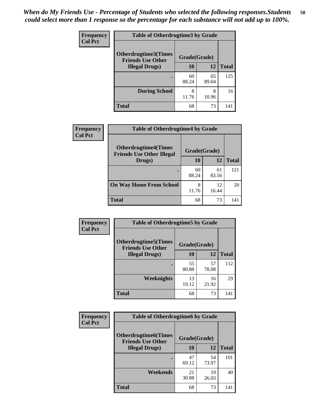| <b>Frequency</b> | <b>Table of Otherdrugtime3 by Grade</b>          |              |             |              |  |  |
|------------------|--------------------------------------------------|--------------|-------------|--------------|--|--|
| <b>Col Pct</b>   | Otherdrugtime3(Times<br><b>Friends Use Other</b> | Grade(Grade) |             |              |  |  |
|                  | <b>Illegal Drugs</b> )                           | 10           | 12          | <b>Total</b> |  |  |
|                  |                                                  | 60<br>88.24  | 65<br>89.04 | 125          |  |  |
|                  | <b>During School</b>                             | 8<br>11.76   | 8<br>10.96  | 16           |  |  |
|                  | Total                                            | 68           | 73          |              |  |  |

| Frequency      | <b>Table of Otherdrugtime4 by Grade</b>                         |              |             |              |  |
|----------------|-----------------------------------------------------------------|--------------|-------------|--------------|--|
| <b>Col Pct</b> | <b>Otherdrugtime4(Times</b><br><b>Friends Use Other Illegal</b> | Grade(Grade) |             |              |  |
|                | Drugs)                                                          | 10           | 12          | <b>Total</b> |  |
|                | ٠                                                               | 60<br>88.24  | 61<br>83.56 | 121          |  |
|                | <b>On Way Home From School</b>                                  | 8<br>11.76   | 12<br>16.44 | 20           |  |
|                | <b>Total</b>                                                    | 68           | 73          | 141          |  |

| <b>Frequency</b><br><b>Col Pct</b> | <b>Table of Otherdrugtime5 by Grade</b>                  |              |             |              |  |  |
|------------------------------------|----------------------------------------------------------|--------------|-------------|--------------|--|--|
|                                    | <b>Otherdrugtime5</b> (Times<br><b>Friends Use Other</b> | Grade(Grade) |             |              |  |  |
|                                    | <b>Illegal Drugs</b> )                                   | 10           | 12          | <b>Total</b> |  |  |
|                                    |                                                          | 55<br>80.88  | 57<br>78.08 | 112          |  |  |
|                                    | Weeknights                                               | 13<br>19.12  | 16<br>21.92 | 29           |  |  |
|                                    | Total                                                    | 68           | 73          | 141          |  |  |

| Frequency      | <b>Table of Otherdrugtime6 by Grade</b>                 |              |             |              |  |  |
|----------------|---------------------------------------------------------|--------------|-------------|--------------|--|--|
| <b>Col Pct</b> | <b>Otherdrugtime6(Times</b><br><b>Friends Use Other</b> | Grade(Grade) |             |              |  |  |
|                | <b>Illegal Drugs</b> )                                  | 10           | 12          | <b>Total</b> |  |  |
|                |                                                         | 47<br>69.12  | 54<br>73.97 | 101          |  |  |
|                | Weekends                                                | 21<br>30.88  | 19<br>26.03 | 40           |  |  |
|                | Total                                                   | 68           | 73          | 141          |  |  |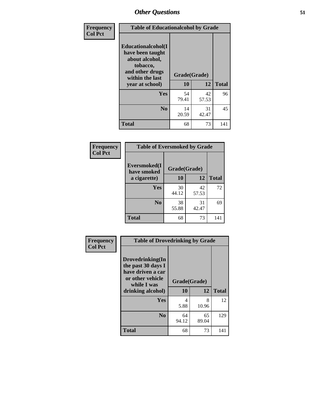| Frequency      | <b>Table of Educationalcohol by Grade</b>                                                                  |              |             |              |  |
|----------------|------------------------------------------------------------------------------------------------------------|--------------|-------------|--------------|--|
| <b>Col Pct</b> | Educationalcohol(I<br>have been taught<br>about alcohol,<br>tobacco,<br>and other drugs<br>within the last | Grade(Grade) |             |              |  |
|                | year at school)                                                                                            | 10           | 12          | <b>Total</b> |  |
|                | Yes                                                                                                        | 54<br>79.41  | 42<br>57.53 | 96           |  |
|                | N <sub>0</sub>                                                                                             | 14<br>20.59  | 31<br>42.47 | 45           |  |
|                | <b>Total</b>                                                                                               | 68           | 73          | 141          |  |

| Frequency      | <b>Table of Eversmoked by Grade</b> |              |             |              |  |  |
|----------------|-------------------------------------|--------------|-------------|--------------|--|--|
| <b>Col Pct</b> | Eversmoked(I<br>have smoked         | Grade(Grade) |             |              |  |  |
|                | a cigarette)                        | 10           | 12          | <b>Total</b> |  |  |
|                | Yes                                 | 30<br>44.12  | 42<br>57.53 | 72           |  |  |
|                | N <sub>0</sub>                      | 38<br>55.88  | 31<br>42.47 | 69           |  |  |
|                | <b>Total</b>                        | 68           | 73          | 141          |  |  |

| Frequency      | <b>Table of Drovedrinking by Grade</b>                                                                              |                    |             |              |  |
|----------------|---------------------------------------------------------------------------------------------------------------------|--------------------|-------------|--------------|--|
| <b>Col Pct</b> | Drovedrinking(In<br>the past 30 days I<br>have driven a car<br>or other vehicle<br>while I was<br>drinking alcohol) | Grade(Grade)<br>10 | 12          | <b>Total</b> |  |
|                | <b>Yes</b>                                                                                                          | 4<br>5.88          | 8<br>10.96  | 12           |  |
|                | N <sub>0</sub>                                                                                                      | 64<br>94.12        | 65<br>89.04 | 129          |  |
|                | <b>Total</b>                                                                                                        | 68                 | 73          | 141          |  |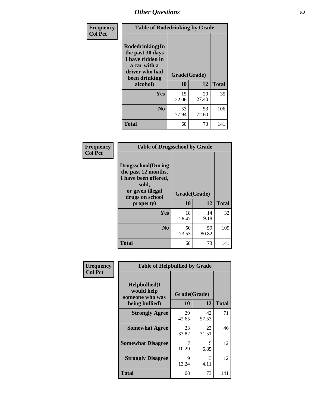| Frequency      | <b>Table of Rodedrinking by Grade</b>                                                                                  |                          |             |              |  |  |
|----------------|------------------------------------------------------------------------------------------------------------------------|--------------------------|-------------|--------------|--|--|
| <b>Col Pct</b> | Rodedrinking(In<br>the past 30 days<br>I have ridden in<br>a car with a<br>driver who had<br>been drinking<br>alcohol) | Grade(Grade)<br>10<br>12 |             | <b>Total</b> |  |  |
|                |                                                                                                                        |                          |             |              |  |  |
|                | <b>Yes</b>                                                                                                             | 15<br>22.06              | 20<br>27.40 | 35           |  |  |
|                | N <sub>0</sub>                                                                                                         | 53<br>77.94              | 53<br>72.60 | 106          |  |  |
|                | <b>Total</b>                                                                                                           | 68                       | 73          | 141          |  |  |

#### **Frequency Col Pct**

| <b>Table of Drugsschool by Grade</b>                                                                                      |              |             |              |  |  |  |
|---------------------------------------------------------------------------------------------------------------------------|--------------|-------------|--------------|--|--|--|
| <b>Drugsschool</b> (During<br>the past 12 months,<br>I have been offered,<br>sold,<br>or given illegal<br>drugs on school | Grade(Grade) |             |              |  |  |  |
| property)                                                                                                                 | 10           | 12          | <b>Total</b> |  |  |  |
| Yes                                                                                                                       | 18<br>26.47  | 14<br>19.18 | 32           |  |  |  |
| N <sub>0</sub>                                                                                                            | 50<br>73.53  | 59<br>80.82 | 109          |  |  |  |
| <b>Total</b>                                                                                                              | 68           | 73          | 141          |  |  |  |

| Frequency      | <b>Table of Helpbullied by Grade</b>                                   |                          |             |              |
|----------------|------------------------------------------------------------------------|--------------------------|-------------|--------------|
| <b>Col Pct</b> | $Helpb$ ullied $(I$<br>would help<br>someone who was<br>being bullied) | Grade(Grade)<br>10<br>12 |             | <b>Total</b> |
|                |                                                                        |                          |             |              |
|                | <b>Strongly Agree</b>                                                  | 29<br>42.65              | 42<br>57.53 | 71           |
|                | <b>Somewhat Agree</b>                                                  | 23<br>33.82              | 23<br>31.51 | 46           |
|                | <b>Somewhat Disagree</b>                                               | 7<br>10.29               | 5<br>6.85   | 12           |
|                | <b>Strongly Disagree</b>                                               | 9<br>13.24               | 3<br>4.11   | 12           |
|                | <b>Total</b>                                                           | 68                       | 73          | 141          |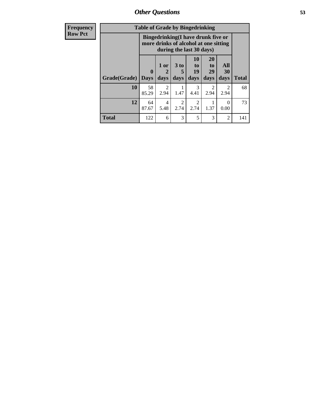*Other Questions* **53**

| <b>Frequency</b> | <b>Table of Grade by Bingedrinking</b>                                                                  |                         |                                     |                        |                          |                               |                   |              |
|------------------|---------------------------------------------------------------------------------------------------------|-------------------------|-------------------------------------|------------------------|--------------------------|-------------------------------|-------------------|--------------|
| <b>Row Pct</b>   | Bingedrinking(I have drunk five or<br>more drinks of alcohol at one sitting<br>during the last 30 days) |                         |                                     |                        |                          |                               |                   |              |
|                  | Grade(Grade)                                                                                            | $\bf{0}$<br><b>Days</b> | 1 or<br>$\mathbf 2$<br>days         | $3$ to<br>5<br>days    | 10<br>to l<br>19<br>days | <b>20</b><br>to<br>29<br>days | All<br>30<br>days | <b>Total</b> |
|                  | 10                                                                                                      | 58<br>85.29             | $\mathcal{D}_{\mathcal{L}}$<br>2.94 | 1.47                   | 3<br>4.41                | 2.94                          | 2<br>2.94         | 68           |
|                  | 12                                                                                                      | 64<br>87.67             | $\overline{4}$<br>5.48              | $\mathfrak{D}$<br>2.74 | $\mathfrak{D}$<br>2.74   | 1.37                          | 0<br>0.00         | 73           |
|                  | <b>Total</b>                                                                                            | 122                     | 6                                   | 3                      | 5                        | 3                             | $\overline{2}$    | 141          |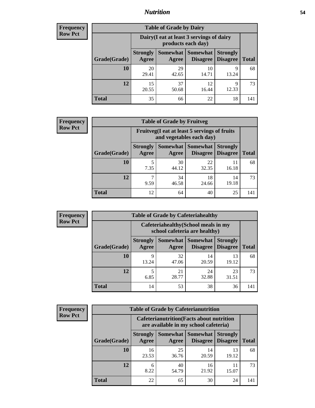### *Nutrition* **54**

| Frequency |
|-----------|
| Row Pct   |

| <b>Table of Grade by Dairy</b> |                          |                                                                 |                             |                                    |              |  |  |
|--------------------------------|--------------------------|-----------------------------------------------------------------|-----------------------------|------------------------------------|--------------|--|--|
|                                |                          | Dairy (I eat at least 3 servings of dairy<br>products each day) |                             |                                    |              |  |  |
| Grade(Grade)                   | <b>Strongly</b><br>Agree | Somewhat  <br>Agree                                             | <b>Somewhat</b><br>Disagree | <b>Strongly</b><br><b>Disagree</b> | <b>Total</b> |  |  |
| 10                             | 20<br>29.41              | 29<br>42.65                                                     | 10<br>14.71                 | 9<br>13.24                         | 68           |  |  |
| 12                             | 15<br>20.55              | 37<br>50.68                                                     | 12<br>16.44                 | 9<br>12.33                         | 73           |  |  |
| <b>Total</b>                   | 35                       | 66                                                              | 22                          | 18                                 | 141          |  |  |

| <b>Frequency</b> |
|------------------|
| <b>Row Pct</b>   |

| <b>y</b> | <b>Table of Grade by Fruitveg</b>                                        |                          |             |                                             |                                    |              |
|----------|--------------------------------------------------------------------------|--------------------------|-------------|---------------------------------------------|------------------------------------|--------------|
|          | Fruitveg(I eat at least 5 servings of fruits<br>and vegetables each day) |                          |             |                                             |                                    |              |
|          | Grade(Grade)                                                             | <b>Strongly</b><br>Agree | Agree       | <b>Somewhat</b> Somewhat<br><b>Disagree</b> | <b>Strongly</b><br><b>Disagree</b> | <b>Total</b> |
|          | <b>10</b>                                                                | 7.35                     | 30<br>44.12 | 22<br>32.35                                 | 16.18                              | 68           |
|          | 12                                                                       | 9.59                     | 34<br>46.58 | 18<br>24.66                                 | 14<br>19.18                        | 73           |
|          | <b>Total</b>                                                             | 12                       | 64          | 40                                          | 25                                 | 141          |

| <b>Frequency</b> | <b>Table of Grade by Cafeteriahealthy</b> |                          |                                                                       |                             |                                    |              |  |
|------------------|-------------------------------------------|--------------------------|-----------------------------------------------------------------------|-----------------------------|------------------------------------|--------------|--|
| <b>Row Pct</b>   |                                           |                          | Cafeteriahealthy (School meals in my<br>school cafeteria are healthy) |                             |                                    |              |  |
|                  | Grade(Grade)                              | <b>Strongly</b><br>Agree | Somewhat  <br>Agree                                                   | Somewhat<br><b>Disagree</b> | <b>Strongly</b><br><b>Disagree</b> | <b>Total</b> |  |
|                  | 10                                        | q<br>13.24               | 32<br>47.06                                                           | 14<br>20.59                 | 13<br>19.12                        | 68           |  |
|                  | 12                                        | 6.85                     | 21<br>28.77                                                           | 24<br>32.88                 | 23<br>31.51                        | 73           |  |
|                  | Total                                     | 14                       | 53                                                                    | 38                          | 36                                 | 141          |  |

| <b>Frequency</b> |
|------------------|
| <b>Row Pct</b>   |

| <b>Table of Grade by Cafeterianutrition</b>                                               |                          |             |                                        |                                    |              |  |
|-------------------------------------------------------------------------------------------|--------------------------|-------------|----------------------------------------|------------------------------------|--------------|--|
| <b>Cafeterianutrition</b> (Facts about nutrition<br>are available in my school cafeteria) |                          |             |                                        |                                    |              |  |
| Grade(Grade)                                                                              | <b>Strongly</b><br>Agree | Agree       | Somewhat   Somewhat<br><b>Disagree</b> | <b>Strongly</b><br><b>Disagree</b> | <b>Total</b> |  |
| 10                                                                                        | 16<br>23.53              | 25<br>36.76 | 14<br>20.59                            | 13<br>19.12                        | 68           |  |
| 12                                                                                        | 6<br>8.22                | 40<br>54.79 | 16<br>21.92                            | 15.07                              | 73           |  |
| Total                                                                                     | 22                       | 65          | 30                                     | 24                                 | 141          |  |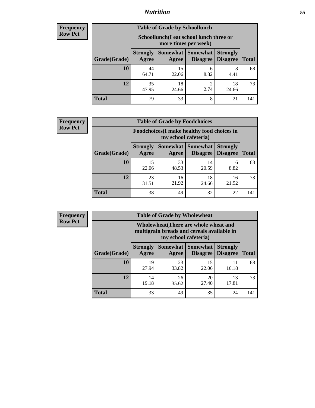# *Nutrition* **55**

| <b>Frequency</b> |
|------------------|
| Row Pct          |

| <b>Table of Grade by Schoollunch</b> |                          |                                                                 |                                 |                                    |              |  |  |
|--------------------------------------|--------------------------|-----------------------------------------------------------------|---------------------------------|------------------------------------|--------------|--|--|
|                                      |                          | Schoollunch(I eat school lunch three or<br>more times per week) |                                 |                                    |              |  |  |
| Grade(Grade)                         | <b>Strongly</b><br>Agree | Agree                                                           | Somewhat   Somewhat<br>Disagree | <b>Strongly</b><br><b>Disagree</b> | <b>Total</b> |  |  |
| 10                                   | 44<br>64.71              | 15<br>22.06                                                     | 6<br>8.82                       | 3<br>4.41                          | 68           |  |  |
| 12                                   | 35<br>47.95              | 18<br>24.66                                                     | റ<br>2.74                       | 18<br>24.66                        | 73           |  |  |
| <b>Total</b>                         | 79                       | 33                                                              | 8                               | 21                                 | 141          |  |  |

| <b>Frequency</b> |  |
|------------------|--|
| <b>Row Pct</b>   |  |

| <b>Table of Grade by Foodchoices</b>                                |                          |             |                               |                                    |              |  |  |
|---------------------------------------------------------------------|--------------------------|-------------|-------------------------------|------------------------------------|--------------|--|--|
| Foodchoices (I make healthy food choices in<br>my school cafeteria) |                          |             |                               |                                    |              |  |  |
| Grade(Grade)                                                        | <b>Strongly</b><br>Agree | Agree       | Somewhat Somewhat<br>Disagree | <b>Strongly</b><br><b>Disagree</b> | <b>Total</b> |  |  |
| 10                                                                  | 15<br>22.06              | 33<br>48.53 | 14<br>20.59                   | 6<br>8.82                          | 68           |  |  |
| 12                                                                  | 23<br>31.51              | 16<br>21.92 | 18<br>24.66                   | 16<br>21.92                        | 73           |  |  |
| <b>Total</b>                                                        | 38                       | 49          | 32                            | 22                                 | 141          |  |  |

| Frequency      | <b>Table of Grade by Wholewheat</b> |                          |             |                                                                                                             |                                    |              |  |  |
|----------------|-------------------------------------|--------------------------|-------------|-------------------------------------------------------------------------------------------------------------|------------------------------------|--------------|--|--|
| <b>Row Pct</b> |                                     |                          |             | Wholewheat (There are whole wheat and<br>multigrain breads and cereals available in<br>my school cafeteria) |                                    |              |  |  |
|                | Grade(Grade)                        | <b>Strongly</b><br>Agree | Agree       | Somewhat   Somewhat  <br><b>Disagree</b>                                                                    | <b>Strongly</b><br><b>Disagree</b> | <b>Total</b> |  |  |
|                | 10                                  | 19<br>27.94              | 23<br>33.82 | 15<br>22.06                                                                                                 | 11<br>16.18                        | 68           |  |  |
|                | 12                                  | 14<br>19.18              | 26<br>35.62 | 20<br>27.40                                                                                                 | 13<br>17.81                        | 73           |  |  |
|                | <b>Total</b>                        | 33                       | 49          | 35                                                                                                          | 24                                 | 141          |  |  |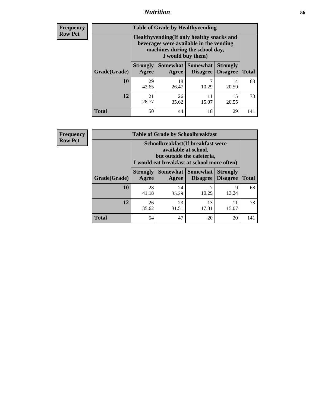### *Nutrition* **56**

**Frequency Row Pct**

| <b>Table of Grade by Healthyvending</b> |                                                                                                                                               |                          |                                    |                                    |              |
|-----------------------------------------|-----------------------------------------------------------------------------------------------------------------------------------------------|--------------------------|------------------------------------|------------------------------------|--------------|
|                                         | Healthyvending (If only healthy snacks and<br>beverages were available in the vending<br>machines during the school day,<br>I would buy them) |                          |                                    |                                    |              |
| Grade(Grade)                            | <b>Strongly</b><br>Agree                                                                                                                      | <b>Somewhat</b><br>Agree | <b>Somewhat</b><br><b>Disagree</b> | <b>Strongly</b><br><b>Disagree</b> | <b>Total</b> |
| 10                                      | 29<br>42.65                                                                                                                                   | 18<br>26.47              | 7<br>10.29                         | 14<br>20.59                        | 68           |
| 12                                      | 21<br>28.77                                                                                                                                   | 26<br>35.62              | 11<br>15.07                        | 15<br>20.55                        | 73           |
| <b>Total</b>                            | 50                                                                                                                                            | 44                       | 18                                 | 29                                 | 141          |

**Frequency Row Pct**

| <b>Table of Grade by Schoolbreakfast</b> |                                                                                                                                         |             |                     |                                        |              |  |
|------------------------------------------|-----------------------------------------------------------------------------------------------------------------------------------------|-------------|---------------------|----------------------------------------|--------------|--|
|                                          | Schoolbreakfast (If breakfast were<br>available at school,<br>but outside the cafeteria,<br>I would eat breakfast at school more often) |             |                     |                                        |              |  |
| Grade(Grade)                             | <b>Strongly</b><br>Agree                                                                                                                | Agree       | Somewhat   Somewhat | <b>Strongly</b><br>Disagree   Disagree | <b>Total</b> |  |
| 10                                       | 28<br>41.18                                                                                                                             | 24<br>35.29 | 7<br>10.29          | 9<br>13.24                             | 68           |  |
| 12                                       | 26<br>35.62                                                                                                                             | 23<br>31.51 | 13<br>17.81         | 11<br>15.07                            | 73           |  |
| <b>Total</b>                             | 54                                                                                                                                      | 47          | 20                  | 20                                     | 141          |  |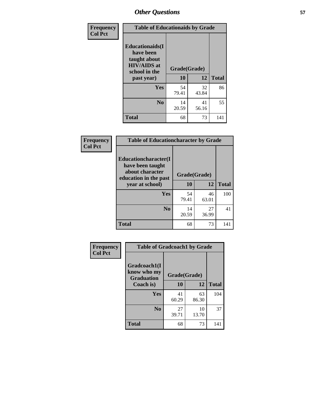| Frequency<br><b>Col Pct</b> | <b>Table of Educationaids by Grade</b>                                                                    |                    |             |              |
|-----------------------------|-----------------------------------------------------------------------------------------------------------|--------------------|-------------|--------------|
|                             | <b>Educationaids</b> (I<br>have been<br>taught about<br><b>HIV/AIDS</b> at<br>school in the<br>past year) | Grade(Grade)<br>10 | 12          | <b>Total</b> |
|                             | Yes                                                                                                       | 54<br>79.41        | 32<br>43.84 | 86           |
|                             | N <sub>0</sub>                                                                                            | 14<br>20.59        | 41<br>56.16 | 55           |
|                             | <b>Total</b>                                                                                              | 68                 | 73          | 141          |

| Frequency      | <b>Table of Educationcharacter by Grade</b>                         |              |             |              |  |
|----------------|---------------------------------------------------------------------|--------------|-------------|--------------|--|
| <b>Col Pct</b> | <b>Educationcharacter(I)</b><br>have been taught<br>about character |              |             |              |  |
|                | education in the past                                               | Grade(Grade) |             |              |  |
|                | year at school)                                                     | 10           | <b>12</b>   | <b>Total</b> |  |
|                | Yes                                                                 | 54<br>79.41  | 46<br>63.01 | 100          |  |
|                | N <sub>0</sub>                                                      | 14<br>20.59  | 27<br>36.99 | 41           |  |
|                | <b>Total</b>                                                        | 68           | 73          | 141          |  |

| Frequency      | <b>Table of Gradcoach1 by Grade</b> |                          |             |              |
|----------------|-------------------------------------|--------------------------|-------------|--------------|
| <b>Col Pct</b> | Gradcoach1(I<br>know who my         |                          |             |              |
|                | <b>Graduation</b><br>Coach is)      | Grade(Grade)<br>10<br>12 |             | <b>Total</b> |
|                | Yes                                 | 41<br>60.29              | 63<br>86.30 | 104          |
|                | N <sub>0</sub>                      | 27<br>39.71              | 10<br>13.70 | 37           |
|                | <b>Total</b>                        | 68                       | 73          | 141          |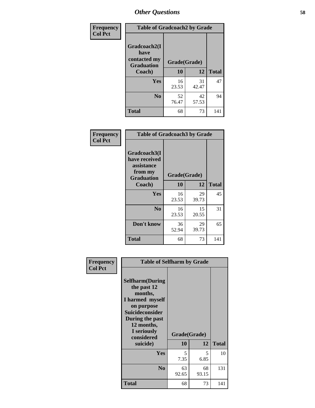| Frequency      | <b>Table of Gradcoach2 by Grade</b>       |             |              |              |
|----------------|-------------------------------------------|-------------|--------------|--------------|
| <b>Col Pct</b> |                                           |             |              |              |
|                | Gradcoach2(I                              |             |              |              |
|                | have<br>contacted my<br><b>Graduation</b> |             | Grade(Grade) |              |
|                | Coach)                                    | 10          | 12           | <b>Total</b> |
|                | Yes                                       | 16<br>23.53 | 31<br>42.47  | 47           |
|                | N <sub>0</sub>                            | 52<br>76.47 | 42<br>57.53  | 94           |
|                | <b>Total</b>                              | 68          | 73           | 141          |

| Frequency<br><b>Col Pct</b> | <b>Table of Gradcoach3 by Grade</b>                                         |              |             |              |
|-----------------------------|-----------------------------------------------------------------------------|--------------|-------------|--------------|
|                             | Gradcoach3(I<br>have received<br>assistance<br>from my<br><b>Graduation</b> | Grade(Grade) |             |              |
|                             | Coach)                                                                      | 10           | 12          | <b>Total</b> |
|                             | Yes                                                                         | 16<br>23.53  | 29<br>39.73 | 45           |
|                             | N <sub>0</sub>                                                              | 16<br>23.53  | 15<br>20.55 | 31           |
|                             | Don't know                                                                  | 36<br>52.94  | 29<br>39.73 | 65           |
|                             | <b>Total</b>                                                                | 68           | 73          | 141          |

| Frequency      | <b>Table of Selfharm by Grade</b>                                                                                                                                                      |                    |             |              |
|----------------|----------------------------------------------------------------------------------------------------------------------------------------------------------------------------------------|--------------------|-------------|--------------|
| <b>Col Pct</b> | <b>Selfharm</b> (During<br>the past 12<br>months,<br>I harmed myself<br>on purpose<br><b>Suicideconsider</b><br>During the past<br>12 months,<br>I seriously<br>considered<br>suicide) | Grade(Grade)<br>10 | 12          | <b>Total</b> |
|                | Yes                                                                                                                                                                                    | 5<br>7.35          | 5<br>6.85   | 10           |
|                | N <sub>0</sub>                                                                                                                                                                         | 63<br>92.65        | 68<br>93.15 | 131          |
|                | Total                                                                                                                                                                                  | 68                 | 73          | 141          |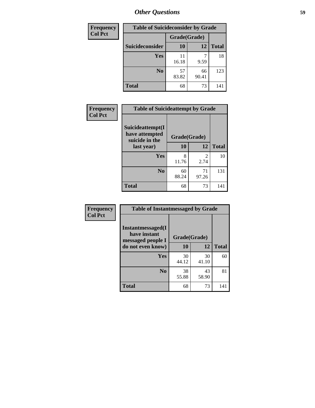| <b>Frequency</b> | <b>Table of Suicideconsider by Grade</b> |              |             |              |
|------------------|------------------------------------------|--------------|-------------|--------------|
| <b>Col Pct</b>   |                                          | Grade(Grade) |             |              |
|                  | Suicideconsider                          | <b>10</b>    | 12          | <b>Total</b> |
|                  | Yes                                      | 11<br>16.18  | 9.59        | 18           |
|                  | N <sub>0</sub>                           | 57<br>83.82  | 66<br>90.41 | 123          |
|                  | <b>Total</b>                             | 68           | 73          | 141          |

| Frequency      | <b>Table of Suicideattempt by Grade</b>              |              |                                     |              |
|----------------|------------------------------------------------------|--------------|-------------------------------------|--------------|
| <b>Col Pct</b> | Suicideattempt(I<br>have attempted<br>suicide in the | Grade(Grade) |                                     |              |
|                | last year)                                           | 10           | 12                                  | <b>Total</b> |
|                | Yes                                                  | 8<br>11.76   | $\mathcal{D}_{\mathcal{L}}$<br>2.74 | 10           |
|                | N <sub>0</sub>                                       | 60<br>88.24  | 71<br>97.26                         | 131          |
|                | <b>Total</b>                                         | 68           | 73                                  | 141          |

| Frequency      | <b>Table of Instantmessaged by Grade</b>               |              |             |              |
|----------------|--------------------------------------------------------|--------------|-------------|--------------|
| <b>Col Pct</b> | Instantmessaged(I<br>have instant<br>messaged people I | Grade(Grade) |             |              |
|                | do not even know)                                      | 10           | 12          | <b>Total</b> |
|                | Yes                                                    | 30<br>44.12  | 30<br>41.10 | 60           |
|                | N <sub>0</sub>                                         | 38<br>55.88  | 43<br>58.90 | 81           |
|                | <b>Total</b>                                           | 68           | 73          | 141          |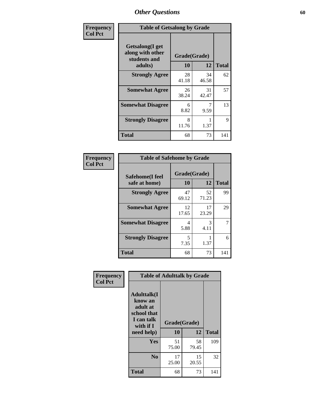| Frequency      | <b>Table of Getsalong by Grade</b>                          |              |             |              |
|----------------|-------------------------------------------------------------|--------------|-------------|--------------|
| <b>Col Pct</b> | <b>Getsalong</b> (I get<br>along with other<br>students and | Grade(Grade) |             |              |
|                | adults)                                                     | <b>10</b>    | 12          | <b>Total</b> |
|                | <b>Strongly Agree</b>                                       | 28<br>41.18  | 34<br>46.58 | 62           |
|                | <b>Somewhat Agree</b>                                       | 26<br>38.24  | 31<br>42.47 | 57           |
|                | <b>Somewhat Disagree</b>                                    | 6<br>8.82    | 7<br>9.59   | 13           |
|                | <b>Strongly Disagree</b>                                    | 8<br>11.76   | 1.37        | 9            |
|                | <b>Total</b>                                                | 68           | 73          | 141          |

| Frequency      | <b>Table of Safehome by Grade</b> |                    |             |              |
|----------------|-----------------------------------|--------------------|-------------|--------------|
| <b>Col Pct</b> | Safehome(I feel<br>safe at home)  | Grade(Grade)<br>10 | 12          | <b>Total</b> |
|                | <b>Strongly Agree</b>             | 47<br>69.12        | 52<br>71.23 | 99           |
|                | <b>Somewhat Agree</b>             | 12<br>17.65        | 17<br>23.29 | 29           |
|                | <b>Somewhat Disagree</b>          | 4<br>5.88          | 3<br>4.11   |              |
|                | <b>Strongly Disagree</b>          | 5<br>7.35          | 1.37        | 6            |
|                | <b>Total</b>                      | 68                 | 73          | 141          |

| Frequency      |                                                                                     | <b>Table of Adulttalk by Grade</b> |             |              |  |  |  |  |
|----------------|-------------------------------------------------------------------------------------|------------------------------------|-------------|--------------|--|--|--|--|
| <b>Col Pct</b> | <b>Adulttalk(I</b><br>know an<br>adult at<br>school that<br>I can talk<br>with if I | Grade(Grade)                       |             |              |  |  |  |  |
|                | need help)                                                                          | 10                                 | 12          | <b>Total</b> |  |  |  |  |
|                | <b>Yes</b>                                                                          | 51<br>75.00                        | 58<br>79.45 | 109          |  |  |  |  |
|                | N <sub>0</sub>                                                                      | 17<br>25.00                        | 15<br>20.55 | 32           |  |  |  |  |
|                | <b>Total</b>                                                                        | 68                                 | 73          | 141          |  |  |  |  |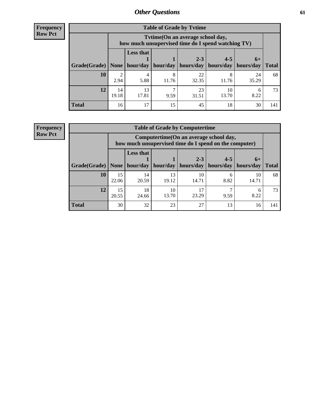**Frequency Row Pct**

| <b>Table of Grade by Tytime</b> |             |                                                                                        |            |                                                                    |             |                      |              |  |  |  |
|---------------------------------|-------------|----------------------------------------------------------------------------------------|------------|--------------------------------------------------------------------|-------------|----------------------|--------------|--|--|--|
|                                 |             | Tvtime(On an average school day,<br>how much unsupervised time do I spend watching TV) |            |                                                                    |             |                      |              |  |  |  |
| Grade(Grade)   None             |             | <b>Less that</b>                                                                       |            | $2 - 3$<br>hour/day   hour/day   hours/day   hours/day   hours/day | $4 - 5$     | $6+$                 | <b>Total</b> |  |  |  |
| <b>10</b>                       | 2<br>2.94   | 4<br>5.88                                                                              | 8<br>11.76 | 22<br>32.35                                                        | 11.76       | 24<br>35.29          | 68           |  |  |  |
| 12                              | 14<br>19.18 | 13<br>17.81                                                                            | 9.59       | 23<br>31.51                                                        | 10<br>13.70 | <sub>b</sub><br>8.22 | 73           |  |  |  |
| <b>Total</b>                    | 16          | 17                                                                                     | 15         | 45                                                                 | 18          | 30                   | 141          |  |  |  |

**Frequency Row Pct**

| <b>Table of Grade by Computertime</b> |             |                                                                                                   |                     |             |           |             |              |  |  |
|---------------------------------------|-------------|---------------------------------------------------------------------------------------------------|---------------------|-------------|-----------|-------------|--------------|--|--|
|                                       |             | Computertime (On an average school day,<br>how much unsupervised time do I spend on the computer) |                     |             |           |             |              |  |  |
|                                       |             | <b>Less that</b>                                                                                  |                     | $2 - 3$     | $4 - 5$   | $6+$        |              |  |  |
| Grade(Grade)                          | None $ $    |                                                                                                   | hour/day   hour/day | hours/day   | hours/day | hours/day   | <b>Total</b> |  |  |
| 10                                    | 15<br>22.06 | 14<br>20.59                                                                                       | 13<br>19.12         | 10<br>14.71 | 6<br>8.82 | 10<br>14.71 | 68           |  |  |
| 12                                    | 15<br>20.55 | 18<br>10<br>17<br>h<br>23.29<br>8.22<br>13.70<br>9.59<br>24.66                                    |                     |             |           |             |              |  |  |
| <b>Total</b>                          | 30          | 32                                                                                                | 23                  | 27          | 13        | 16          | 141          |  |  |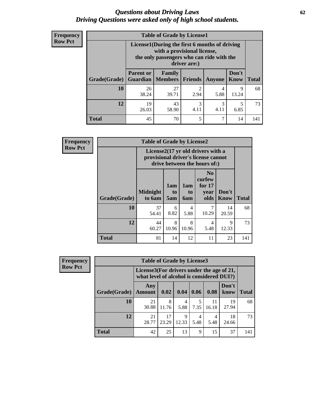#### *Questions about Driving Laws* **62** *Driving Questions were asked only of high school students.*

| <b>Frequency</b> |
|------------------|
| <b>Row Pct</b>   |

| <b>Table of Grade by License1</b> |                                                                   |                                                                                                                                           |                       |           |               |              |  |  |  |
|-----------------------------------|-------------------------------------------------------------------|-------------------------------------------------------------------------------------------------------------------------------------------|-----------------------|-----------|---------------|--------------|--|--|--|
|                                   |                                                                   | License1(During the first 6 months of driving<br>with a provisional license,<br>the only passengers who can ride with the<br>driver are:) |                       |           |               |              |  |  |  |
| Grade(Grade)                      | <b>Parent or</b>                                                  | Family<br><b>Guardian</b>   Members                                                                                                       | Friends               | Anyone    | Don't<br>Know | <b>Total</b> |  |  |  |
| 10                                | 26<br>38.24                                                       | 27<br>39.71                                                                                                                               | $\mathcal{P}$<br>2.94 | 4<br>5.88 | 9<br>13.24    | 68           |  |  |  |
| 12                                | 3<br>19<br>43<br>3<br>5<br>4.11<br>4.11<br>58.90<br>6.85<br>26.03 |                                                                                                                                           |                       |           |               |              |  |  |  |
| Total                             | 45                                                                | 70                                                                                                                                        | 5                     | 7         | 14            |              |  |  |  |

| <b>Frequency</b> | <b>Table of Grade by License2</b>                                                                        |                           |                  |                  |                                                      |                      |              |  |
|------------------|----------------------------------------------------------------------------------------------------------|---------------------------|------------------|------------------|------------------------------------------------------|----------------------|--------------|--|
| <b>Row Pct</b>   | License2(17 yr old drivers with a<br>provisional driver's license cannot<br>drive between the hours of:) |                           |                  |                  |                                                      |                      |              |  |
|                  | Grade(Grade)                                                                                             | <b>Midnight</b><br>to 6am | 1am<br>to<br>5am | 1am<br>to<br>6am | N <sub>0</sub><br>curfew<br>for $17$<br>year<br>olds | Don't<br><b>Know</b> | <b>Total</b> |  |
|                  | 10                                                                                                       | 37<br>54.41               | 6<br>8.82        | 4<br>5.88        | 7<br>10.29                                           | 14<br>20.59          | 68           |  |
|                  | 12                                                                                                       | 44<br>60.27               | 8<br>10.96       | 8<br>10.96       | 4<br>5.48                                            | 9<br>12.33           | 73           |  |
|                  | <b>Total</b>                                                                                             | 81                        | 14               | 12               | 11                                                   | 23                   | 141          |  |

| Frequency      |              | <b>Table of Grade by License3</b>                                                      |             |            |           |             |               |              |
|----------------|--------------|----------------------------------------------------------------------------------------|-------------|------------|-----------|-------------|---------------|--------------|
| <b>Row Pct</b> |              | License3(For drivers under the age of 21,<br>what level of alcohol is considered DUI?) |             |            |           |             |               |              |
|                | Grade(Grade) | Any<br><b>Amount</b>                                                                   | 0.02        | 0.04       | 0.06      | 0.08        | Don't<br>know | <b>Total</b> |
|                | 10           | 21<br>30.88                                                                            | 8<br>11.76  | 4<br>5.88  | 7.35      | 11<br>16.18 | 19<br>27.94   | 68           |
|                | 12           | 21<br>28.77                                                                            | 17<br>23.29 | 9<br>12.33 | 4<br>5.48 | 4<br>5.48   | 18<br>24.66   | 73           |
|                | Total        | 42                                                                                     | 25          | 13         | 9         | 15          | 37            | 141          |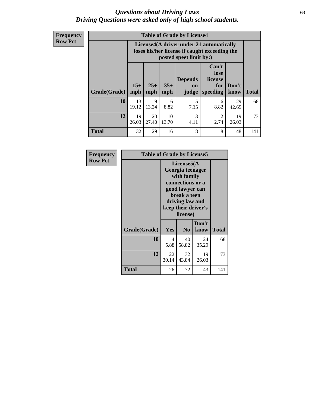#### *Questions about Driving Laws* **63** *Driving Questions were asked only of high school students.*

**Frequency Row Pct**

| <b>Table of Grade by License4</b> |             |                                                                                                                                                                                                                                                                                |             |           |           |             |     |  |
|-----------------------------------|-------------|--------------------------------------------------------------------------------------------------------------------------------------------------------------------------------------------------------------------------------------------------------------------------------|-------------|-----------|-----------|-------------|-----|--|
|                                   |             | License4(A driver under 21 automatically<br>loses his/her license if caught exceeding the<br>posted speet limit by:)<br>Can't<br>lose<br><b>Depends</b><br>license<br>$15+$<br>$25+$<br>$35+$<br>Don't<br>for<br>on<br><b>Total</b><br>mph<br>speeding<br>know<br>mph<br>judge |             |           |           |             |     |  |
| Grade(Grade)                      | mph         |                                                                                                                                                                                                                                                                                |             |           |           |             |     |  |
| 10                                | 13<br>19.12 | 9<br>13.24                                                                                                                                                                                                                                                                     | 6<br>8.82   | 5<br>7.35 | 6<br>8.82 | 29<br>42.65 | 68  |  |
| 12                                | 19<br>26.03 | 20<br>27.40                                                                                                                                                                                                                                                                    | 10<br>13.70 | 3<br>4.11 | 2<br>2.74 | 19<br>26.03 | 73  |  |
| <b>Total</b>                      | 32          | 29                                                                                                                                                                                                                                                                             | 16          | 8         | 8         | 48          | 141 |  |

| Frequency      | <b>Table of Grade by License5</b> |             |                                                                                                                                      |                     |              |  |
|----------------|-----------------------------------|-------------|--------------------------------------------------------------------------------------------------------------------------------------|---------------------|--------------|--|
| <b>Row Pct</b> |                                   |             | License5(A)<br>Georgia teenager<br>with family<br>connections or a<br>good lawyer can<br>break a teen<br>driving law and<br>license) | keep their driver's |              |  |
|                | Grade(Grade)                      | Yes         | N <sub>0</sub>                                                                                                                       | Don't<br>know       | <b>Total</b> |  |
|                | 10                                | 4<br>5.88   | 40<br>58.82                                                                                                                          | 24<br>35.29         | 68           |  |
|                | 12                                | 22<br>30.14 | 32<br>43.84                                                                                                                          | 19<br>26.03         | 73           |  |
|                | Total                             | 26          | 72                                                                                                                                   | 43                  | 141          |  |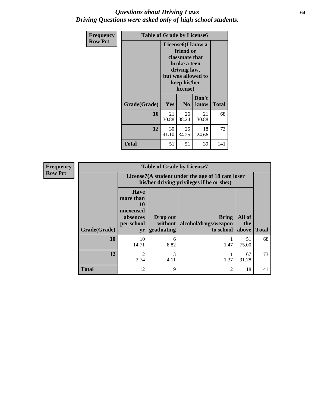#### *Questions about Driving Laws* **64** *Driving Questions were asked only of high school students.*

| <b>Frequency</b> | <b>Table of Grade by License6</b> |             |                                                                                                                           |                    |              |  |
|------------------|-----------------------------------|-------------|---------------------------------------------------------------------------------------------------------------------------|--------------------|--------------|--|
| <b>Row Pct</b>   |                                   |             | License <sub>6</sub> (I know a<br>friend or<br>classmate that<br>broke a teen<br>driving law,<br>keep his/her<br>license) | but was allowed to |              |  |
|                  | Grade(Grade)                      | Yes         | N <sub>0</sub>                                                                                                            | Don't<br>know      | <b>Total</b> |  |
|                  | 10                                | 21<br>30.88 | 26<br>38.24                                                                                                               | 21<br>30.88        | 68           |  |
|                  | 12                                | 30<br>41.10 | 25<br>34.25                                                                                                               | 18<br>24.66        | 73           |  |
|                  | <b>Total</b>                      | 51          | 51                                                                                                                        | 39                 | 141          |  |

| <b>Frequency</b> | <b>Table of Grade by License7</b> |                                                                             |                                     |                                                                                               |                        |              |  |  |
|------------------|-----------------------------------|-----------------------------------------------------------------------------|-------------------------------------|-----------------------------------------------------------------------------------------------|------------------------|--------------|--|--|
| <b>Row Pct</b>   |                                   |                                                                             |                                     | License7(A student under the age of 18 cam loser<br>his/her driving privileges if he or she:) |                        |              |  |  |
|                  | Grade(Grade)                      | <b>Have</b><br>more than<br>10<br>unexcused<br>absences<br>per school<br>yr | Drop out<br>without  <br>graduating | <b>Bring</b><br>alcohol/drugs/weapon<br>to school                                             | All of<br>the<br>above | <b>Total</b> |  |  |
|                  | 10                                | 10<br>14.71                                                                 | 6<br>8.82                           | 1.47                                                                                          | 51<br>75.00            | 68           |  |  |
|                  | 12                                | $\overline{c}$<br>2.74                                                      | 3<br>4.11                           | 1.37                                                                                          | 67<br>91.78            | 73           |  |  |
|                  | <b>Total</b>                      | 12                                                                          | 9                                   | $\overline{c}$                                                                                | 118                    | 141          |  |  |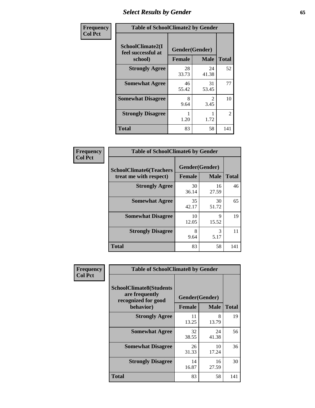# *Select Results by Gender* **65**

| Frequency      | <b>Table of SchoolClimate2 by Gender</b>          |                                 |             |                |  |
|----------------|---------------------------------------------------|---------------------------------|-------------|----------------|--|
| <b>Col Pct</b> | SchoolClimate2(I<br>feel successful at<br>school) | Gender(Gender)<br><b>Female</b> | <b>Male</b> | <b>Total</b>   |  |
|                | <b>Strongly Agree</b>                             | 28<br>33.73                     | 24<br>41.38 | 52             |  |
|                | <b>Somewhat Agree</b>                             | 46<br>55.42                     | 31<br>53.45 | 77             |  |
|                | <b>Somewhat Disagree</b>                          | 8<br>9.64                       | 3.45        | 10             |  |
|                | <b>Strongly Disagree</b>                          | 1.20                            | 1.72        | $\overline{2}$ |  |
|                | <b>Total</b>                                      | 83                              | 58          | 141            |  |

| Frequency      | <b>Table of SchoolClimate6 by Gender</b>                 |               |                               |              |  |
|----------------|----------------------------------------------------------|---------------|-------------------------------|--------------|--|
| <b>Col Pct</b> | <b>SchoolClimate6(Teachers</b><br>treat me with respect) | <b>Female</b> | Gender(Gender)<br><b>Male</b> | <b>Total</b> |  |
|                | <b>Strongly Agree</b>                                    | 30<br>36.14   | 16<br>27.59                   | 46           |  |
|                | <b>Somewhat Agree</b>                                    | 35<br>42.17   | 30<br>51.72                   | 65           |  |
|                | <b>Somewhat Disagree</b>                                 | 10<br>12.05   | q<br>15.52                    | 19           |  |
|                | <b>Strongly Disagree</b>                                 | 8<br>9.64     | 3<br>5.17                     | 11           |  |
|                | <b>Total</b>                                             | 83            | 58                            | 141          |  |

| Frequency      | <b>Table of SchoolClimate8 by Gender</b>                                             |                                 |             |              |
|----------------|--------------------------------------------------------------------------------------|---------------------------------|-------------|--------------|
| <b>Col Pct</b> | <b>SchoolClimate8(Students</b><br>are frequently<br>recognized for good<br>behavior) | Gender(Gender)<br><b>Female</b> | <b>Male</b> | <b>Total</b> |
|                |                                                                                      |                                 |             |              |
|                | <b>Strongly Agree</b>                                                                | 11<br>13.25                     | 8<br>13.79  | 19           |
|                | <b>Somewhat Agree</b>                                                                | 32<br>38.55                     | 24<br>41.38 | 56           |
|                | <b>Somewhat Disagree</b>                                                             | 26<br>31.33                     | 10<br>17.24 | 36           |
|                | <b>Strongly Disagree</b>                                                             | 14<br>16.87                     | 16<br>27.59 | 30           |
|                | Total                                                                                | 83                              | 58          | 141          |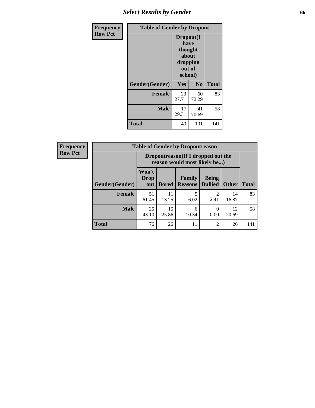# *Select Results by Gender* **66**

| <b>Frequency</b> | <b>Table of Gender by Dropout</b> |                                                                        |                |              |
|------------------|-----------------------------------|------------------------------------------------------------------------|----------------|--------------|
| <b>Row Pct</b>   |                                   | Dropout(I<br>have<br>thought<br>about<br>dropping<br>out of<br>school) |                |              |
|                  | Gender(Gender)                    | Yes                                                                    | N <sub>0</sub> | <b>Total</b> |
|                  | <b>Female</b>                     | 23<br>27.71                                                            | 60<br>72.29    | 83           |
|                  | <b>Male</b>                       | 17<br>29.31                                                            | 41<br>70.69    | 58           |
|                  | <b>Total</b>                      | 40                                                                     | 101            | 141          |

| <b>Frequency</b> | <b>Table of Gender by Dropoutreason</b> |                                                                    |              |                          |                                |              |              |
|------------------|-----------------------------------------|--------------------------------------------------------------------|--------------|--------------------------|--------------------------------|--------------|--------------|
| <b>Row Pct</b>   |                                         | Dropoutreason(If I dropped out the<br>reason would most likely be) |              |                          |                                |              |              |
|                  | Gender(Gender)                          | Won't<br><b>Drop</b><br>out                                        | <b>Bored</b> | Family<br><b>Reasons</b> | <b>Being</b><br><b>Bullied</b> | <b>Other</b> | <b>Total</b> |
|                  | <b>Female</b>                           | 51<br>61.45                                                        | 11<br>13.25  | 5<br>6.02                | $\mathfrak{D}$<br>2.41         | 14<br>16.87  | 83           |
|                  | <b>Male</b>                             | 25<br>43.10                                                        | 15<br>25.86  | 6<br>10.34               | 0<br>0.00                      | 12<br>20.69  | 58           |
|                  | <b>Total</b>                            | 76                                                                 | 26           | 11                       | $\overline{2}$                 | 26           | 141          |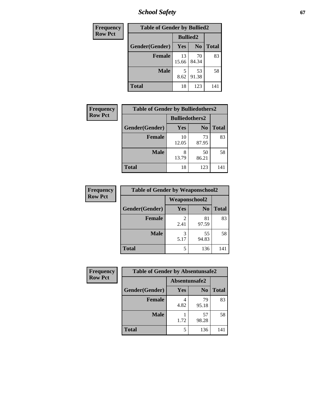*School Safety* **67**

| Frequency      | <b>Table of Gender by Bullied2</b> |                 |                |              |
|----------------|------------------------------------|-----------------|----------------|--------------|
| <b>Row Pct</b> |                                    | <b>Bullied2</b> |                |              |
|                | Gender(Gender)                     | Yes             | N <sub>0</sub> | <b>Total</b> |
|                | <b>Female</b>                      | 13<br>15.66     | 70<br>84.34    | 83           |
|                | <b>Male</b>                        | 8.62            | 53<br>91.38    | 58           |
|                | <b>Total</b>                       | 18              | 123            | 141          |

| <b>Frequency</b> | <b>Table of Gender by Bulliedothers2</b> |                       |                |              |
|------------------|------------------------------------------|-----------------------|----------------|--------------|
| <b>Row Pct</b>   |                                          | <b>Bulliedothers2</b> |                |              |
|                  | Gender(Gender)                           | Yes                   | N <sub>0</sub> | <b>Total</b> |
|                  | <b>Female</b>                            | 10<br>12.05           | 73<br>87.95    | 83           |
|                  | <b>Male</b>                              | 8<br>13.79            | 50<br>86.21    | 58           |
|                  | Total                                    | 18                    | 123            | 141          |

| Frequency      | <b>Table of Gender by Weaponschool2</b> |                      |                |              |
|----------------|-----------------------------------------|----------------------|----------------|--------------|
| <b>Row Pct</b> |                                         | <b>Weaponschool2</b> |                |              |
|                | Gender(Gender)                          | Yes                  | N <sub>0</sub> | <b>Total</b> |
|                | <b>Female</b>                           | 2.41                 | 81<br>97.59    | 83           |
|                | <b>Male</b>                             | 3<br>5.17            | 55<br>94.83    | 58           |
|                | <b>Total</b>                            | 5                    | 136            | 141          |

| Frequency      | <b>Table of Gender by Absentunsafe2</b> |               |                |              |
|----------------|-----------------------------------------|---------------|----------------|--------------|
| <b>Row Pct</b> |                                         | Absentunsafe2 |                |              |
|                | Gender(Gender)                          | Yes           | N <sub>0</sub> | <b>Total</b> |
|                | <b>Female</b>                           | 4<br>4.82     | 79<br>95.18    | 83           |
|                | <b>Male</b>                             | 1.72          | 57<br>98.28    | 58           |
|                | <b>Total</b>                            |               | 136            | 141          |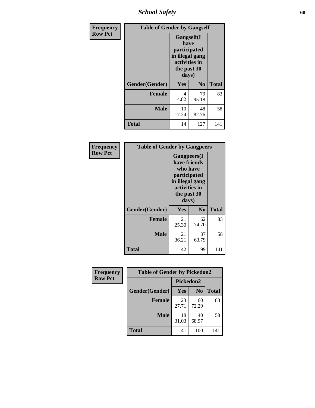*School Safety* **68**

| Frequency      | <b>Table of Gender by Gangself</b> |                                                                                                        |                |              |
|----------------|------------------------------------|--------------------------------------------------------------------------------------------------------|----------------|--------------|
| <b>Row Pct</b> |                                    | <b>Gangself</b> (I<br>have<br>participated<br>in illegal gang<br>activities in<br>the past 30<br>days) |                |              |
|                | Gender(Gender)                     | Yes                                                                                                    | N <sub>0</sub> | <b>Total</b> |
|                | <b>Female</b>                      | 4<br>4.82                                                                                              | 79<br>95.18    | 83           |
|                | <b>Male</b>                        | 10<br>17.24                                                                                            | 48<br>82.76    | 58           |
|                | <b>Total</b>                       | 14                                                                                                     | 127            | 141          |

| Frequency      | <b>Table of Gender by Gangpeers</b> |                                                                                                                             |                |              |
|----------------|-------------------------------------|-----------------------------------------------------------------------------------------------------------------------------|----------------|--------------|
| <b>Row Pct</b> |                                     | <b>Gangpeers</b> (I<br>have friends<br>who have<br>participated<br>in illegal gang<br>activities in<br>the past 30<br>days) |                |              |
|                | Gender(Gender)                      | Yes                                                                                                                         | N <sub>0</sub> | <b>Total</b> |
|                | <b>Female</b>                       | 21<br>25.30                                                                                                                 | 62<br>74.70    | 83           |
|                | <b>Male</b>                         | 21<br>36.21                                                                                                                 | 37<br>63.79    | 58           |
|                | <b>Total</b>                        | 42                                                                                                                          | 99             | 141          |

| Frequency      | <b>Table of Gender by Pickedon2</b> |             |                |              |
|----------------|-------------------------------------|-------------|----------------|--------------|
| <b>Row Pct</b> |                                     | Pickedon2   |                |              |
|                | Gender(Gender)                      | <b>Yes</b>  | N <sub>0</sub> | <b>Total</b> |
|                | <b>Female</b>                       | 23<br>27.71 | 60<br>72.29    | 83           |
|                | <b>Male</b>                         | 18<br>31.03 | 40<br>68.97    | 58           |
|                | <b>Total</b>                        | 41          | 100            | 141          |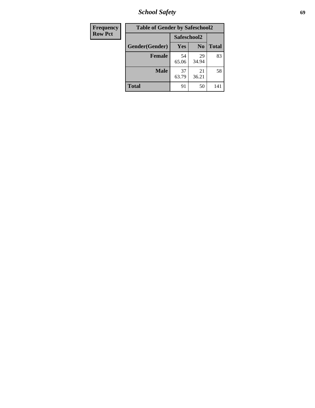*School Safety* **69**

| Frequency      | <b>Table of Gender by Safeschool2</b> |             |                |              |  |
|----------------|---------------------------------------|-------------|----------------|--------------|--|
| <b>Row Pct</b> |                                       | Safeschool2 |                |              |  |
|                | Gender(Gender)                        | Yes         | N <sub>0</sub> | <b>Total</b> |  |
|                | <b>Female</b>                         | 54<br>65.06 | 29<br>34.94    | 83           |  |
|                | <b>Male</b>                           | 37<br>63.79 | 21<br>36.21    | 58           |  |
|                | <b>Total</b>                          | 91          | 50             | 141          |  |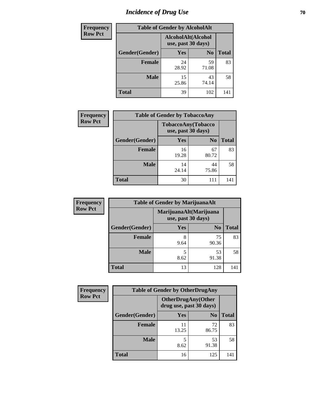# *Incidence of Drug Use* **70**

| <b>Frequency</b> | <b>Table of Gender by AlcoholAlt</b> |                                          |                |              |
|------------------|--------------------------------------|------------------------------------------|----------------|--------------|
| <b>Row Pct</b>   |                                      | AlcoholAlt(Alcohol<br>use, past 30 days) |                |              |
|                  | Gender(Gender)                       | Yes                                      | N <sub>0</sub> | <b>Total</b> |
|                  | <b>Female</b>                        | 24<br>28.92                              | 59<br>71.08    | 83           |
|                  | <b>Male</b>                          | 15<br>25.86                              | 43<br>74.14    | 58           |
|                  | <b>Total</b>                         | 39                                       | 102            | 141          |

| <b>Frequency</b> | <b>Table of Gender by TobaccoAny</b> |                    |                    |              |  |  |
|------------------|--------------------------------------|--------------------|--------------------|--------------|--|--|
| <b>Row Pct</b>   |                                      | use, past 30 days) | TobaccoAny(Tobacco |              |  |  |
|                  | Gender(Gender)                       | Yes                | N <sub>0</sub>     | <b>Total</b> |  |  |
|                  | <b>Female</b>                        | 16<br>19.28        | 67<br>80.72        | 83           |  |  |
|                  | <b>Male</b>                          | 14<br>24.14        | 44<br>75.86        | 58           |  |  |
|                  | <b>Total</b>                         | 30                 | 111                | 141          |  |  |

| <b>Frequency</b> | <b>Table of Gender by MarijuanaAlt</b> |           |                                              |       |
|------------------|----------------------------------------|-----------|----------------------------------------------|-------|
| <b>Row Pct</b>   |                                        |           | MarijuanaAlt(Marijuana<br>use, past 30 days) |       |
|                  | Gender(Gender)                         | Yes       | N <sub>0</sub>                               | Total |
|                  | Female                                 | 8<br>9.64 | 75<br>90.36                                  | 83    |
|                  | <b>Male</b>                            | 5<br>8.62 | 53<br>91.38                                  | 58    |
|                  | <b>Total</b>                           | 13        | 128                                          | 141   |

| <b>Frequency</b> | <b>Table of Gender by OtherDrugAny</b> |                                                      |                |              |  |
|------------------|----------------------------------------|------------------------------------------------------|----------------|--------------|--|
| <b>Row Pct</b>   |                                        | <b>OtherDrugAny(Other</b><br>drug use, past 30 days) |                |              |  |
|                  | Gender(Gender)                         | <b>Yes</b>                                           | N <sub>0</sub> | <b>Total</b> |  |
|                  | <b>Female</b>                          | 13.25                                                | 72<br>86.75    | 83           |  |
|                  | <b>Male</b>                            | 5<br>8.62                                            | 53<br>91.38    | 58           |  |
|                  | <b>Total</b>                           | 16                                                   | 125            | 141          |  |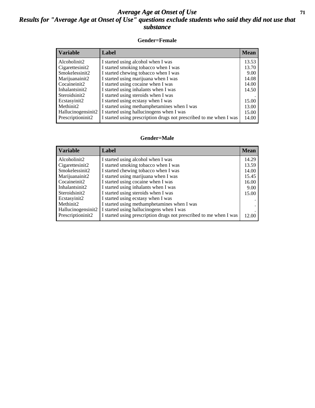#### *Average Age at Onset of Use* **71** *Results for "Average Age at Onset of Use" questions exclude students who said they did not use that substance*

#### **Gender=Female**

| <b>Variable</b>                 | <b>Label</b>                                                       | <b>Mean</b> |
|---------------------------------|--------------------------------------------------------------------|-------------|
| Alcoholinit2                    | I started using alcohol when I was                                 | 13.53       |
| Cigarettesinit2                 | I started smoking tobacco when I was                               | 13.70       |
| Smokelessinit2                  | I started chewing tobacco when I was                               | 9.00        |
| Marijuanainit2                  | I started using marijuana when I was                               | 14.08       |
| Cocaineinit2                    | I started using cocaine when I was                                 | 14.00       |
| Inhalantsinit2                  | I started using inhalants when I was                               | 14.50       |
| Steroidsinit2                   | I started using steroids when I was                                |             |
| Ecstasyinit2                    | I started using ecstasy when I was                                 | 15.00       |
| Methinit2                       | I started using methamphetamines when I was                        | 13.00       |
| Hallucinogensinit2              | I started using hallucinogens when I was                           | 15.00       |
| Prescription in it <sub>2</sub> | I started using prescription drugs not prescribed to me when I was | 14.00       |

#### **Gender=Male**

| <b>Variable</b>    | Label                                                              | <b>Mean</b> |
|--------------------|--------------------------------------------------------------------|-------------|
| Alcoholinit2       | I started using alcohol when I was                                 | 14.29       |
| Cigarettesinit2    | I started smoking tobacco when I was                               | 13.59       |
| Smokelessinit2     | I started chewing tobacco when I was                               | 14.00       |
| Marijuanainit2     | I started using marijuana when I was                               | 15.45       |
| Cocaineinit2       | I started using cocaine when I was                                 | 16.00       |
| Inhalantsinit2     | I started using inhalants when I was                               | 9.00        |
| Steroidsinit2      | I started using steroids when I was                                | 15.00       |
| Ecstasyinit2       | I started using ecstasy when I was                                 |             |
| Methinit2          | I started using methamphetamines when I was                        |             |
| Hallucinogensinit2 | I started using hallucinogens when I was                           |             |
| Prescriptioninit2  | I started using prescription drugs not prescribed to me when I was | 12.00       |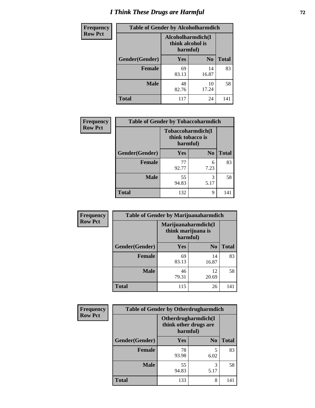# *I Think These Drugs are Harmful* **72**

| <b>Frequency</b> | <b>Table of Gender by Alcoholharmdich</b> |                                                   |                |              |  |
|------------------|-------------------------------------------|---------------------------------------------------|----------------|--------------|--|
| <b>Row Pct</b>   |                                           | Alcoholharmdich(I<br>think alcohol is<br>harmful) |                |              |  |
|                  | <b>Gender</b> (Gender)                    | <b>Yes</b>                                        | N <sub>0</sub> | <b>Total</b> |  |
|                  | <b>Female</b>                             | 69<br>83.13                                       | 14<br>16.87    | 83           |  |
|                  | <b>Male</b>                               | 48<br>82.76                                       | 10<br>17.24    | 58           |  |
|                  | <b>Total</b>                              | 117                                               | 24             | 141          |  |

| Frequency      | <b>Table of Gender by Tobaccoharmdich</b> |                  |                               |              |  |
|----------------|-------------------------------------------|------------------|-------------------------------|--------------|--|
| <b>Row Pct</b> |                                           | think tobacco is | Tobaccoharmdich(I<br>harmful) |              |  |
|                | Gender(Gender)                            | Yes              | N <sub>0</sub>                | <b>Total</b> |  |
|                | <b>Female</b>                             | 77<br>92.77      | 6<br>7.23                     | 83           |  |
|                | <b>Male</b>                               | 55<br>94.83      | 3<br>5.17                     | 58           |  |
|                | <b>Total</b>                              | 132              | 9                             | 141          |  |

| Frequency      | <b>Table of Gender by Marijuanaharmdich</b> |                                                       |                |              |  |
|----------------|---------------------------------------------|-------------------------------------------------------|----------------|--------------|--|
| <b>Row Pct</b> |                                             | Marijuanaharmdich(I<br>think marijuana is<br>harmful) |                |              |  |
|                | Gender(Gender)                              | <b>Yes</b>                                            | N <sub>0</sub> | <b>Total</b> |  |
|                | <b>Female</b>                               | 69<br>83.13                                           | 14<br>16.87    | 83           |  |
|                | <b>Male</b>                                 | 46<br>79.31                                           | 12<br>20.69    | 58           |  |
|                | <b>Total</b>                                | 115                                                   | 26             | 141          |  |

| Frequency      | <b>Table of Gender by Otherdrugharmdich</b> |                                                          |                |              |  |
|----------------|---------------------------------------------|----------------------------------------------------------|----------------|--------------|--|
| <b>Row Pct</b> |                                             | Otherdrugharmdich(I<br>think other drugs are<br>harmful) |                |              |  |
|                | Gender(Gender)                              | <b>Yes</b>                                               | N <sub>0</sub> | <b>Total</b> |  |
|                | <b>Female</b>                               | 78<br>93.98                                              | 5<br>6.02      | 83           |  |
|                | <b>Male</b>                                 | 55<br>94.83                                              | 3<br>5.17      | 58           |  |
|                | <b>Total</b>                                | 133                                                      | 8              | 141          |  |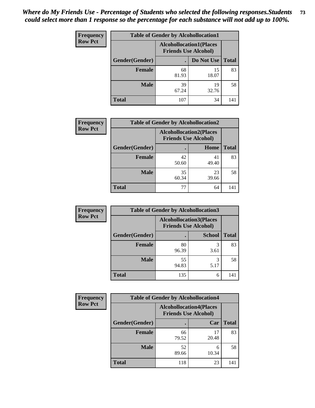| <b>Frequency</b> | <b>Table of Gender by Alcohollocation1</b>                    |             |             |              |
|------------------|---------------------------------------------------------------|-------------|-------------|--------------|
| <b>Row Pct</b>   | <b>Alcohollocation1(Places</b><br><b>Friends Use Alcohol)</b> |             |             |              |
|                  | Gender(Gender)                                                |             | Do Not Use  | <b>Total</b> |
|                  | <b>Female</b>                                                 | 68<br>81.93 | 15<br>18.07 | 83           |
|                  | <b>Male</b>                                                   | 39<br>67.24 | 19<br>32.76 | 58           |
|                  | <b>Total</b>                                                  | 107         | 34          | 141          |

| <b>Frequency</b> | <b>Table of Gender by Alcohollocation2</b> |                                                               |             |              |
|------------------|--------------------------------------------|---------------------------------------------------------------|-------------|--------------|
| <b>Row Pct</b>   |                                            | <b>Alcohollocation2(Places</b><br><b>Friends Use Alcohol)</b> |             |              |
|                  | Gender(Gender)                             |                                                               | Home        | <b>Total</b> |
|                  | Female                                     | 42<br>50.60                                                   | 41<br>49.40 | 83           |
|                  | <b>Male</b>                                | 35<br>60.34                                                   | 23<br>39.66 | 58           |
|                  | <b>Total</b>                               | 77                                                            | 64          | 141          |

| Frequency      | <b>Table of Gender by Alcohollocation3</b> |                                                               |               |              |
|----------------|--------------------------------------------|---------------------------------------------------------------|---------------|--------------|
| <b>Row Pct</b> |                                            | <b>Alcohollocation3(Places</b><br><b>Friends Use Alcohol)</b> |               |              |
|                | Gender(Gender)                             |                                                               | <b>School</b> | <b>Total</b> |
|                | <b>Female</b>                              | 80<br>96.39                                                   | 3<br>3.61     | 83           |
|                | <b>Male</b>                                | 55<br>94.83                                                   | 5.17          | 58           |
|                | <b>Total</b>                               | 135                                                           | 6             | 141          |

| Frequency      | <b>Table of Gender by Alcohollocation4</b> |                                                               |             |              |
|----------------|--------------------------------------------|---------------------------------------------------------------|-------------|--------------|
| <b>Row Pct</b> |                                            | <b>Alcohollocation4(Places</b><br><b>Friends Use Alcohol)</b> |             |              |
|                | Gender(Gender)                             |                                                               | Car         | <b>Total</b> |
|                | <b>Female</b>                              | 66<br>79.52                                                   | 17<br>20.48 | 83           |
|                | <b>Male</b>                                | 52<br>89.66                                                   | 6<br>10.34  | 58           |
|                | <b>Total</b>                               | 118                                                           | 23          | 141          |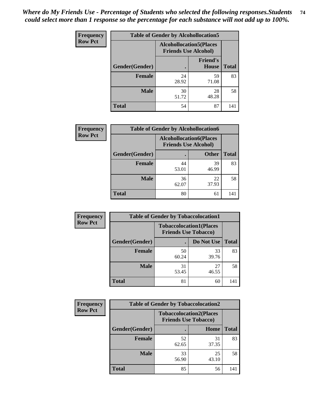| <b>Frequency</b> |                | <b>Table of Gender by Alcohollocation5</b>                     |                                 |              |
|------------------|----------------|----------------------------------------------------------------|---------------------------------|--------------|
| <b>Row Pct</b>   |                | <b>Alcohollocation5</b> (Places<br><b>Friends Use Alcohol)</b> |                                 |              |
|                  | Gender(Gender) | $\bullet$                                                      | <b>Friend's</b><br><b>House</b> | <b>Total</b> |
|                  | <b>Female</b>  | 24<br>28.92                                                    | 59<br>71.08                     | 83           |
|                  | <b>Male</b>    | 30<br>51.72                                                    | 28<br>48.28                     | 58           |
|                  | <b>Total</b>   | 54                                                             | 87                              | 141          |

| Frequency      | <b>Table of Gender by Alcohollocation6</b> |             |                                                               |              |
|----------------|--------------------------------------------|-------------|---------------------------------------------------------------|--------------|
| <b>Row Pct</b> |                                            |             | <b>Alcohollocation6(Places</b><br><b>Friends Use Alcohol)</b> |              |
|                | Gender(Gender)                             |             | <b>Other</b>                                                  | <b>Total</b> |
|                | <b>Female</b>                              | 44<br>53.01 | 39<br>46.99                                                   | 83           |
|                | <b>Male</b>                                | 36<br>62.07 | 22<br>37.93                                                   | 58           |
|                | <b>Total</b>                               | 80          | 61                                                            | 141          |

| Frequency      | <b>Table of Gender by Tobaccolocation1</b> |                                                               |             |              |  |
|----------------|--------------------------------------------|---------------------------------------------------------------|-------------|--------------|--|
| <b>Row Pct</b> |                                            | <b>Tobaccolocation1(Places</b><br><b>Friends Use Tobacco)</b> |             |              |  |
|                | <b>Gender</b> (Gender)                     |                                                               | Do Not Use  | <b>Total</b> |  |
|                | Female                                     | 50<br>60.24                                                   | 33<br>39.76 | 83           |  |
|                | <b>Male</b>                                | 31<br>53.45                                                   | 27<br>46.55 | 58           |  |
|                | <b>Total</b>                               | 81                                                            | 60          | 141          |  |

| <b>Frequency</b> | <b>Table of Gender by Tobaccolocation2</b> |                                                               |             |              |
|------------------|--------------------------------------------|---------------------------------------------------------------|-------------|--------------|
| <b>Row Pct</b>   |                                            | <b>Tobaccolocation2(Places</b><br><b>Friends Use Tobacco)</b> |             |              |
|                  | Gender(Gender)                             |                                                               | Home        | <b>Total</b> |
|                  | Female                                     | 52<br>62.65                                                   | 31<br>37.35 | 83           |
|                  | <b>Male</b>                                | 33<br>56.90                                                   | 25<br>43.10 | 58           |
|                  | <b>Total</b>                               | 85                                                            | 56          | 141          |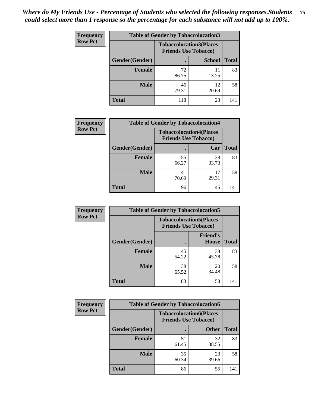| <b>Frequency</b> | <b>Table of Gender by Tobaccolocation3</b> |             |                                                               |              |  |
|------------------|--------------------------------------------|-------------|---------------------------------------------------------------|--------------|--|
| <b>Row Pct</b>   |                                            |             | <b>Tobaccolocation3(Places</b><br><b>Friends Use Tobacco)</b> |              |  |
|                  | Gender(Gender)                             |             | <b>School</b>                                                 | <b>Total</b> |  |
|                  | <b>Female</b>                              | 72<br>86.75 | 11<br>13.25                                                   | 83           |  |
|                  | <b>Male</b>                                | 46<br>79.31 | 12<br>20.69                                                   | 58           |  |
|                  | <b>Total</b>                               | 118         | 23                                                            | 141          |  |

| <b>Frequency</b> | <b>Table of Gender by Tobaccolocation4</b> |                                                               |             |              |
|------------------|--------------------------------------------|---------------------------------------------------------------|-------------|--------------|
| <b>Row Pct</b>   |                                            | <b>Tobaccolocation4(Places</b><br><b>Friends Use Tobacco)</b> |             |              |
|                  | Gender(Gender)                             |                                                               | Car         | <b>Total</b> |
|                  | <b>Female</b>                              | 55<br>66.27                                                   | 28<br>33.73 | 83           |
|                  | <b>Male</b>                                | 41<br>70.69                                                   | 17<br>29.31 | 58           |
|                  | <b>Total</b>                               | 96                                                            | 45          | 141          |

| <b>Frequency</b> | <b>Table of Gender by Tobaccolocation5</b> |             |                                                               |              |
|------------------|--------------------------------------------|-------------|---------------------------------------------------------------|--------------|
| <b>Row Pct</b>   |                                            |             | <b>Tobaccolocation5(Places</b><br><b>Friends Use Tobacco)</b> |              |
|                  | Gender(Gender)                             |             | <b>Friend's</b><br><b>House</b>                               | <b>Total</b> |
|                  | <b>Female</b>                              | 45<br>54.22 | 38<br>45.78                                                   | 83           |
|                  | <b>Male</b>                                | 38<br>65.52 | 20<br>34.48                                                   | 58           |
|                  | <b>Total</b>                               | 83          | 58                                                            | 141          |

| <b>Frequency</b> | <b>Table of Gender by Tobaccolocation6</b> |                                                               |              |              |
|------------------|--------------------------------------------|---------------------------------------------------------------|--------------|--------------|
| <b>Row Pct</b>   |                                            | <b>Tobaccolocation6(Places</b><br><b>Friends Use Tobacco)</b> |              |              |
|                  | Gender(Gender)                             |                                                               | <b>Other</b> | <b>Total</b> |
|                  | <b>Female</b>                              | 51<br>61.45                                                   | 32<br>38.55  | 83           |
|                  | <b>Male</b>                                | 35<br>60.34                                                   | 23<br>39.66  | 58           |
|                  | <b>Total</b>                               | 86                                                            | 55           | 141          |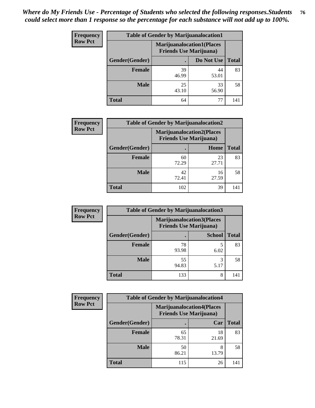| <b>Frequency</b> | <b>Table of Gender by Marijuanalocation1</b> |                                                                    |             |              |
|------------------|----------------------------------------------|--------------------------------------------------------------------|-------------|--------------|
| <b>Row Pct</b>   |                                              | <b>Marijuanalocation1(Places</b><br><b>Friends Use Marijuana</b> ) |             |              |
|                  | Gender(Gender)                               |                                                                    | Do Not Use  | <b>Total</b> |
|                  | <b>Female</b>                                | 39<br>46.99                                                        | 44<br>53.01 | 83           |
|                  | <b>Male</b>                                  | 25<br>43.10                                                        | 33<br>56.90 | 58           |
|                  | Total                                        | 64                                                                 | 77          | 141          |

| <b>Frequency</b> | <b>Table of Gender by Marijuanalocation2</b> |                                                                    |             |              |
|------------------|----------------------------------------------|--------------------------------------------------------------------|-------------|--------------|
| <b>Row Pct</b>   |                                              | <b>Marijuanalocation2(Places</b><br><b>Friends Use Marijuana</b> ) |             |              |
|                  | Gender(Gender)                               |                                                                    | Home        | <b>Total</b> |
|                  | Female                                       | 60<br>72.29                                                        | 23<br>27.71 | 83           |
|                  | <b>Male</b>                                  | 42<br>72.41                                                        | 16<br>27.59 | 58           |
|                  | <b>Total</b>                                 | 102                                                                | 39          | 141          |

| Frequency      |                | <b>Table of Gender by Marijuanalocation3</b>                       |               |              |
|----------------|----------------|--------------------------------------------------------------------|---------------|--------------|
| <b>Row Pct</b> |                | <b>Marijuanalocation3(Places</b><br><b>Friends Use Marijuana</b> ) |               |              |
|                | Gender(Gender) |                                                                    | <b>School</b> | <b>Total</b> |
|                | Female         | 78<br>93.98                                                        | 6.02          | 83           |
|                | <b>Male</b>    | 55<br>94.83                                                        | 3<br>5.17     | 58           |
|                | <b>Total</b>   | 133                                                                | 8             | 141          |

| <b>Frequency</b> | <b>Table of Gender by Marijuanalocation4</b> |                                |                                  |              |
|------------------|----------------------------------------------|--------------------------------|----------------------------------|--------------|
| <b>Row Pct</b>   |                                              | <b>Friends Use Marijuana</b> ) | <b>Marijuanalocation4(Places</b> |              |
|                  | Gender(Gender)                               |                                | Car                              | <b>Total</b> |
|                  | <b>Female</b>                                | 65<br>78.31                    | 18<br>21.69                      | 83           |
|                  | <b>Male</b>                                  | 50<br>86.21                    | 8<br>13.79                       | 58           |
|                  | <b>Total</b>                                 | 115                            | 26                               | 141          |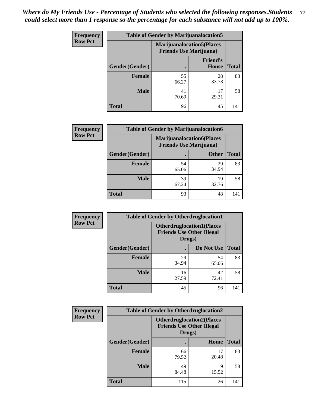| <b>Frequency</b> | <b>Table of Gender by Marijuanalocation5</b> |                                                                     |                          |              |
|------------------|----------------------------------------------|---------------------------------------------------------------------|--------------------------|--------------|
| <b>Row Pct</b>   |                                              | <b>Marijuanalocation5</b> (Places<br><b>Friends Use Marijuana</b> ) |                          |              |
|                  | Gender(Gender)                               |                                                                     | <b>Friend's</b><br>House | <b>Total</b> |
|                  | <b>Female</b>                                | 55<br>66.27                                                         | 28<br>33.73              | 83           |
|                  | <b>Male</b>                                  | 41<br>70.69                                                         | 17<br>29.31              | 58           |
|                  | <b>Total</b>                                 | 96                                                                  | 45                       | 141          |

| <b>Frequency</b> | <b>Table of Gender by Marijuanalocation6</b> |                                                                    |              |              |  |
|------------------|----------------------------------------------|--------------------------------------------------------------------|--------------|--------------|--|
| <b>Row Pct</b>   |                                              | <b>Marijuanalocation6(Places</b><br><b>Friends Use Marijuana</b> ) |              |              |  |
|                  | <b>Gender</b> (Gender)                       |                                                                    | <b>Other</b> | <b>Total</b> |  |
|                  | <b>Female</b>                                | 54<br>65.06                                                        | 29<br>34.94  | 83           |  |
|                  | <b>Male</b>                                  | 39<br>67.24                                                        | 19<br>32.76  | 58           |  |
|                  | <b>Total</b>                                 | 93                                                                 | 48           | 141          |  |

| <b>Frequency</b> | <b>Table of Gender by Otherdruglocation1</b> |                                                                                |             |              |
|------------------|----------------------------------------------|--------------------------------------------------------------------------------|-------------|--------------|
| <b>Row Pct</b>   |                                              | <b>Otherdruglocation1(Places</b><br><b>Friends Use Other Illegal</b><br>Drugs) |             |              |
|                  | Gender(Gender)                               |                                                                                | Do Not Use  | <b>Total</b> |
|                  | Female                                       | 29<br>34.94                                                                    | 54<br>65.06 | 83           |
|                  | <b>Male</b>                                  | 16<br>27.59                                                                    | 42<br>72.41 | 58           |
|                  | <b>Total</b>                                 | 45                                                                             | 96          | 141          |

| <b>Frequency</b> | <b>Table of Gender by Otherdruglocation2</b> |                                            |                                  |              |
|------------------|----------------------------------------------|--------------------------------------------|----------------------------------|--------------|
| <b>Row Pct</b>   |                                              | <b>Friends Use Other Illegal</b><br>Drugs) | <b>Otherdruglocation2(Places</b> |              |
|                  | Gender(Gender)                               |                                            | Home                             | <b>Total</b> |
|                  | <b>Female</b>                                | 66<br>79.52                                | 17<br>20.48                      | 83           |
|                  | <b>Male</b>                                  | 49<br>84.48                                | 9<br>15.52                       | 58           |
|                  | <b>Total</b>                                 | 115                                        | 26                               | 141          |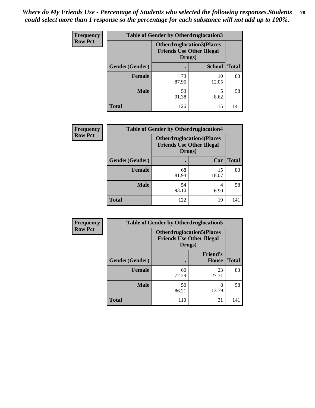| Frequency      | <b>Table of Gender by Otherdruglocation3</b> |                                                                                |               |              |
|----------------|----------------------------------------------|--------------------------------------------------------------------------------|---------------|--------------|
| <b>Row Pct</b> |                                              | <b>Otherdruglocation3(Places</b><br><b>Friends Use Other Illegal</b><br>Drugs) |               |              |
|                | Gender(Gender)                               |                                                                                | <b>School</b> | <b>Total</b> |
|                | Female                                       | 73<br>87.95                                                                    | 10<br>12.05   | 83           |
|                | <b>Male</b>                                  | 53<br>91.38                                                                    | 8.62          | 58           |
|                | <b>Total</b>                                 | 126                                                                            | 15            | 141          |

| <b>Frequency</b> | <b>Table of Gender by Otherdruglocation4</b> |                                                                                |             |              |
|------------------|----------------------------------------------|--------------------------------------------------------------------------------|-------------|--------------|
| <b>Row Pct</b>   |                                              | <b>Otherdruglocation4(Places</b><br><b>Friends Use Other Illegal</b><br>Drugs) |             |              |
|                  | Gender(Gender)                               |                                                                                | Car         | <b>Total</b> |
|                  | Female                                       | 68<br>81.93                                                                    | 15<br>18.07 | 83           |
|                  | <b>Male</b>                                  | 54<br>93.10                                                                    | 4<br>6.90   | 58           |
|                  | <b>Total</b>                                 | 122                                                                            | 19          | 141          |

| <b>Frequency</b> | <b>Table of Gender by Otherdruglocation5</b> |                                                                                |                                 |              |
|------------------|----------------------------------------------|--------------------------------------------------------------------------------|---------------------------------|--------------|
| <b>Row Pct</b>   |                                              | <b>Otherdruglocation5(Places</b><br><b>Friends Use Other Illegal</b><br>Drugs) |                                 |              |
|                  | Gender(Gender)                               |                                                                                | <b>Friend's</b><br><b>House</b> | <b>Total</b> |
|                  | <b>Female</b>                                | 60<br>72.29                                                                    | 23<br>27.71                     | 83           |
|                  | <b>Male</b>                                  | 50<br>86.21                                                                    | 8<br>13.79                      | 58           |
|                  | <b>Total</b>                                 | 110                                                                            | 31                              | 141          |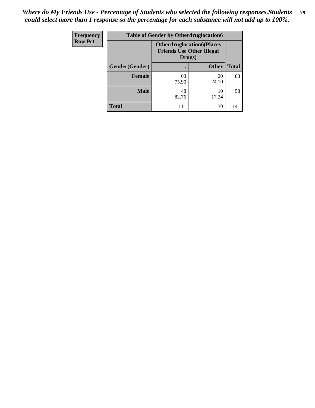| <b>Frequency</b> | <b>Table of Gender by Otherdruglocation6</b> |                                                                                |              |              |
|------------------|----------------------------------------------|--------------------------------------------------------------------------------|--------------|--------------|
| <b>Row Pct</b>   |                                              | <b>Otherdruglocation6(Places</b><br><b>Friends Use Other Illegal</b><br>Drugs) |              |              |
|                  | Gender(Gender)                               |                                                                                | <b>Other</b> | <b>Total</b> |
|                  | <b>Female</b>                                | 63<br>75.90                                                                    | 20<br>24.10  | 83           |
|                  | <b>Male</b>                                  | 48<br>82.76                                                                    | 10<br>17.24  | 58           |
|                  | <b>Total</b>                                 | 111                                                                            | 30           | 141          |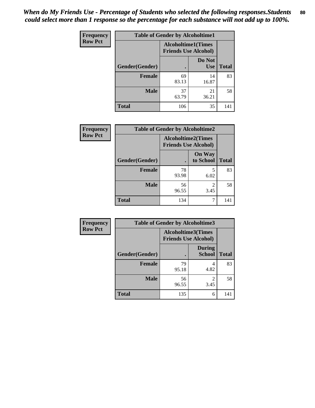| Frequency      | <b>Table of Gender by Alcoholtime1</b> |                                                          |                      |              |
|----------------|----------------------------------------|----------------------------------------------------------|----------------------|--------------|
| <b>Row Pct</b> |                                        | <b>Alcoholtime1(Times</b><br><b>Friends Use Alcohol)</b> |                      |              |
|                | Gender(Gender)                         | ٠                                                        | Do Not<br><b>Use</b> | <b>Total</b> |
|                | <b>Female</b>                          | 69<br>83.13                                              | 14<br>16.87          | 83           |
|                | <b>Male</b>                            | 37<br>63.79                                              | 21<br>36.21          | 58           |
|                | <b>Total</b>                           | 106                                                      | 35                   | 141          |

| <b>Frequency</b> | <b>Table of Gender by Alcoholtime2</b> |                                                          |                            |              |
|------------------|----------------------------------------|----------------------------------------------------------|----------------------------|--------------|
| <b>Row Pct</b>   |                                        | <b>Alcoholtime2(Times</b><br><b>Friends Use Alcohol)</b> |                            |              |
|                  | Gender(Gender)                         |                                                          | <b>On Way</b><br>to School | <b>Total</b> |
|                  | <b>Female</b>                          | 78<br>93.98                                              | 5<br>6.02                  | 83           |
|                  | <b>Male</b>                            | 56<br>96.55                                              | $\overline{2}$<br>3.45     | 58           |
|                  | <b>Total</b>                           | 134                                                      | 7                          | 141          |

| Frequency      | <b>Table of Gender by Alcoholtime3</b> |                                                          |                                |              |  |
|----------------|----------------------------------------|----------------------------------------------------------|--------------------------------|--------------|--|
| <b>Row Pct</b> |                                        | <b>Alcoholtime3(Times</b><br><b>Friends Use Alcohol)</b> |                                |              |  |
|                | Gender(Gender)                         |                                                          | <b>During</b><br><b>School</b> | <b>Total</b> |  |
|                | Female                                 | 79<br>95.18                                              | 4.82                           | 83           |  |
|                | <b>Male</b>                            | 56<br>96.55                                              | 2<br>3.45                      | 58           |  |
|                | <b>Total</b>                           | 135                                                      | 6                              | 141          |  |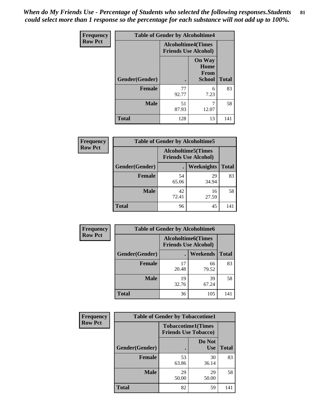*When do My Friends Use - Percentage of Students who selected the following responses.Students could select more than 1 response so the percentage for each substance will not add up to 100%.* **81**

| Frequency      | <b>Table of Gender by Alcoholtime4</b> |                                                          |                                         |              |
|----------------|----------------------------------------|----------------------------------------------------------|-----------------------------------------|--------------|
| <b>Row Pct</b> |                                        | <b>Alcoholtime4(Times</b><br><b>Friends Use Alcohol)</b> |                                         |              |
|                | Gender(Gender)                         |                                                          | <b>On Way</b><br>Home<br>From<br>School | <b>Total</b> |
|                | <b>Female</b>                          | 77<br>92.77                                              | 6<br>7.23                               | 83           |
|                | <b>Male</b>                            | 51<br>87.93                                              | 7<br>12.07                              | 58           |
|                | <b>Total</b>                           | 128                                                      | 13                                      | 141          |

| <b>Frequency</b> | <b>Table of Gender by Alcoholtime5</b> |             |                                                           |              |  |
|------------------|----------------------------------------|-------------|-----------------------------------------------------------|--------------|--|
| <b>Row Pct</b>   |                                        |             | <b>Alcoholtime5</b> (Times<br><b>Friends Use Alcohol)</b> |              |  |
|                  | Gender(Gender)                         |             | Weeknights                                                | <b>Total</b> |  |
|                  | <b>Female</b>                          | 54<br>65.06 | 29<br>34.94                                               | 83           |  |
|                  | <b>Male</b>                            | 42<br>72.41 | 16<br>27.59                                               | 58           |  |
|                  | <b>Total</b>                           | 96          | 45                                                        | 141          |  |

| <b>Frequency</b> | <b>Table of Gender by Alcoholtime6</b> |             |                                                           |              |  |
|------------------|----------------------------------------|-------------|-----------------------------------------------------------|--------------|--|
| <b>Row Pct</b>   |                                        |             | <b>Alcoholtime6</b> (Times<br><b>Friends Use Alcohol)</b> |              |  |
|                  | Gender(Gender)                         |             | <b>Weekends</b>                                           | <b>Total</b> |  |
|                  | Female                                 | 17<br>20.48 | 66<br>79.52                                               | 83           |  |
|                  | <b>Male</b>                            | 19<br>32.76 | 39<br>67.24                                               | 58           |  |
|                  | <b>Total</b>                           | 36          | 105                                                       | 141          |  |

| Frequency      | <b>Table of Gender by Tobaccotime1</b> |                                                          |                      |              |
|----------------|----------------------------------------|----------------------------------------------------------|----------------------|--------------|
| <b>Row Pct</b> |                                        | <b>Tobaccotime1(Times</b><br><b>Friends Use Tobacco)</b> |                      |              |
|                | Gender(Gender)                         |                                                          | Do Not<br><b>Use</b> | <b>Total</b> |
|                | Female                                 | 53<br>63.86                                              | 30<br>36.14          | 83           |
|                | <b>Male</b>                            | 29<br>50.00                                              | 29<br>50.00          | 58           |
|                | <b>Total</b>                           | 82                                                       | 59                   | 141          |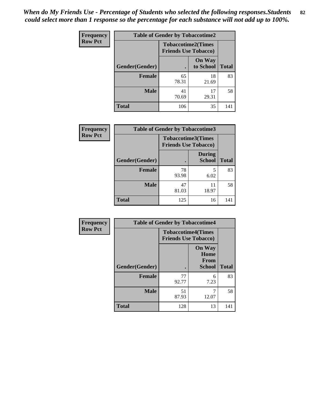| <b>Frequency</b> | <b>Table of Gender by Tobaccotime2</b> |                                                          |                            |              |
|------------------|----------------------------------------|----------------------------------------------------------|----------------------------|--------------|
| <b>Row Pct</b>   |                                        | <b>Tobaccotime2(Times</b><br><b>Friends Use Tobacco)</b> |                            |              |
|                  | Gender(Gender)                         | $\bullet$                                                | <b>On Way</b><br>to School | <b>Total</b> |
|                  | Female                                 | 65<br>78.31                                              | 18<br>21.69                | 83           |
|                  | <b>Male</b>                            | 41<br>70.69                                              | 17<br>29.31                | 58           |
|                  | <b>Total</b>                           | 106                                                      | 35                         | 141          |

| <b>Frequency</b> | <b>Table of Gender by Tobaccotime3</b> |                                                          |                                |              |
|------------------|----------------------------------------|----------------------------------------------------------|--------------------------------|--------------|
| <b>Row Pct</b>   |                                        | <b>Tobaccotime3(Times</b><br><b>Friends Use Tobacco)</b> |                                |              |
|                  | Gender(Gender)                         |                                                          | <b>During</b><br><b>School</b> | <b>Total</b> |
|                  | <b>Female</b>                          | 78<br>93.98                                              | 5<br>6.02                      | 83           |
|                  | <b>Male</b>                            | 47<br>81.03                                              | 11<br>18.97                    | 58           |
|                  | <b>Total</b>                           | 125                                                      | 16                             | 141          |

| <b>Frequency</b> | <b>Table of Gender by Tobaccotime4</b> |                                                          |                                                |              |
|------------------|----------------------------------------|----------------------------------------------------------|------------------------------------------------|--------------|
| <b>Row Pct</b>   |                                        | <b>Tobaccotime4(Times</b><br><b>Friends Use Tobacco)</b> |                                                |              |
|                  | Gender(Gender)                         |                                                          | <b>On Way</b><br>Home<br>From<br><b>School</b> | <b>Total</b> |
|                  | <b>Female</b>                          | 77<br>92.77                                              | 6<br>7.23                                      | 83           |
|                  | <b>Male</b>                            | 51<br>87.93                                              | 7<br>12.07                                     | 58           |
|                  | <b>Total</b>                           | 128                                                      | 13                                             | 141          |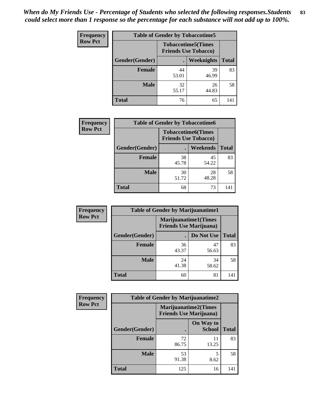| <b>Frequency</b> | <b>Table of Gender by Tobaccotime5</b> |             |                                                           |              |  |
|------------------|----------------------------------------|-------------|-----------------------------------------------------------|--------------|--|
| <b>Row Pct</b>   |                                        |             | <b>Tobaccotime5</b> (Times<br><b>Friends Use Tobacco)</b> |              |  |
|                  | Gender(Gender)                         |             | Weeknights                                                | <b>Total</b> |  |
|                  | <b>Female</b>                          | 44<br>53.01 | 39<br>46.99                                               | 83           |  |
|                  | <b>Male</b>                            | 32<br>55.17 | 26<br>44.83                                               | 58           |  |
|                  | Total                                  | 76          | 65                                                        | 141          |  |

| Frequency      |                | <b>Table of Gender by Tobaccotime6</b>                   |                 |              |
|----------------|----------------|----------------------------------------------------------|-----------------|--------------|
| <b>Row Pct</b> |                | <b>Tobaccotime6(Times</b><br><b>Friends Use Tobacco)</b> |                 |              |
|                | Gender(Gender) |                                                          | <b>Weekends</b> | <b>Total</b> |
|                | <b>Female</b>  | 38<br>45.78                                              | 45<br>54.22     | 83           |
|                | <b>Male</b>    | 30<br>51.72                                              | 28<br>48.28     | 58           |
|                | <b>Total</b>   | 68                                                       | 73              | 141          |

| <b>Frequency</b> | <b>Table of Gender by Marijuanatime1</b> |                                |                             |              |
|------------------|------------------------------------------|--------------------------------|-----------------------------|--------------|
| <b>Row Pct</b>   |                                          | <b>Friends Use Marijuana</b> ) | <b>Marijuanatime1(Times</b> |              |
|                  | Gender(Gender)                           |                                | Do Not Use                  | <b>Total</b> |
|                  | <b>Female</b>                            | 36<br>43.37                    | 47<br>56.63                 | 83           |
|                  | <b>Male</b>                              | 24<br>41.38                    | 34<br>58.62                 | 58           |
|                  | <b>Total</b>                             | 60                             | 81                          | 141          |

| <b>Frequency</b> | <b>Table of Gender by Marijuanatime2</b> |                                                        |                            |              |
|------------------|------------------------------------------|--------------------------------------------------------|----------------------------|--------------|
| <b>Row Pct</b>   |                                          | Marijuanatime2(Times<br><b>Friends Use Marijuana</b> ) |                            |              |
|                  | Gender(Gender)                           |                                                        | On Way to<br><b>School</b> | <b>Total</b> |
|                  | <b>Female</b>                            | 72<br>86.75                                            | 11<br>13.25                | 83           |
|                  | <b>Male</b>                              | 53<br>91.38                                            | 5<br>8.62                  | 58           |
|                  | <b>Total</b>                             | 125                                                    | 16                         | 141          |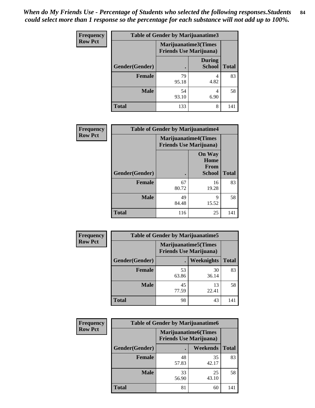| <b>Frequency</b> | <b>Table of Gender by Marijuanatime3</b> |                                                        |                                |              |
|------------------|------------------------------------------|--------------------------------------------------------|--------------------------------|--------------|
| <b>Row Pct</b>   |                                          | Marijuanatime3(Times<br><b>Friends Use Marijuana</b> ) |                                |              |
|                  | Gender(Gender)                           |                                                        | <b>During</b><br><b>School</b> | <b>Total</b> |
|                  | <b>Female</b>                            | 79<br>95.18                                            | 4.82                           | 83           |
|                  | <b>Male</b>                              | 54<br>93.10                                            | 4<br>6.90                      | 58           |
|                  | <b>Total</b>                             | 133                                                    | 8                              | 141          |

| Frequency      | <b>Table of Gender by Marijuanatime4</b> |                                |                                                       |              |
|----------------|------------------------------------------|--------------------------------|-------------------------------------------------------|--------------|
| <b>Row Pct</b> |                                          | <b>Friends Use Marijuana</b> ) | <b>Marijuanatime4</b> (Times                          |              |
|                | Gender(Gender)                           |                                | <b>On Way</b><br>Home<br><b>From</b><br><b>School</b> | <b>Total</b> |
|                | <b>Female</b>                            | 67<br>80.72                    | 16<br>19.28                                           | 83           |
|                | <b>Male</b>                              | 49<br>84.48                    | 9<br>15.52                                            | 58           |
|                | <b>Total</b>                             | 116                            | 25                                                    | 141          |

| Frequency      | <b>Table of Gender by Marijuanatime5</b> |             |                                                                |              |  |
|----------------|------------------------------------------|-------------|----------------------------------------------------------------|--------------|--|
| <b>Row Pct</b> |                                          |             | <b>Marijuanatime5</b> (Times<br><b>Friends Use Marijuana</b> ) |              |  |
|                | Gender(Gender)                           |             | <b>Weeknights</b>                                              | <b>Total</b> |  |
|                | <b>Female</b>                            | 53<br>63.86 | 30<br>36.14                                                    | 83           |  |
|                | <b>Male</b>                              | 45<br>77.59 | 13<br>22.41                                                    | 58           |  |
|                | <b>Total</b>                             | 98          | 43                                                             | 141          |  |

| Frequency      | <b>Table of Gender by Marijuanatime6</b> |                                                               |                 |              |
|----------------|------------------------------------------|---------------------------------------------------------------|-----------------|--------------|
| <b>Row Pct</b> |                                          | <b>Marijuanatime6(Times</b><br><b>Friends Use Marijuana</b> ) |                 |              |
|                | Gender(Gender)                           |                                                               | <b>Weekends</b> | <b>Total</b> |
|                | <b>Female</b>                            | 48<br>57.83                                                   | 35<br>42.17     | 83           |
|                | <b>Male</b>                              | 33<br>56.90                                                   | 25<br>43.10     | 58           |
|                | <b>Total</b>                             | 81                                                            | 60              | 141          |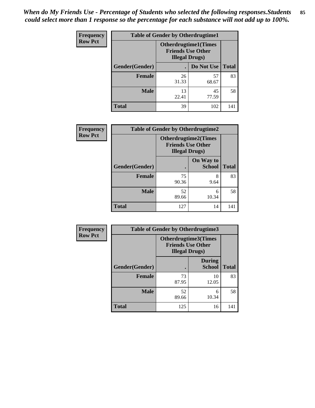*When do My Friends Use - Percentage of Students who selected the following responses.Students could select more than 1 response so the percentage for each substance will not add up to 100%.* **85**

| <b>Frequency</b> | <b>Table of Gender by Otherdrugtime1</b> |                        |                                                          |              |  |
|------------------|------------------------------------------|------------------------|----------------------------------------------------------|--------------|--|
| <b>Row Pct</b>   |                                          | <b>Illegal Drugs</b> ) | <b>Otherdrugtime1</b> (Times<br><b>Friends Use Other</b> |              |  |
|                  | Gender(Gender)                           |                        | Do Not Use                                               | <b>Total</b> |  |
|                  | <b>Female</b>                            | 26<br>31.33            | 57<br>68.67                                              | 83           |  |
|                  | <b>Male</b>                              | 13<br>22.41            | 45<br>77.59                                              | 58           |  |
|                  | <b>Total</b>                             | 39                     | 102                                                      | 141          |  |

| <b>Frequency</b> | <b>Table of Gender by Otherdrugtime2</b> |                                                    |                             |              |
|------------------|------------------------------------------|----------------------------------------------------|-----------------------------|--------------|
| <b>Row Pct</b>   |                                          | <b>Friends Use Other</b><br><b>Illegal Drugs</b> ) | <b>Otherdrugtime2(Times</b> |              |
|                  | Gender(Gender)                           |                                                    | On Way to<br><b>School</b>  | <b>Total</b> |
|                  | <b>Female</b>                            | 75<br>90.36                                        | 8<br>9.64                   | 83           |
|                  | <b>Male</b>                              | 52<br>89.66                                        | 6<br>10.34                  | 58           |
|                  | <b>Total</b>                             | 127                                                | 14                          | 141          |

| Frequency      |                | <b>Table of Gender by Otherdrugtime3</b> |                                                  |              |
|----------------|----------------|------------------------------------------|--------------------------------------------------|--------------|
| <b>Row Pct</b> |                | <b>Illegal Drugs</b> )                   | Otherdrugtime3(Times<br><b>Friends Use Other</b> |              |
|                | Gender(Gender) |                                          | <b>During</b><br><b>School</b>                   | <b>Total</b> |
|                | <b>Female</b>  | 73<br>87.95                              | 10<br>12.05                                      | 83           |
|                | <b>Male</b>    | 52<br>89.66                              | 6<br>10.34                                       | 58           |
|                | <b>Total</b>   | 125                                      | 16                                               | 141          |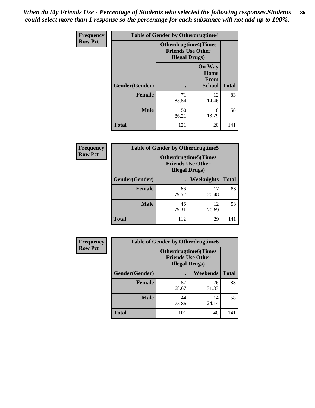*When do My Friends Use - Percentage of Students who selected the following responses.Students could select more than 1 response so the percentage for each substance will not add up to 100%.* **86**

| <b>Frequency</b> | <b>Table of Gender by Otherdrugtime4</b> |                                                    |                                                       |              |
|------------------|------------------------------------------|----------------------------------------------------|-------------------------------------------------------|--------------|
| <b>Row Pct</b>   |                                          | <b>Friends Use Other</b><br><b>Illegal Drugs</b> ) | <b>Otherdrugtime4(Times</b>                           |              |
|                  | Gender(Gender)                           |                                                    | <b>On Way</b><br>Home<br><b>From</b><br><b>School</b> | <b>Total</b> |
|                  | Female                                   | 71<br>85.54                                        | 12<br>14.46                                           | 83           |
|                  | <b>Male</b>                              | 50<br>86.21                                        | 8<br>13.79                                            | 58           |
|                  | <b>Total</b>                             | 121                                                | 20                                                    | 141          |

| Frequency      | <b>Table of Gender by Otherdrugtime5</b> |                                                                                   |                   |              |
|----------------|------------------------------------------|-----------------------------------------------------------------------------------|-------------------|--------------|
| <b>Row Pct</b> |                                          | <b>Otherdrugtime5(Times</b><br><b>Friends Use Other</b><br><b>Illegal Drugs</b> ) |                   |              |
|                | Gender(Gender)                           |                                                                                   | <b>Weeknights</b> | <b>Total</b> |
|                | <b>Female</b>                            | 66<br>79.52                                                                       | 17<br>20.48       | 83           |
|                | <b>Male</b>                              | 46<br>79.31                                                                       | 12<br>20.69       | 58           |
|                | <b>Total</b>                             | 112                                                                               | 29                | 141          |

| Frequency      | <b>Table of Gender by Otherdrugtime6</b> |                                                                                   |                 |              |
|----------------|------------------------------------------|-----------------------------------------------------------------------------------|-----------------|--------------|
| <b>Row Pct</b> |                                          | <b>Otherdrugtime6(Times</b><br><b>Friends Use Other</b><br><b>Illegal Drugs</b> ) |                 |              |
|                | Gender(Gender)                           |                                                                                   | <b>Weekends</b> | <b>Total</b> |
|                | <b>Female</b>                            | 57<br>68.67                                                                       | 26<br>31.33     | 83           |
|                | <b>Male</b>                              | 44<br>75.86                                                                       | 14<br>24.14     | 58           |
|                | <b>Total</b>                             | 101                                                                               | 40              | 141          |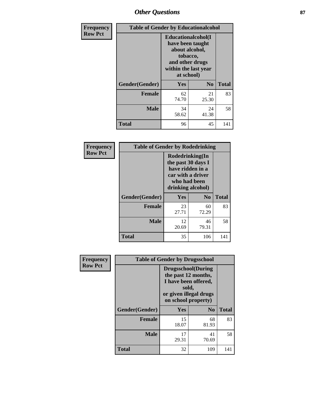## *Other Questions* **87**

| <b>Frequency</b> | <b>Table of Gender by Educationalcohol</b> |                                                                                                                                       |             |              |
|------------------|--------------------------------------------|---------------------------------------------------------------------------------------------------------------------------------------|-------------|--------------|
| <b>Row Pct</b>   |                                            | <b>Educationalcohol</b> (I<br>have been taught<br>about alcohol,<br>tobacco,<br>and other drugs<br>within the last year<br>at school) |             |              |
|                  | Gender(Gender)                             | N <sub>0</sub><br><b>Yes</b>                                                                                                          |             | <b>Total</b> |
|                  | <b>Female</b>                              | 62<br>74.70                                                                                                                           | 21<br>25.30 | 83           |
|                  | <b>Male</b>                                | 34<br>58.62                                                                                                                           | 24<br>41.38 | 58           |
|                  | <b>Total</b>                               | 96                                                                                                                                    | 45          | 141          |

| Frequency      | <b>Table of Gender by Rodedrinking</b> |                                                                                                                     |                |              |  |
|----------------|----------------------------------------|---------------------------------------------------------------------------------------------------------------------|----------------|--------------|--|
| <b>Row Pct</b> |                                        | Rodedrinking(In<br>the past 30 days I<br>have ridden in a<br>car with a driver<br>who had been<br>drinking alcohol) |                |              |  |
|                | Gender(Gender)                         | Yes                                                                                                                 | N <sub>0</sub> | <b>Total</b> |  |
|                | <b>Female</b>                          | 23<br>27.71                                                                                                         | 60<br>72.29    | 83           |  |
|                | <b>Male</b>                            | 12<br>20.69                                                                                                         | 46<br>79.31    | 58           |  |
|                | <b>Total</b>                           | 35                                                                                                                  | 106            | 141          |  |

| Frequency      | <b>Table of Gender by Drugsschool</b> |                                                                                                                                     |                |              |
|----------------|---------------------------------------|-------------------------------------------------------------------------------------------------------------------------------------|----------------|--------------|
| <b>Row Pct</b> |                                       | <b>Drugsschool</b> (During<br>the past 12 months,<br>I have been offered,<br>sold,<br>or given illegal drugs<br>on school property) |                |              |
|                | Gender(Gender)                        | Yes                                                                                                                                 | N <sub>0</sub> | <b>Total</b> |
|                | <b>Female</b>                         | 15<br>18.07                                                                                                                         | 68<br>81.93    | 83           |
|                | <b>Male</b>                           | 17<br>29.31                                                                                                                         | 41<br>70.69    | 58           |
|                | <b>Total</b>                          | 32                                                                                                                                  | 109            | 141          |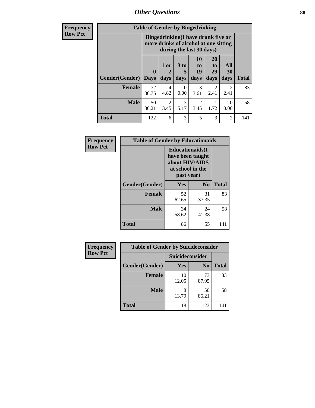*Other Questions* **88**

**Frequency Row Pct**

| <b>Table of Gender by Bingedrinking</b> |             |                                                                                                         |           |                |                        |                        |              |
|-----------------------------------------|-------------|---------------------------------------------------------------------------------------------------------|-----------|----------------|------------------------|------------------------|--------------|
|                                         |             | Bingedrinking(I have drunk five or<br>more drinks of alcohol at one sitting<br>during the last 30 days) |           |                |                        |                        |              |
|                                         | $\bf{0}$    | 1 or<br>2                                                                                               | 3 to<br>5 | 10<br>to<br>19 | 20<br>to<br>29         | All<br>30              |              |
| Gender(Gender)                          | <b>Days</b> | days                                                                                                    | days      | days           | days                   | days                   | <b>Total</b> |
| <b>Female</b>                           | 72<br>86.75 | 4<br>4.82                                                                                               | 0<br>0.00 | 3<br>3.61      | $\mathfrak{D}$<br>2.41 | $\overline{c}$<br>2.41 | 83           |
| <b>Male</b>                             | 50<br>86.21 | $\mathfrak{D}$<br>3.45                                                                                  | 3<br>5.17 | 2<br>3.45      | 1.72                   | $\theta$<br>0.00       | 58           |

| Frequency      | <b>Table of Gender by Educationaids</b> |                                                                                                 |                |              |
|----------------|-----------------------------------------|-------------------------------------------------------------------------------------------------|----------------|--------------|
| <b>Row Pct</b> |                                         | <b>Educationaids</b> (I<br>have been taught<br>about HIV/AIDS<br>at school in the<br>past year) |                |              |
|                | Gender(Gender)                          | Yes                                                                                             | N <sub>0</sub> | <b>Total</b> |
|                | <b>Female</b>                           | 52<br>62.65                                                                                     | 31<br>37.35    | 83           |
|                | <b>Male</b>                             | 34<br>58.62                                                                                     | 24<br>41.38    | 58           |
|                | <b>Total</b>                            | 86                                                                                              | 55             | 141          |

| <b>Frequency</b> | <b>Table of Gender by Suicideconsider</b> |                 |                |              |
|------------------|-------------------------------------------|-----------------|----------------|--------------|
| <b>Row Pct</b>   |                                           | Suicideconsider |                |              |
|                  | Gender(Gender)                            | Yes             | N <sub>0</sub> | <b>Total</b> |
|                  | <b>Female</b>                             | 10<br>12.05     | 73<br>87.95    | 83           |
|                  | <b>Male</b>                               | 13.79           | 50<br>86.21    | 58           |
|                  | <b>Total</b>                              | 18              | 123            | 141          |